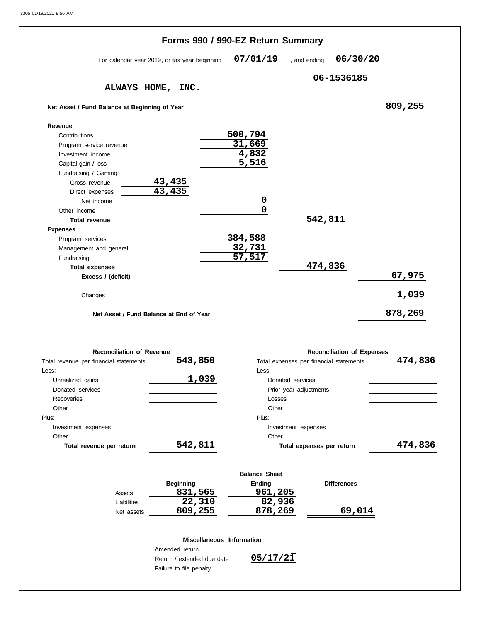|         |                                   |                                         |                     | Forms 990 / 990-EZ Return Summary             |                                                                                     |
|---------|-----------------------------------|-----------------------------------------|---------------------|-----------------------------------------------|-------------------------------------------------------------------------------------|
|         | 06/30/20                          | , and ending                            | 07/01/19            | For calendar year 2019, or tax year beginning |                                                                                     |
|         | 06-1536185                        |                                         |                     |                                               | ALWAYS HOME, INC.                                                                   |
| 809,255 |                                   |                                         |                     |                                               | Net Asset / Fund Balance at Beginning of Year                                       |
|         |                                   |                                         |                     |                                               | Revenue                                                                             |
|         |                                   |                                         | 500,794             |                                               | Contributions                                                                       |
|         |                                   |                                         | 31,669              |                                               | Program service revenue                                                             |
|         |                                   |                                         | 4,832               |                                               | Investment income                                                                   |
|         |                                   |                                         | $\overline{5,516}$  |                                               | Capital gain / loss                                                                 |
|         |                                   |                                         |                     |                                               | Fundraising / Gaming:                                                               |
|         |                                   |                                         |                     | <u>43,435</u>                                 | Gross revenue                                                                       |
|         |                                   |                                         |                     | 43,435                                        | Direct expenses                                                                     |
|         |                                   |                                         | 0                   |                                               | Net income                                                                          |
|         |                                   |                                         | 0                   |                                               | Other income                                                                        |
|         |                                   | 542,811                                 |                     |                                               | <b>Total revenue</b>                                                                |
|         |                                   |                                         |                     |                                               | <b>Expenses</b>                                                                     |
|         |                                   |                                         | 384,588             |                                               | Program services                                                                    |
|         |                                   |                                         | 32,731              |                                               | Management and general                                                              |
|         |                                   |                                         | $\overline{57,517}$ |                                               | Fundraising                                                                         |
|         |                                   | 474,836                                 |                     |                                               | <b>Total expenses</b>                                                               |
| 67,975  |                                   |                                         |                     |                                               | Excess / (deficit)                                                                  |
| 1,039   |                                   |                                         |                     |                                               | Changes                                                                             |
| 878,269 |                                   |                                         |                     |                                               | Net Asset / Fund Balance at End of Year                                             |
| 474,836 | <b>Reconciliation of Expenses</b> | Total expenses per financial statements | Less:               | 543,850                                       | <b>Reconciliation of Revenue</b><br>Total revenue per financial statements<br>Less: |
|         |                                   | Donated services                        |                     | 1,039                                         | Unrealized gains                                                                    |
|         |                                   |                                         |                     |                                               |                                                                                     |
|         |                                   |                                         |                     |                                               |                                                                                     |
|         |                                   |                                         |                     |                                               |                                                                                     |
|         |                                   | Prior year adjustments                  | Losses<br>Other     |                                               | Donated services<br>Recoveries<br>Other                                             |

Investment expenses **542,811**

Plus: Plus:

**Total revenue per return**

Other

**Total expenses per return** Investment expenses **Other** 

**474,836**

|             |                  | <b>Balance Sheet</b> |                    |
|-------------|------------------|----------------------|--------------------|
|             | <b>Beginning</b> | Ending               | <b>Differences</b> |
| Assets      | 831,565          | 961,205              |                    |
| Liabilities | 22,310           | 82,936               |                    |
| Net assets  | 809,255          | 878,269              | 69,014             |

### **Miscellaneous Information**

Return / extended due date Failure to file penalty Amended return

**05/17/21**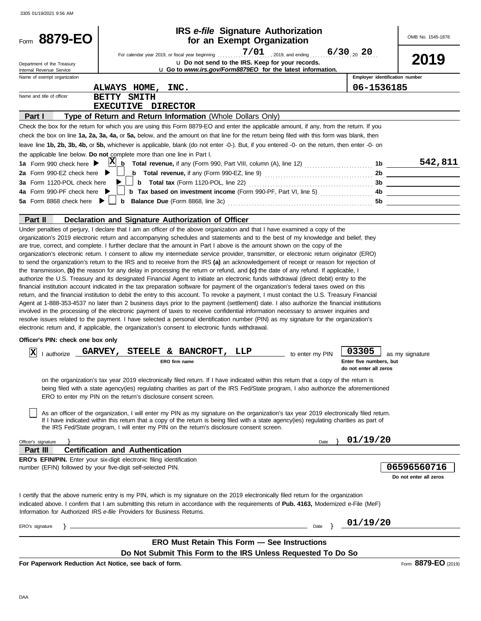| 8879-EO<br>Form                                                                                                                                                                                                                                                                                                                                                                                                                                                                                                                                                                                                                                                           |                |                                                                | <b>IRS</b> e-file Signature Authorization                                                            | for an Exempt Organization |                                                                                                                                                                                                                                                                                                                                                                                                                                                                                                                                                                    |                                                   | OMB No. 1545-1878                     |
|---------------------------------------------------------------------------------------------------------------------------------------------------------------------------------------------------------------------------------------------------------------------------------------------------------------------------------------------------------------------------------------------------------------------------------------------------------------------------------------------------------------------------------------------------------------------------------------------------------------------------------------------------------------------------|----------------|----------------------------------------------------------------|------------------------------------------------------------------------------------------------------|----------------------------|--------------------------------------------------------------------------------------------------------------------------------------------------------------------------------------------------------------------------------------------------------------------------------------------------------------------------------------------------------------------------------------------------------------------------------------------------------------------------------------------------------------------------------------------------------------------|---------------------------------------------------|---------------------------------------|
|                                                                                                                                                                                                                                                                                                                                                                                                                                                                                                                                                                                                                                                                           |                |                                                                |                                                                                                      |                            | $7/01$ 2019, and ending 6/30 20                                                                                                                                                                                                                                                                                                                                                                                                                                                                                                                                    |                                                   |                                       |
| Department of the Treasury                                                                                                                                                                                                                                                                                                                                                                                                                                                                                                                                                                                                                                                |                |                                                                | For calendar year 2019, or fiscal year beginning<br>u Do not send to the IRS. Keep for your records. |                            |                                                                                                                                                                                                                                                                                                                                                                                                                                                                                                                                                                    |                                                   | 2019                                  |
| Internal Revenue Service                                                                                                                                                                                                                                                                                                                                                                                                                                                                                                                                                                                                                                                  |                |                                                                |                                                                                                      |                            | u Go to www.irs.gov/Form8879EO for the latest information.                                                                                                                                                                                                                                                                                                                                                                                                                                                                                                         |                                                   |                                       |
| Name of exempt organization                                                                                                                                                                                                                                                                                                                                                                                                                                                                                                                                                                                                                                               |                |                                                                |                                                                                                      |                            |                                                                                                                                                                                                                                                                                                                                                                                                                                                                                                                                                                    | Employer identification number                    |                                       |
|                                                                                                                                                                                                                                                                                                                                                                                                                                                                                                                                                                                                                                                                           |                | ALWAYS HOME, INC.                                              |                                                                                                      |                            |                                                                                                                                                                                                                                                                                                                                                                                                                                                                                                                                                                    | 06-1536185                                        |                                       |
| Name and title of officer                                                                                                                                                                                                                                                                                                                                                                                                                                                                                                                                                                                                                                                 | <b>BETTY</b>   | <b>SMITH</b>                                                   |                                                                                                      |                            |                                                                                                                                                                                                                                                                                                                                                                                                                                                                                                                                                                    |                                                   |                                       |
|                                                                                                                                                                                                                                                                                                                                                                                                                                                                                                                                                                                                                                                                           |                | EXECUTIVE DIRECTOR                                             |                                                                                                      |                            |                                                                                                                                                                                                                                                                                                                                                                                                                                                                                                                                                                    |                                                   |                                       |
| Part I                                                                                                                                                                                                                                                                                                                                                                                                                                                                                                                                                                                                                                                                    |                |                                                                | Type of Return and Return Information (Whole Dollars Only)                                           |                            |                                                                                                                                                                                                                                                                                                                                                                                                                                                                                                                                                                    |                                                   |                                       |
| Check the box for the return for which you are using this Form 8879-EO and enter the applicable amount, if any, from the return. If you                                                                                                                                                                                                                                                                                                                                                                                                                                                                                                                                   |                |                                                                |                                                                                                      |                            |                                                                                                                                                                                                                                                                                                                                                                                                                                                                                                                                                                    |                                                   |                                       |
| check the box on line 1a, 2a, 3a, 4a, or 5a, below, and the amount on that line for the return being filed with this form was blank, then<br>leave line 1b, 2b, 3b, 4b, or 5b, whichever is applicable, blank (do not enter -0-). But, if you entered -0- on the return, then enter -0- on                                                                                                                                                                                                                                                                                                                                                                                |                |                                                                |                                                                                                      |                            |                                                                                                                                                                                                                                                                                                                                                                                                                                                                                                                                                                    |                                                   |                                       |
| the applicable line below. Do not complete more than one line in Part I.                                                                                                                                                                                                                                                                                                                                                                                                                                                                                                                                                                                                  |                |                                                                |                                                                                                      |                            |                                                                                                                                                                                                                                                                                                                                                                                                                                                                                                                                                                    |                                                   |                                       |
| 1a Form 990 check here $\blacktriangleright$                                                                                                                                                                                                                                                                                                                                                                                                                                                                                                                                                                                                                              | $ \mathbf{X} $ |                                                                |                                                                                                      |                            | $\underline{\mathbf{b}}$ Total revenue, if any (Form 990, Part VIII, column (A), line 12) $\ldots$                                                                                                                                                                                                                                                                                                                                                                                                                                                                 | 1b                                                | 542,811                               |
| 2a Form 990-EZ check here ▶                                                                                                                                                                                                                                                                                                                                                                                                                                                                                                                                                                                                                                               |                |                                                                |                                                                                                      |                            |                                                                                                                                                                                                                                                                                                                                                                                                                                                                                                                                                                    | 2b                                                |                                       |
| 3a Form 1120-POL check here                                                                                                                                                                                                                                                                                                                                                                                                                                                                                                                                                                                                                                               |                |                                                                |                                                                                                      |                            |                                                                                                                                                                                                                                                                                                                                                                                                                                                                                                                                                                    | 3b                                                |                                       |
| 4a Form 990-PF check here ▶                                                                                                                                                                                                                                                                                                                                                                                                                                                                                                                                                                                                                                               |                |                                                                |                                                                                                      |                            | $\Box$ b Tax based on investment income (Form 990-PF, Part VI, line 5) $\Box$                                                                                                                                                                                                                                                                                                                                                                                                                                                                                      |                                                   |                                       |
|                                                                                                                                                                                                                                                                                                                                                                                                                                                                                                                                                                                                                                                                           |                |                                                                |                                                                                                      |                            |                                                                                                                                                                                                                                                                                                                                                                                                                                                                                                                                                                    | 5b                                                |                                       |
|                                                                                                                                                                                                                                                                                                                                                                                                                                                                                                                                                                                                                                                                           |                |                                                                |                                                                                                      |                            |                                                                                                                                                                                                                                                                                                                                                                                                                                                                                                                                                                    |                                                   |                                       |
| Part II                                                                                                                                                                                                                                                                                                                                                                                                                                                                                                                                                                                                                                                                   |                |                                                                | Declaration and Signature Authorization of Officer                                                   |                            |                                                                                                                                                                                                                                                                                                                                                                                                                                                                                                                                                                    |                                                   |                                       |
| return, and the financial institution to debit the entry to this account. To revoke a payment, I must contact the U.S. Treasury Financial<br>Agent at 1-888-353-4537 no later than 2 business days prior to the payment (settlement) date. I also authorize the financial institutions<br>involved in the processing of the electronic payment of taxes to receive confidential information necessary to answer inquiries and<br>resolve issues related to the payment. I have selected a personal identification number (PIN) as my signature for the organization's<br>electronic return and, if applicable, the organization's consent to electronic funds withdrawal. |                |                                                                |                                                                                                      |                            |                                                                                                                                                                                                                                                                                                                                                                                                                                                                                                                                                                    |                                                   |                                       |
| Officer's PIN: check one box only                                                                                                                                                                                                                                                                                                                                                                                                                                                                                                                                                                                                                                         |                |                                                                |                                                                                                      |                            |                                                                                                                                                                                                                                                                                                                                                                                                                                                                                                                                                                    |                                                   |                                       |
| x<br>I authorize                                                                                                                                                                                                                                                                                                                                                                                                                                                                                                                                                                                                                                                          | <b>GARVEY,</b> |                                                                | STEELE & BANCROFT,                                                                                   | LLP                        | to enter my PIN                                                                                                                                                                                                                                                                                                                                                                                                                                                                                                                                                    | 03305                                             | as my signature                       |
|                                                                                                                                                                                                                                                                                                                                                                                                                                                                                                                                                                                                                                                                           |                |                                                                | ERO firm name                                                                                        |                            |                                                                                                                                                                                                                                                                                                                                                                                                                                                                                                                                                                    | Enter five numbers, but<br>do not enter all zeros |                                       |
|                                                                                                                                                                                                                                                                                                                                                                                                                                                                                                                                                                                                                                                                           |                | ERO to enter my PIN on the return's disclosure consent screen. | the IRS Fed/State program, I will enter my PIN on the return's disclosure consent screen.            |                            | on the organization's tax year 2019 electronically filed return. If I have indicated within this return that a copy of the return is<br>being filed with a state agency(ies) regulating charities as part of the IRS Fed/State program, I also authorize the aforementioned<br>As an officer of the organization, I will enter my PIN as my signature on the organization's tax year 2019 electronically filed return.<br>If I have indicated within this return that a copy of the return is being filed with a state agency(ies) regulating charities as part of |                                                   |                                       |
|                                                                                                                                                                                                                                                                                                                                                                                                                                                                                                                                                                                                                                                                           |                |                                                                |                                                                                                      |                            |                                                                                                                                                                                                                                                                                                                                                                                                                                                                                                                                                                    |                                                   |                                       |
| Officer's signature                                                                                                                                                                                                                                                                                                                                                                                                                                                                                                                                                                                                                                                       |                |                                                                |                                                                                                      |                            | Date                                                                                                                                                                                                                                                                                                                                                                                                                                                                                                                                                               | 01/19/20                                          |                                       |
| Part III                                                                                                                                                                                                                                                                                                                                                                                                                                                                                                                                                                                                                                                                  |                | <b>Certification and Authentication</b>                        |                                                                                                      |                            |                                                                                                                                                                                                                                                                                                                                                                                                                                                                                                                                                                    |                                                   |                                       |
| <b>ERO's EFIN/PIN.</b> Enter your six-digit electronic filing identification<br>number (EFIN) followed by your five-digit self-selected PIN.                                                                                                                                                                                                                                                                                                                                                                                                                                                                                                                              |                |                                                                |                                                                                                      |                            |                                                                                                                                                                                                                                                                                                                                                                                                                                                                                                                                                                    |                                                   | 06596560716<br>Do not enter all zeros |
| I certify that the above numeric entry is my PIN, which is my signature on the 2019 electronically filed return for the organization<br>indicated above. I confirm that I am submitting this return in accordance with the requirements of Pub. 4163, Modemized e-File (MeF)<br>Information for Authorized IRS e-file Providers for Business Returns.                                                                                                                                                                                                                                                                                                                     |                |                                                                |                                                                                                      |                            |                                                                                                                                                                                                                                                                                                                                                                                                                                                                                                                                                                    |                                                   |                                       |
| ERO's signature                                                                                                                                                                                                                                                                                                                                                                                                                                                                                                                                                                                                                                                           |                |                                                                |                                                                                                      |                            | Date $\}$                                                                                                                                                                                                                                                                                                                                                                                                                                                                                                                                                          | 01/19/20                                          |                                       |
|                                                                                                                                                                                                                                                                                                                                                                                                                                                                                                                                                                                                                                                                           |                |                                                                |                                                                                                      |                            |                                                                                                                                                                                                                                                                                                                                                                                                                                                                                                                                                                    |                                                   |                                       |
|                                                                                                                                                                                                                                                                                                                                                                                                                                                                                                                                                                                                                                                                           |                |                                                                | <b>ERO Must Retain This Form - See Instructions</b>                                                  |                            |                                                                                                                                                                                                                                                                                                                                                                                                                                                                                                                                                                    |                                                   |                                       |
|                                                                                                                                                                                                                                                                                                                                                                                                                                                                                                                                                                                                                                                                           |                |                                                                |                                                                                                      |                            | Do Not Submit This Form to the IRS Unless Requested To Do So                                                                                                                                                                                                                                                                                                                                                                                                                                                                                                       |                                                   | Form 8879-EO (2019)                   |
| For Paperwork Reduction Act Notice, see back of form.                                                                                                                                                                                                                                                                                                                                                                                                                                                                                                                                                                                                                     |                |                                                                |                                                                                                      |                            |                                                                                                                                                                                                                                                                                                                                                                                                                                                                                                                                                                    |                                                   |                                       |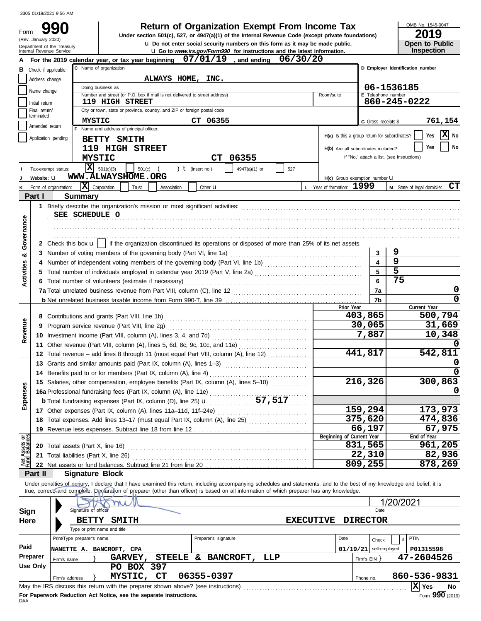Form 990

**990 2019 2019 2019 2019 Depend From Income Tax Promegage 1019 2019 2019 2019** 

OMB No. 1545-0047

|  | Open to Public |
|--|----------------|
|  | Insnection     |

|                                | Under section 501(C), 527, or 4947(a)(1) or the internal Revenue Code (except private foundations)<br>ZU I J<br>(Rev. January 2020)<br><b>u</b> Do not enter social security numbers on this form as it may be made public.<br>Open to Public<br>Department of the Treasury |                                        |                                                                                                                                                                            |             |                      |                                                                                 |                     |                           |                                               |                |                                  |          |
|--------------------------------|-----------------------------------------------------------------------------------------------------------------------------------------------------------------------------------------------------------------------------------------------------------------------------|----------------------------------------|----------------------------------------------------------------------------------------------------------------------------------------------------------------------------|-------------|----------------------|---------------------------------------------------------------------------------|---------------------|---------------------------|-----------------------------------------------|----------------|----------------------------------|----------|
|                                |                                                                                                                                                                                                                                                                             | Internal Revenue Service               |                                                                                                                                                                            |             |                      | <b>u</b> Go to www.irs.gov/Form990 for instructions and the latest information. |                     |                           |                                               |                | <b>Inspection</b>                |          |
|                                |                                                                                                                                                                                                                                                                             |                                        | For the 2019 calendar year, or tax year beginning                                                                                                                          |             |                      | $07/01/19$ , and ending                                                         | 06/30/20            |                           |                                               |                |                                  |          |
|                                | <b>B</b> Check if applicable:                                                                                                                                                                                                                                               |                                        | C Name of organization                                                                                                                                                     |             |                      |                                                                                 |                     |                           |                                               |                | D Employer identification number |          |
|                                | Address change                                                                                                                                                                                                                                                              |                                        |                                                                                                                                                                            |             | ALWAYS HOME, INC.    |                                                                                 |                     |                           |                                               |                |                                  |          |
|                                | Name change                                                                                                                                                                                                                                                                 |                                        | Doing business as                                                                                                                                                          |             |                      |                                                                                 |                     |                           |                                               | 06-1536185     |                                  |          |
|                                | Initial return                                                                                                                                                                                                                                                              |                                        | Number and street (or P.O. box if mail is not delivered to street address)<br>Room/suite<br><b>119 HIGH STREET</b>                                                         |             |                      |                                                                                 | E Telephone number  | 860-245-0222              |                                               |                |                                  |          |
|                                | Final return/                                                                                                                                                                                                                                                               |                                        | City or town, state or province, country, and ZIP or foreign postal code                                                                                                   |             |                      |                                                                                 |                     |                           |                                               |                |                                  |          |
|                                | terminated                                                                                                                                                                                                                                                                  |                                        |                                                                                                                                                                            |             |                      |                                                                                 |                     |                           |                                               |                |                                  |          |
|                                | CT 06355<br><b>MYSTIC</b><br>Amended return<br>Name and address of principal officer:                                                                                                                                                                                       |                                        |                                                                                                                                                                            |             |                      |                                                                                 | G Gross receipts \$ |                           |                                               | 761,154        |                                  |          |
|                                |                                                                                                                                                                                                                                                                             |                                        |                                                                                                                                                                            |             |                      |                                                                                 |                     |                           | H(a) Is this a group return for subordinates? |                | Yes                              | X No     |
|                                | Application pending                                                                                                                                                                                                                                                         |                                        | BETTY SMITH                                                                                                                                                                |             |                      |                                                                                 |                     |                           |                                               |                |                                  |          |
|                                |                                                                                                                                                                                                                                                                             |                                        | 119 HIGH STREET                                                                                                                                                            |             |                      |                                                                                 |                     |                           | H(b) Are all subordinates included?           |                | Yes                              | No       |
|                                |                                                                                                                                                                                                                                                                             |                                        | <b>MYSTIC</b>                                                                                                                                                              |             | CT                   | 06355                                                                           |                     |                           | If "No," attach a list. (see instructions)    |                |                                  |          |
|                                |                                                                                                                                                                                                                                                                             | $\mathbf{x}$<br>Tax-exempt status:     | 501(c)(3)<br>501(c)                                                                                                                                                        |             | $t$ (insert no.)     | 4947(a)(1) or                                                                   | 527                 |                           |                                               |                |                                  |          |
|                                | WWW.ALWAYSHOME.ORG<br>Website: U<br>H(c) Group exemption number LI                                                                                                                                                                                                          |                                        |                                                                                                                                                                            |             |                      |                                                                                 |                     |                           |                                               |                |                                  |          |
| ĸ                              |                                                                                                                                                                                                                                                                             | Form of organization:                  | $ \mathbf{X} $ Corporation<br>Trust                                                                                                                                        | Association | Other $\mathbf u$    |                                                                                 |                     | L Year of formation: 1999 |                                               |                | M State of legal domicile:       | CT       |
|                                | Part I                                                                                                                                                                                                                                                                      | <b>Summary</b>                         |                                                                                                                                                                            |             |                      |                                                                                 |                     |                           |                                               |                |                                  |          |
|                                |                                                                                                                                                                                                                                                                             |                                        |                                                                                                                                                                            |             |                      |                                                                                 |                     |                           |                                               |                |                                  |          |
|                                |                                                                                                                                                                                                                                                                             | SEE SCHEDULE O                         |                                                                                                                                                                            |             |                      |                                                                                 |                     |                           |                                               |                |                                  |          |
|                                |                                                                                                                                                                                                                                                                             |                                        |                                                                                                                                                                            |             |                      |                                                                                 |                     |                           |                                               |                |                                  |          |
|                                |                                                                                                                                                                                                                                                                             |                                        |                                                                                                                                                                            |             |                      |                                                                                 |                     |                           |                                               |                |                                  |          |
| Governance                     |                                                                                                                                                                                                                                                                             |                                        |                                                                                                                                                                            |             |                      |                                                                                 |                     |                           |                                               |                |                                  |          |
|                                |                                                                                                                                                                                                                                                                             |                                        | 2 Check this box $\mathbf{u}$   if the organization discontinued its operations or disposed of more than 25% of its net assets.                                            |             |                      |                                                                                 |                     |                           |                                               |                |                                  |          |
| య                              |                                                                                                                                                                                                                                                                             |                                        |                                                                                                                                                                            |             |                      |                                                                                 |                     |                           | 3                                             | 9              |                                  |          |
| Activities                     |                                                                                                                                                                                                                                                                             |                                        |                                                                                                                                                                            |             |                      |                                                                                 |                     |                           | 4                                             | $\overline{9}$ |                                  |          |
|                                |                                                                                                                                                                                                                                                                             |                                        |                                                                                                                                                                            |             |                      |                                                                                 |                     |                           | 5                                             | 5              |                                  |          |
|                                |                                                                                                                                                                                                                                                                             |                                        | 6 Total number of volunteers (estimate if necessary)                                                                                                                       |             |                      |                                                                                 |                     |                           | 6                                             | 75             |                                  |          |
|                                |                                                                                                                                                                                                                                                                             |                                        |                                                                                                                                                                            |             |                      |                                                                                 |                     |                           | 7a                                            |                |                                  | 0        |
|                                |                                                                                                                                                                                                                                                                             |                                        |                                                                                                                                                                            |             |                      |                                                                                 |                     |                           | 7b                                            |                |                                  | 0        |
|                                |                                                                                                                                                                                                                                                                             |                                        |                                                                                                                                                                            |             |                      |                                                                                 |                     | Prior Year                |                                               |                | Current Year                     |          |
|                                |                                                                                                                                                                                                                                                                             |                                        |                                                                                                                                                                            |             |                      |                                                                                 |                     | 403,865                   |                                               |                | 500,794                          |          |
| Revenue                        | 9                                                                                                                                                                                                                                                                           |                                        | Program service revenue (Part VIII, line 2g)                                                                                                                               |             |                      |                                                                                 | 30,065              |                           |                                               |                | 31,669                           |          |
|                                | 10                                                                                                                                                                                                                                                                          |                                        |                                                                                                                                                                            |             |                      |                                                                                 |                     |                           | 7,887                                         |                | 10,348                           |          |
|                                |                                                                                                                                                                                                                                                                             |                                        | 11 Other revenue (Part VIII, column (A), lines 5, 6d, 8c, 9c, 10c, and 11e)                                                                                                |             |                      |                                                                                 |                     |                           |                                               |                |                                  | 0        |
|                                |                                                                                                                                                                                                                                                                             |                                        | 12 Total revenue - add lines 8 through 11 (must equal Part VIII, column (A), line 12)                                                                                      |             |                      |                                                                                 |                     |                           | 441,817                                       |                |                                  | 542,811  |
|                                |                                                                                                                                                                                                                                                                             |                                        | 13 Grants and similar amounts paid (Part IX, column (A), lines 1-3)                                                                                                        |             |                      |                                                                                 |                     |                           |                                               |                |                                  | 0        |
|                                | 14                                                                                                                                                                                                                                                                          |                                        | Benefits paid to or for members (Part IX, column (A), line 4)                                                                                                              |             |                      |                                                                                 |                     |                           |                                               |                |                                  | $\Omega$ |
|                                |                                                                                                                                                                                                                                                                             |                                        | 15 Salaries, other compensation, employee benefits (Part IX, column (A), lines 5-10)                                                                                       |             |                      |                                                                                 |                     |                           | 216,326                                       |                |                                  | 300,863  |
| w                              |                                                                                                                                                                                                                                                                             |                                        |                                                                                                                                                                            |             |                      |                                                                                 |                     |                           |                                               |                |                                  | 0        |
| Expense                        |                                                                                                                                                                                                                                                                             |                                        |                                                                                                                                                                            |             |                      |                                                                                 |                     |                           |                                               |                |                                  |          |
|                                |                                                                                                                                                                                                                                                                             |                                        |                                                                                                                                                                            |             |                      |                                                                                 |                     |                           | 159,294                                       |                |                                  | 173,973  |
|                                |                                                                                                                                                                                                                                                                             |                                        | 17 Other expenses (Part IX, column (A), lines 11a-11d, 11f-24e)                                                                                                            |             |                      |                                                                                 |                     |                           |                                               |                |                                  |          |
|                                | 18.                                                                                                                                                                                                                                                                         |                                        | Total expenses. Add lines 13-17 (must equal Part IX, column (A), line 25) [[[[[[[[[[[[[[[[[[[[[[[[[[[]]]]]]]]                                                              |             |                      |                                                                                 |                     |                           | 375,620                                       |                |                                  | 474,836  |
|                                | 19                                                                                                                                                                                                                                                                          |                                        | Revenue less expenses. Subtract line 18 from line 12                                                                                                                       |             |                      |                                                                                 |                     | Beginning of Current Year | 66,197                                        |                | End of Year                      | 67,975   |
| Net Assets or<br>Fund Balances |                                                                                                                                                                                                                                                                             | 20 Total assets (Part X, line 16)      |                                                                                                                                                                            |             |                      |                                                                                 |                     |                           | 831,565                                       |                |                                  | 961,205  |
|                                |                                                                                                                                                                                                                                                                             |                                        |                                                                                                                                                                            |             |                      |                                                                                 |                     |                           | 22,310                                        |                |                                  | 82,936   |
|                                |                                                                                                                                                                                                                                                                             | 21 Total liabilities (Part X, line 26) |                                                                                                                                                                            |             |                      |                                                                                 |                     |                           |                                               |                |                                  |          |
|                                |                                                                                                                                                                                                                                                                             |                                        |                                                                                                                                                                            |             |                      |                                                                                 |                     |                           | 809,255                                       |                |                                  | 878,269  |
|                                | Part II                                                                                                                                                                                                                                                                     | <b>Signature Block</b>                 |                                                                                                                                                                            |             |                      |                                                                                 |                     |                           |                                               |                |                                  |          |
|                                |                                                                                                                                                                                                                                                                             |                                        | Under penalties of perjury, I declare that I have examined this return, including accompanying schedules and statements, and to the best of my knowledge and belief, it is |             |                      |                                                                                 |                     |                           |                                               |                |                                  |          |
|                                |                                                                                                                                                                                                                                                                             |                                        | true, correct, and complete. Declaration of preparer (other than officer) is based on all information of which preparer has any knowledge.                                 |             |                      |                                                                                 |                     |                           |                                               |                |                                  |          |
|                                |                                                                                                                                                                                                                                                                             |                                        |                                                                                                                                                                            |             |                      |                                                                                 |                     |                           |                                               | 1/20/2021      |                                  |          |
| Sign                           |                                                                                                                                                                                                                                                                             | Signature of officer                   |                                                                                                                                                                            |             |                      |                                                                                 |                     |                           | Date                                          |                |                                  |          |
| Here                           |                                                                                                                                                                                                                                                                             | <b>BETTY</b>                           | <b>SMITH</b>                                                                                                                                                               |             |                      |                                                                                 | <b>EXECUTIVE</b>    |                           | <b>DIRECTOR</b>                               |                |                                  |          |
|                                |                                                                                                                                                                                                                                                                             |                                        | Type or print name and title                                                                                                                                               |             |                      |                                                                                 |                     |                           |                                               |                |                                  |          |
|                                |                                                                                                                                                                                                                                                                             | Print/Type preparer's name             |                                                                                                                                                                            |             | Preparer's signature |                                                                                 |                     | Date                      | Check                                         |                | PTIN                             |          |
| Paid                           |                                                                                                                                                                                                                                                                             | NANETTE A. BANCROFT, CPA               |                                                                                                                                                                            |             |                      |                                                                                 |                     |                           | 01/19/21                                      | self-employed  | P01315598                        |          |
|                                | Preparer                                                                                                                                                                                                                                                                    | Firm's name                            | <b>GARVEY,</b>                                                                                                                                                             |             | STEELE & BANCROFT,   | LLP                                                                             |                     |                           | Firm's $EIN$ }                                |                | 47-2604526                       |          |
|                                | <b>Use Only</b>                                                                                                                                                                                                                                                             |                                        | PO BOX 397                                                                                                                                                                 |             |                      |                                                                                 |                     |                           |                                               |                |                                  |          |
|                                |                                                                                                                                                                                                                                                                             |                                        | MYSTIC, CT                                                                                                                                                                 |             | 06355-0397           |                                                                                 |                     |                           | Phone no.                                     |                | 860-536-9831                     |          |
|                                |                                                                                                                                                                                                                                                                             | Firm's address                         | May the IRS discuss this return with the preparer shown above? (see instructions)                                                                                          |             |                      |                                                                                 |                     |                           |                                               |                | $\mathbf{X}$ Yes                 | No       |
|                                |                                                                                                                                                                                                                                                                             |                                        |                                                                                                                                                                            |             |                      |                                                                                 |                     |                           |                                               |                |                                  |          |

|          | Print/Type preparer's name                                                                              |                |  |  | Preparer's signature   |  | Date |                   | Check                    | <b>PTIN</b>  |  |
|----------|---------------------------------------------------------------------------------------------------------|----------------|--|--|------------------------|--|------|-------------------|--------------------------|--------------|--|
| Paid     | NANETTE A.                                                                                              | BANCROFT, CPA  |  |  |                        |  |      |                   | $01/19/21$ self-employed | P01315598    |  |
| Preparer | Firm's name                                                                                             | <b>GARVEY,</b> |  |  | STEELE & BANCROFT, LLP |  |      | Firm's $EIN$ $\}$ |                          | 47-2604526   |  |
| Use Only |                                                                                                         | PO BOX 397     |  |  |                        |  |      |                   |                          |              |  |
|          | Firm's address                                                                                          | MYSTIC, CT     |  |  | 06355-0397             |  |      | Phone no.         |                          | 860-536-9831 |  |
|          | ΙxΙ<br>May the IRS discuss this return with the preparer shown above? (see instructions)<br>l No<br>Yes |                |  |  |                        |  |      |                   |                          |              |  |
|          | Form 990 (2019)<br>For Paperwork Reduction Act Notice, see the separate instructions.                   |                |  |  |                        |  |      |                   |                          |              |  |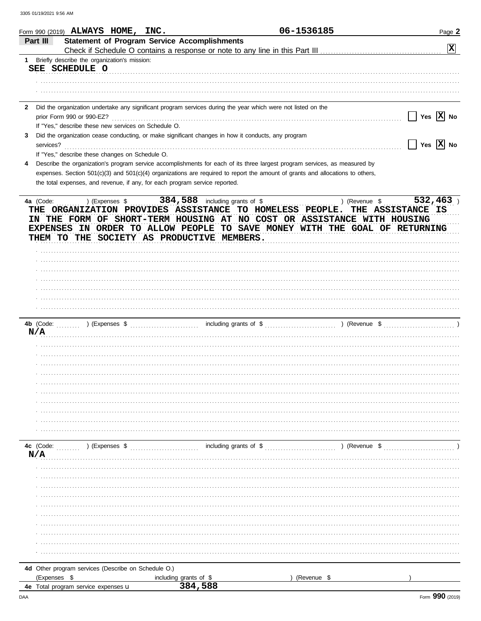|              | Form 990 (2019) ALWAYS HOME, INC.                                                                                              |                                                     | 06-1536185          | Page 2                     |
|--------------|--------------------------------------------------------------------------------------------------------------------------------|-----------------------------------------------------|---------------------|----------------------------|
|              | Part III                                                                                                                       | <b>Statement of Program Service Accomplishments</b> |                     |                            |
|              |                                                                                                                                |                                                     |                     | X                          |
| 1.           | Briefly describe the organization's mission:                                                                                   |                                                     |                     |                            |
|              | SEE SCHEDULE O                                                                                                                 |                                                     |                     |                            |
|              |                                                                                                                                |                                                     |                     |                            |
|              |                                                                                                                                |                                                     |                     |                            |
|              |                                                                                                                                |                                                     |                     |                            |
| $\mathbf{2}$ | Did the organization undertake any significant program services during the year which were not listed on the                   |                                                     |                     |                            |
|              | prior Form 990 or 990-EZ?                                                                                                      |                                                     |                     | Yes $ X $ No               |
|              | If "Yes," describe these new services on Schedule O.                                                                           |                                                     |                     |                            |
| 3            | Did the organization cease conducting, or make significant changes in how it conducts, any program                             |                                                     |                     |                            |
|              | services?                                                                                                                      |                                                     |                     | $\sqrt{}$ Yes $\sqrt{}$ No |
|              | If "Yes," describe these changes on Schedule O.                                                                                |                                                     |                     |                            |
| 4            | Describe the organization's program service accomplishments for each of its three largest program services, as measured by     |                                                     |                     |                            |
|              | expenses. Section 501(c)(3) and 501(c)(4) organizations are required to report the amount of grants and allocations to others, |                                                     |                     |                            |
|              | the total expenses, and revenue, if any, for each program service reported.                                                    |                                                     |                     |                            |
|              |                                                                                                                                |                                                     |                     |                            |
|              | 4a (Code:<br>) (Expenses \$                                                                                                    | 384, 588 including grants of \$                     |                     | 532, 463<br>) (Revenue \$  |
|              | THE ORGANIZATION PROVIDES ASSISTANCE                                                                                           |                                                     | TO HOMELESS PEOPLE. | THE ASSISTANCE IS          |
|              | IN THE FORM OF SHORT-TERM HOUSING AT NO COST OR ASSISTANCE WITH HOUSING                                                        |                                                     |                     |                            |
|              | EXPENSES IN ORDER TO ALLOW PEOPLE TO SAVE MONEY WITH THE GOAL OF RETURNING                                                     |                                                     |                     |                            |
|              | THEM TO THE SOCIETY AS PRODUCTIVE MEMBERS.                                                                                     |                                                     |                     |                            |
|              |                                                                                                                                |                                                     |                     |                            |
|              |                                                                                                                                |                                                     |                     |                            |
|              |                                                                                                                                |                                                     |                     |                            |
|              |                                                                                                                                |                                                     |                     |                            |
|              |                                                                                                                                |                                                     |                     |                            |
|              |                                                                                                                                |                                                     |                     |                            |
|              |                                                                                                                                |                                                     |                     |                            |
|              |                                                                                                                                |                                                     |                     |                            |
|              |                                                                                                                                |                                                     |                     |                            |
|              | 4b (Code: $\ldots$                                                                                                             |                                                     |                     |                            |
|              | N/A                                                                                                                            |                                                     |                     |                            |
|              |                                                                                                                                |                                                     |                     |                            |
|              |                                                                                                                                |                                                     |                     |                            |
|              |                                                                                                                                |                                                     |                     |                            |
|              |                                                                                                                                |                                                     |                     |                            |
|              |                                                                                                                                |                                                     |                     |                            |
|              |                                                                                                                                |                                                     |                     |                            |
|              |                                                                                                                                |                                                     |                     |                            |
|              |                                                                                                                                |                                                     |                     |                            |
|              |                                                                                                                                |                                                     |                     |                            |
|              |                                                                                                                                |                                                     |                     |                            |
|              |                                                                                                                                |                                                     |                     |                            |
|              | $(1)$ (Expenses \$<br>4c (Code:                                                                                                |                                                     |                     |                            |
|              | N/A                                                                                                                            |                                                     |                     |                            |
|              |                                                                                                                                |                                                     |                     |                            |
|              |                                                                                                                                |                                                     |                     |                            |
|              |                                                                                                                                |                                                     |                     |                            |
|              |                                                                                                                                |                                                     |                     |                            |
|              |                                                                                                                                |                                                     |                     |                            |
|              |                                                                                                                                |                                                     |                     |                            |
|              |                                                                                                                                |                                                     |                     |                            |
|              |                                                                                                                                |                                                     |                     |                            |
|              |                                                                                                                                |                                                     |                     |                            |
|              |                                                                                                                                |                                                     |                     |                            |
|              |                                                                                                                                |                                                     |                     |                            |
|              | 4d Other program services (Describe on Schedule O.)                                                                            |                                                     |                     |                            |
|              | (Expenses \$                                                                                                                   |                                                     | (Revenue \$         |                            |
|              | 4e Total program service expenses u                                                                                            | including grants of \$<br>384,588                   |                     |                            |
|              |                                                                                                                                |                                                     |                     |                            |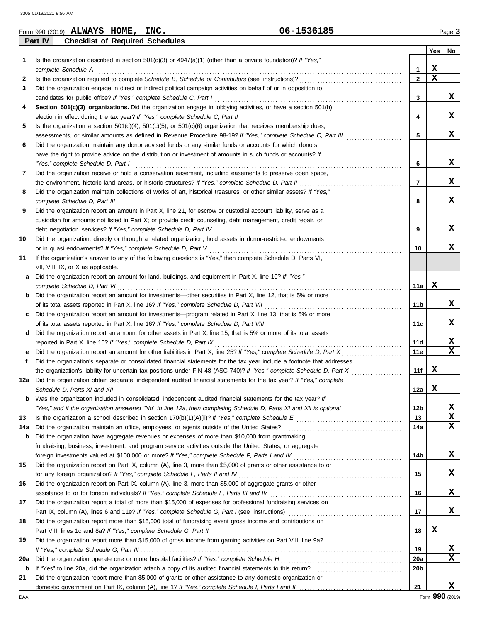|        | Part IV<br><b>Checklist of Required Schedules</b>                                                                                                                                                        |                     |             |             |
|--------|----------------------------------------------------------------------------------------------------------------------------------------------------------------------------------------------------------|---------------------|-------------|-------------|
|        |                                                                                                                                                                                                          |                     | Yes         | No          |
| 1.     | Is the organization described in section $501(c)(3)$ or $4947(a)(1)$ (other than a private foundation)? If "Yes,"                                                                                        |                     | X           |             |
|        | complete Schedule A                                                                                                                                                                                      | 1<br>$\overline{2}$ | $\mathbf x$ |             |
| 2<br>3 | Did the organization engage in direct or indirect political campaign activities on behalf of or in opposition to                                                                                         |                     |             |             |
|        | candidates for public office? If "Yes," complete Schedule C, Part I                                                                                                                                      | 3                   |             | X           |
| 4      | Section 501(c)(3) organizations. Did the organization engage in lobbying activities, or have a section 501(h)                                                                                            |                     |             |             |
|        | election in effect during the tax year? If "Yes," complete Schedule C, Part II                                                                                                                           | 4                   |             | x           |
| 5      | Is the organization a section $501(c)(4)$ , $501(c)(5)$ , or $501(c)(6)$ organization that receives membership dues,                                                                                     |                     |             |             |
|        | assessments, or similar amounts as defined in Revenue Procedure 98-19? If "Yes," complete Schedule C, Part III                                                                                           | 5                   |             | X           |
| 6      | Did the organization maintain any donor advised funds or any similar funds or accounts for which donors                                                                                                  |                     |             |             |
|        | have the right to provide advice on the distribution or investment of amounts in such funds or accounts? If                                                                                              |                     |             |             |
|        | "Yes," complete Schedule D, Part I                                                                                                                                                                       | 6                   |             | X           |
| 7      | Did the organization receive or hold a conservation easement, including easements to preserve open space,                                                                                                |                     |             |             |
|        | the environment, historic land areas, or historic structures? If "Yes," complete Schedule D, Part II                                                                                                     | 7                   |             | X           |
| 8      | Did the organization maintain collections of works of art, historical treasures, or other similar assets? If "Yes,"                                                                                      |                     |             |             |
|        | complete Schedule D, Part III                                                                                                                                                                            | 8                   |             | X           |
| 9      | Did the organization report an amount in Part X, line 21, for escrow or custodial account liability, serve as a                                                                                          |                     |             |             |
|        | custodian for amounts not listed in Part X; or provide credit counseling, debt management, credit repair, or                                                                                             |                     |             |             |
|        | debt negotiation services? If "Yes," complete Schedule D, Part IV                                                                                                                                        | 9                   |             | X           |
| 10     | Did the organization, directly or through a related organization, hold assets in donor-restricted endowments                                                                                             |                     |             |             |
|        | or in quasi endowments? If "Yes," complete Schedule D, Part V                                                                                                                                            | 10                  |             | X           |
| 11     | If the organization's answer to any of the following questions is "Yes," then complete Schedule D, Parts VI,                                                                                             |                     |             |             |
|        | VII, VIII, IX, or X as applicable.                                                                                                                                                                       |                     |             |             |
|        | Did the organization report an amount for land, buildings, and equipment in Part X, line 10? If "Yes,"                                                                                                   |                     |             |             |
| а      | complete Schedule D, Part VI                                                                                                                                                                             | 11a                 | X           |             |
| b      | Did the organization report an amount for investments—other securities in Part X, line 12, that is 5% or more                                                                                            |                     |             |             |
|        |                                                                                                                                                                                                          | 11b                 |             | x           |
|        | of its total assets reported in Part X, line 16? If "Yes," complete Schedule D, Part VII<br>Did the organization report an amount for investments—program related in Part X, line 13, that is 5% or more |                     |             |             |
| c      |                                                                                                                                                                                                          | 11c                 |             | X           |
|        | Did the organization report an amount for other assets in Part X, line 15, that is 5% or more of its total assets                                                                                        |                     |             |             |
| d      | reported in Part X, line 16? If "Yes," complete Schedule D, Part IX                                                                                                                                      | 11d                 |             | X           |
|        | Did the organization report an amount for other liabilities in Part X, line 25? If "Yes," complete Schedule D, Part X                                                                                    | 11e                 |             | $\mathbf x$ |
| е<br>f | .<br>Did the organization's separate or consolidated financial statements for the tax year include a footnote that addresses                                                                             |                     |             |             |
|        | the organization's liability for uncertain tax positions under FIN 48 (ASC 740)? If "Yes," complete Schedule D, Part X                                                                                   | 11f                 | x           |             |
| 12a    | Did the organization obtain separate, independent audited financial statements for the tax year? If "Yes," complete                                                                                      |                     |             |             |
|        | Schedule D, Parts XI and XII                                                                                                                                                                             | 12a                 | x           |             |
| b      | Was the organization included in consolidated, independent audited financial statements for the tax year? If                                                                                             |                     |             |             |
|        |                                                                                                                                                                                                          | 12b                 |             | X           |
| 13     |                                                                                                                                                                                                          | 13                  |             | X           |
| 14a    |                                                                                                                                                                                                          | 14a                 |             | X           |
| b      | Did the organization have aggregate revenues or expenses of more than \$10,000 from grantmaking,                                                                                                         |                     |             |             |
|        | fundraising, business, investment, and program service activities outside the United States, or aggregate                                                                                                |                     |             |             |
|        | foreign investments valued at \$100,000 or more? If "Yes," complete Schedule F, Parts I and IV [[[[[[[[[[[[[[[[                                                                                          | 14b                 |             | X           |
| 15     | Did the organization report on Part IX, column (A), line 3, more than \$5,000 of grants or other assistance to or                                                                                        |                     |             |             |
|        | for any foreign organization? If "Yes," complete Schedule F, Parts II and IV                                                                                                                             | 15                  |             | X           |
| 16     | Did the organization report on Part IX, column (A), line 3, more than \$5,000 of aggregate grants or other                                                                                               |                     |             |             |
|        | assistance to or for foreign individuals? If "Yes," complete Schedule F, Parts III and IV [[[[[[[[[[[[[[[[[[[                                                                                            | 16                  |             | X           |
| 17     | Did the organization report a total of more than \$15,000 of expenses for professional fundraising services on                                                                                           |                     |             |             |
|        |                                                                                                                                                                                                          | 17                  |             | x           |
| 18     | Did the organization report more than \$15,000 total of fundraising event gross income and contributions on                                                                                              |                     |             |             |
|        | Part VIII, lines 1c and 8a? If "Yes," complete Schedule G, Part II                                                                                                                                       | 18                  | x           |             |
| 19     | Did the organization report more than \$15,000 of gross income from gaming activities on Part VIII, line 9a?                                                                                             |                     |             |             |
|        |                                                                                                                                                                                                          | 19                  |             | X           |
| 20a    |                                                                                                                                                                                                          | 20a                 |             | X           |
| b      |                                                                                                                                                                                                          | 20b                 |             |             |
| 21     | Did the organization report more than \$5,000 of grants or other assistance to any domestic organization or                                                                                              |                     |             |             |
|        |                                                                                                                                                                                                          | 21                  |             | X           |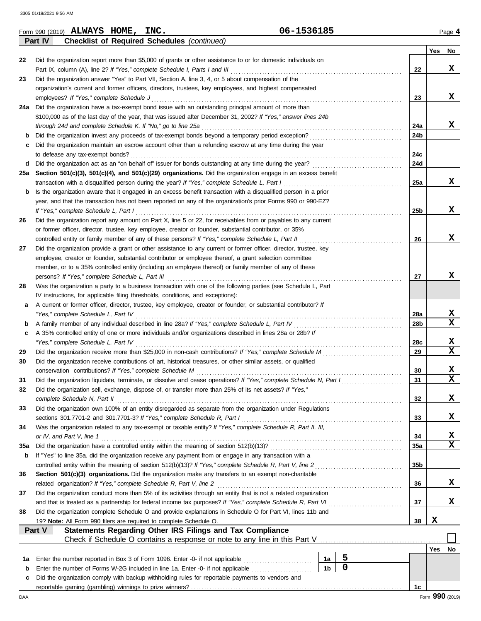| Part IV<br><b>Checklist of Required Schedules (continued)</b><br>Yes<br>No<br>Did the organization report more than \$5,000 of grants or other assistance to or for domestic individuals on<br>22<br>X<br>Part IX, column (A), line 2? If "Yes," complete Schedule I, Parts I and III<br>22<br>Did the organization answer "Yes" to Part VII, Section A, line 3, 4, or 5 about compensation of the<br>23<br>organization's current and former officers, directors, trustees, key employees, and highest compensated<br>X<br>employees? If "Yes," complete Schedule J<br>23<br>Did the organization have a tax-exempt bond issue with an outstanding principal amount of more than<br>24a<br>\$100,000 as of the last day of the year, that was issued after December 31, 2002? If "Yes," answer lines 24b<br>X<br>through 24d and complete Schedule K. If "No," go to line 25a<br>24a<br>Did the organization invest any proceeds of tax-exempt bonds beyond a temporary period exception?<br>24b<br>b<br>Did the organization maintain an escrow account other than a refunding escrow at any time during the year<br>c<br>24c<br>to defease any tax-exempt bonds?<br>24d<br>d<br>Section 501(c)(3), 501(c)(4), and 501(c)(29) organizations. Did the organization engage in an excess benefit<br>25a<br>x<br>transaction with a disqualified person during the year? If "Yes," complete Schedule L, Part I<br>25a<br>Is the organization aware that it engaged in an excess benefit transaction with a disqualified person in a prior<br>b<br>year, and that the transaction has not been reported on any of the organization's prior Forms 990 or 990-EZ?<br>X<br>25 <sub>b</sub><br>If "Yes," complete Schedule L, Part I<br>Did the organization report any amount on Part X, line 5 or 22, for receivables from or payables to any current<br>26<br>or former officer, director, trustee, key employee, creator or founder, substantial contributor, or 35%<br>X<br>controlled entity or family member of any of these persons? If "Yes," complete Schedule L, Part II<br>26<br>Did the organization provide a grant or other assistance to any current or former officer, director, trustee, key<br>27<br>employee, creator or founder, substantial contributor or employee thereof, a grant selection committee<br>member, or to a 35% controlled entity (including an employee thereof) or family member of any of these<br>x<br>persons? If "Yes," complete Schedule L, Part III<br>27<br>Was the organization a party to a business transaction with one of the following parties (see Schedule L, Part<br>28<br>IV instructions, for applicable filing thresholds, conditions, and exceptions):<br>A current or former officer, director, trustee, key employee, creator or founder, or substantial contributor? If<br>а<br>X<br>"Yes," complete Schedule L, Part IV<br>28a<br>$\mathbf x$<br>A family member of any individual described in line 28a? If "Yes," complete Schedule L, Part IV<br>28b<br>b<br>A 35% controlled entity of one or more individuals and/or organizations described in lines 28a or 28b? If<br>c<br>x<br>"Yes," complete Schedule L, Part IV<br>28c<br>$\mathbf x$<br>29<br>29<br>Did the organization receive contributions of art, historical treasures, or other similar assets, or qualified<br>30<br>x<br>conservation contributions? If "Yes," complete Schedule M<br>30<br>.<br>$\overline{\textbf{X}}$<br>31<br>Did the organization liquidate, terminate, or dissolve and cease operations? If "Yes," complete Schedule N, Part I<br>31<br>Did the organization sell, exchange, dispose of, or transfer more than 25% of its net assets? If "Yes,"<br>32<br>x<br>complete Schedule N, Part II<br>32<br>Did the organization own 100% of an entity disregarded as separate from the organization under Regulations<br>33<br>x<br>sections 301.7701-2 and 301.7701-3? If "Yes," complete Schedule R, Part I<br>33<br>Was the organization related to any tax-exempt or taxable entity? If "Yes," complete Schedule R, Part II, III,<br>34<br>X<br>or IV, and Part V, line 1<br>34<br>$\mathbf x$<br><b>35a</b><br>35a<br>If "Yes" to line 35a, did the organization receive any payment from or engage in any transaction with a<br>b<br>controlled entity within the meaning of section 512(b)(13)? If "Yes," complete Schedule R, Part V, line 2<br>35 <sub>b</sub><br>Section 501(c)(3) organizations. Did the organization make any transfers to an exempt non-charitable<br>36<br>x<br>related organization? If "Yes," complete Schedule R, Part V, line 2<br>36<br>Did the organization conduct more than 5% of its activities through an entity that is not a related organization<br>37<br>x<br>and that is treated as a partnership for federal income tax purposes? If "Yes," complete Schedule R, Part VI<br>37<br>Did the organization complete Schedule O and provide explanations in Schedule O for Part VI, lines 11b and<br>38<br>X<br>19? Note: All Form 990 filers are required to complete Schedule O.<br>38<br>Statements Regarding Other IRS Filings and Tax Compliance<br>Part V<br>Check if Schedule O contains a response or note to any line in this Part V [11] Check if Schedule O contains a response or note to any line in this Part V<br>Yes<br>No<br>5<br>Enter the number reported in Box 3 of Form 1096. Enter -0- if not applicable<br>1a<br>1a<br>$\overline{0}$<br>1 <sub>b</sub><br>Enter the number of Forms W-2G included in line 1a. Enter -0- if not applicable<br>b<br>Did the organization comply with backup withholding rules for reportable payments to vendors and<br>c<br>1c |     | Form 990 (2019) ALWAYS HOME, INC. | 06-1536185 |  | Page 4 |
|-----------------------------------------------------------------------------------------------------------------------------------------------------------------------------------------------------------------------------------------------------------------------------------------------------------------------------------------------------------------------------------------------------------------------------------------------------------------------------------------------------------------------------------------------------------------------------------------------------------------------------------------------------------------------------------------------------------------------------------------------------------------------------------------------------------------------------------------------------------------------------------------------------------------------------------------------------------------------------------------------------------------------------------------------------------------------------------------------------------------------------------------------------------------------------------------------------------------------------------------------------------------------------------------------------------------------------------------------------------------------------------------------------------------------------------------------------------------------------------------------------------------------------------------------------------------------------------------------------------------------------------------------------------------------------------------------------------------------------------------------------------------------------------------------------------------------------------------------------------------------------------------------------------------------------------------------------------------------------------------------------------------------------------------------------------------------------------------------------------------------------------------------------------------------------------------------------------------------------------------------------------------------------------------------------------------------------------------------------------------------------------------------------------------------------------------------------------------------------------------------------------------------------------------------------------------------------------------------------------------------------------------------------------------------------------------------------------------------------------------------------------------------------------------------------------------------------------------------------------------------------------------------------------------------------------------------------------------------------------------------------------------------------------------------------------------------------------------------------------------------------------------------------------------------------------------------------------------------------------------------------------------------------------------------------------------------------------------------------------------------------------------------------------------------------------------------------------------------------------------------------------------------------------------------------------------------------------------------------------------------------------------------------------------------------------------------------------------------------------------------------------------------------------------------------------------------------------------------------------------------------------------------------------------------------------------------------------------------------------------------------------------------------------------------------------------------------------------------------------------------------------------------------------------------------------------------------------------------------------------------------------------------------------------------------------------------------------------------------------------------------------------------------------------------------------------------------------------------------------------------------------------------------------------------------------------------------------------------------------------------------------------------------------------------------------------------------------------------------------------------------------------------------------------------------------------------------------------------------------------------------------------------------------------------------------------------------------------------------------------------------------------------------------------------------------------------------------------------------------------------------------------------------------------------------------------------------------------------------------------------------------------------------------------------------------------------------------------------------------------------------------------------------------------------------------------------------------------------------------------------------------------------------------------------------------------------------------------------------------------------------------------------------------------------------|-----|-----------------------------------|------------|--|--------|
|                                                                                                                                                                                                                                                                                                                                                                                                                                                                                                                                                                                                                                                                                                                                                                                                                                                                                                                                                                                                                                                                                                                                                                                                                                                                                                                                                                                                                                                                                                                                                                                                                                                                                                                                                                                                                                                                                                                                                                                                                                                                                                                                                                                                                                                                                                                                                                                                                                                                                                                                                                                                                                                                                                                                                                                                                                                                                                                                                                                                                                                                                                                                                                                                                                                                                                                                                                                                                                                                                                                                                                                                                                                                                                                                                                                                                                                                                                                                                                                                                                                                                                                                                                                                                                                                                                                                                                                                                                                                                                                                                                                                                                                                                                                                                                                                                                                                                                                                                                                                                                                                                                                                                                                                                                                                                                                                                                                                                                                                                                                                                                                                                                                                             |     |                                   |            |  |        |
|                                                                                                                                                                                                                                                                                                                                                                                                                                                                                                                                                                                                                                                                                                                                                                                                                                                                                                                                                                                                                                                                                                                                                                                                                                                                                                                                                                                                                                                                                                                                                                                                                                                                                                                                                                                                                                                                                                                                                                                                                                                                                                                                                                                                                                                                                                                                                                                                                                                                                                                                                                                                                                                                                                                                                                                                                                                                                                                                                                                                                                                                                                                                                                                                                                                                                                                                                                                                                                                                                                                                                                                                                                                                                                                                                                                                                                                                                                                                                                                                                                                                                                                                                                                                                                                                                                                                                                                                                                                                                                                                                                                                                                                                                                                                                                                                                                                                                                                                                                                                                                                                                                                                                                                                                                                                                                                                                                                                                                                                                                                                                                                                                                                                             |     |                                   |            |  |        |
|                                                                                                                                                                                                                                                                                                                                                                                                                                                                                                                                                                                                                                                                                                                                                                                                                                                                                                                                                                                                                                                                                                                                                                                                                                                                                                                                                                                                                                                                                                                                                                                                                                                                                                                                                                                                                                                                                                                                                                                                                                                                                                                                                                                                                                                                                                                                                                                                                                                                                                                                                                                                                                                                                                                                                                                                                                                                                                                                                                                                                                                                                                                                                                                                                                                                                                                                                                                                                                                                                                                                                                                                                                                                                                                                                                                                                                                                                                                                                                                                                                                                                                                                                                                                                                                                                                                                                                                                                                                                                                                                                                                                                                                                                                                                                                                                                                                                                                                                                                                                                                                                                                                                                                                                                                                                                                                                                                                                                                                                                                                                                                                                                                                                             |     |                                   |            |  |        |
|                                                                                                                                                                                                                                                                                                                                                                                                                                                                                                                                                                                                                                                                                                                                                                                                                                                                                                                                                                                                                                                                                                                                                                                                                                                                                                                                                                                                                                                                                                                                                                                                                                                                                                                                                                                                                                                                                                                                                                                                                                                                                                                                                                                                                                                                                                                                                                                                                                                                                                                                                                                                                                                                                                                                                                                                                                                                                                                                                                                                                                                                                                                                                                                                                                                                                                                                                                                                                                                                                                                                                                                                                                                                                                                                                                                                                                                                                                                                                                                                                                                                                                                                                                                                                                                                                                                                                                                                                                                                                                                                                                                                                                                                                                                                                                                                                                                                                                                                                                                                                                                                                                                                                                                                                                                                                                                                                                                                                                                                                                                                                                                                                                                                             |     |                                   |            |  |        |
|                                                                                                                                                                                                                                                                                                                                                                                                                                                                                                                                                                                                                                                                                                                                                                                                                                                                                                                                                                                                                                                                                                                                                                                                                                                                                                                                                                                                                                                                                                                                                                                                                                                                                                                                                                                                                                                                                                                                                                                                                                                                                                                                                                                                                                                                                                                                                                                                                                                                                                                                                                                                                                                                                                                                                                                                                                                                                                                                                                                                                                                                                                                                                                                                                                                                                                                                                                                                                                                                                                                                                                                                                                                                                                                                                                                                                                                                                                                                                                                                                                                                                                                                                                                                                                                                                                                                                                                                                                                                                                                                                                                                                                                                                                                                                                                                                                                                                                                                                                                                                                                                                                                                                                                                                                                                                                                                                                                                                                                                                                                                                                                                                                                                             |     |                                   |            |  |        |
|                                                                                                                                                                                                                                                                                                                                                                                                                                                                                                                                                                                                                                                                                                                                                                                                                                                                                                                                                                                                                                                                                                                                                                                                                                                                                                                                                                                                                                                                                                                                                                                                                                                                                                                                                                                                                                                                                                                                                                                                                                                                                                                                                                                                                                                                                                                                                                                                                                                                                                                                                                                                                                                                                                                                                                                                                                                                                                                                                                                                                                                                                                                                                                                                                                                                                                                                                                                                                                                                                                                                                                                                                                                                                                                                                                                                                                                                                                                                                                                                                                                                                                                                                                                                                                                                                                                                                                                                                                                                                                                                                                                                                                                                                                                                                                                                                                                                                                                                                                                                                                                                                                                                                                                                                                                                                                                                                                                                                                                                                                                                                                                                                                                                             |     |                                   |            |  |        |
|                                                                                                                                                                                                                                                                                                                                                                                                                                                                                                                                                                                                                                                                                                                                                                                                                                                                                                                                                                                                                                                                                                                                                                                                                                                                                                                                                                                                                                                                                                                                                                                                                                                                                                                                                                                                                                                                                                                                                                                                                                                                                                                                                                                                                                                                                                                                                                                                                                                                                                                                                                                                                                                                                                                                                                                                                                                                                                                                                                                                                                                                                                                                                                                                                                                                                                                                                                                                                                                                                                                                                                                                                                                                                                                                                                                                                                                                                                                                                                                                                                                                                                                                                                                                                                                                                                                                                                                                                                                                                                                                                                                                                                                                                                                                                                                                                                                                                                                                                                                                                                                                                                                                                                                                                                                                                                                                                                                                                                                                                                                                                                                                                                                                             |     |                                   |            |  |        |
|                                                                                                                                                                                                                                                                                                                                                                                                                                                                                                                                                                                                                                                                                                                                                                                                                                                                                                                                                                                                                                                                                                                                                                                                                                                                                                                                                                                                                                                                                                                                                                                                                                                                                                                                                                                                                                                                                                                                                                                                                                                                                                                                                                                                                                                                                                                                                                                                                                                                                                                                                                                                                                                                                                                                                                                                                                                                                                                                                                                                                                                                                                                                                                                                                                                                                                                                                                                                                                                                                                                                                                                                                                                                                                                                                                                                                                                                                                                                                                                                                                                                                                                                                                                                                                                                                                                                                                                                                                                                                                                                                                                                                                                                                                                                                                                                                                                                                                                                                                                                                                                                                                                                                                                                                                                                                                                                                                                                                                                                                                                                                                                                                                                                             |     |                                   |            |  |        |
|                                                                                                                                                                                                                                                                                                                                                                                                                                                                                                                                                                                                                                                                                                                                                                                                                                                                                                                                                                                                                                                                                                                                                                                                                                                                                                                                                                                                                                                                                                                                                                                                                                                                                                                                                                                                                                                                                                                                                                                                                                                                                                                                                                                                                                                                                                                                                                                                                                                                                                                                                                                                                                                                                                                                                                                                                                                                                                                                                                                                                                                                                                                                                                                                                                                                                                                                                                                                                                                                                                                                                                                                                                                                                                                                                                                                                                                                                                                                                                                                                                                                                                                                                                                                                                                                                                                                                                                                                                                                                                                                                                                                                                                                                                                                                                                                                                                                                                                                                                                                                                                                                                                                                                                                                                                                                                                                                                                                                                                                                                                                                                                                                                                                             |     |                                   |            |  |        |
|                                                                                                                                                                                                                                                                                                                                                                                                                                                                                                                                                                                                                                                                                                                                                                                                                                                                                                                                                                                                                                                                                                                                                                                                                                                                                                                                                                                                                                                                                                                                                                                                                                                                                                                                                                                                                                                                                                                                                                                                                                                                                                                                                                                                                                                                                                                                                                                                                                                                                                                                                                                                                                                                                                                                                                                                                                                                                                                                                                                                                                                                                                                                                                                                                                                                                                                                                                                                                                                                                                                                                                                                                                                                                                                                                                                                                                                                                                                                                                                                                                                                                                                                                                                                                                                                                                                                                                                                                                                                                                                                                                                                                                                                                                                                                                                                                                                                                                                                                                                                                                                                                                                                                                                                                                                                                                                                                                                                                                                                                                                                                                                                                                                                             |     |                                   |            |  |        |
|                                                                                                                                                                                                                                                                                                                                                                                                                                                                                                                                                                                                                                                                                                                                                                                                                                                                                                                                                                                                                                                                                                                                                                                                                                                                                                                                                                                                                                                                                                                                                                                                                                                                                                                                                                                                                                                                                                                                                                                                                                                                                                                                                                                                                                                                                                                                                                                                                                                                                                                                                                                                                                                                                                                                                                                                                                                                                                                                                                                                                                                                                                                                                                                                                                                                                                                                                                                                                                                                                                                                                                                                                                                                                                                                                                                                                                                                                                                                                                                                                                                                                                                                                                                                                                                                                                                                                                                                                                                                                                                                                                                                                                                                                                                                                                                                                                                                                                                                                                                                                                                                                                                                                                                                                                                                                                                                                                                                                                                                                                                                                                                                                                                                             |     |                                   |            |  |        |
|                                                                                                                                                                                                                                                                                                                                                                                                                                                                                                                                                                                                                                                                                                                                                                                                                                                                                                                                                                                                                                                                                                                                                                                                                                                                                                                                                                                                                                                                                                                                                                                                                                                                                                                                                                                                                                                                                                                                                                                                                                                                                                                                                                                                                                                                                                                                                                                                                                                                                                                                                                                                                                                                                                                                                                                                                                                                                                                                                                                                                                                                                                                                                                                                                                                                                                                                                                                                                                                                                                                                                                                                                                                                                                                                                                                                                                                                                                                                                                                                                                                                                                                                                                                                                                                                                                                                                                                                                                                                                                                                                                                                                                                                                                                                                                                                                                                                                                                                                                                                                                                                                                                                                                                                                                                                                                                                                                                                                                                                                                                                                                                                                                                                             |     |                                   |            |  |        |
|                                                                                                                                                                                                                                                                                                                                                                                                                                                                                                                                                                                                                                                                                                                                                                                                                                                                                                                                                                                                                                                                                                                                                                                                                                                                                                                                                                                                                                                                                                                                                                                                                                                                                                                                                                                                                                                                                                                                                                                                                                                                                                                                                                                                                                                                                                                                                                                                                                                                                                                                                                                                                                                                                                                                                                                                                                                                                                                                                                                                                                                                                                                                                                                                                                                                                                                                                                                                                                                                                                                                                                                                                                                                                                                                                                                                                                                                                                                                                                                                                                                                                                                                                                                                                                                                                                                                                                                                                                                                                                                                                                                                                                                                                                                                                                                                                                                                                                                                                                                                                                                                                                                                                                                                                                                                                                                                                                                                                                                                                                                                                                                                                                                                             |     |                                   |            |  |        |
|                                                                                                                                                                                                                                                                                                                                                                                                                                                                                                                                                                                                                                                                                                                                                                                                                                                                                                                                                                                                                                                                                                                                                                                                                                                                                                                                                                                                                                                                                                                                                                                                                                                                                                                                                                                                                                                                                                                                                                                                                                                                                                                                                                                                                                                                                                                                                                                                                                                                                                                                                                                                                                                                                                                                                                                                                                                                                                                                                                                                                                                                                                                                                                                                                                                                                                                                                                                                                                                                                                                                                                                                                                                                                                                                                                                                                                                                                                                                                                                                                                                                                                                                                                                                                                                                                                                                                                                                                                                                                                                                                                                                                                                                                                                                                                                                                                                                                                                                                                                                                                                                                                                                                                                                                                                                                                                                                                                                                                                                                                                                                                                                                                                                             |     |                                   |            |  |        |
|                                                                                                                                                                                                                                                                                                                                                                                                                                                                                                                                                                                                                                                                                                                                                                                                                                                                                                                                                                                                                                                                                                                                                                                                                                                                                                                                                                                                                                                                                                                                                                                                                                                                                                                                                                                                                                                                                                                                                                                                                                                                                                                                                                                                                                                                                                                                                                                                                                                                                                                                                                                                                                                                                                                                                                                                                                                                                                                                                                                                                                                                                                                                                                                                                                                                                                                                                                                                                                                                                                                                                                                                                                                                                                                                                                                                                                                                                                                                                                                                                                                                                                                                                                                                                                                                                                                                                                                                                                                                                                                                                                                                                                                                                                                                                                                                                                                                                                                                                                                                                                                                                                                                                                                                                                                                                                                                                                                                                                                                                                                                                                                                                                                                             |     |                                   |            |  |        |
|                                                                                                                                                                                                                                                                                                                                                                                                                                                                                                                                                                                                                                                                                                                                                                                                                                                                                                                                                                                                                                                                                                                                                                                                                                                                                                                                                                                                                                                                                                                                                                                                                                                                                                                                                                                                                                                                                                                                                                                                                                                                                                                                                                                                                                                                                                                                                                                                                                                                                                                                                                                                                                                                                                                                                                                                                                                                                                                                                                                                                                                                                                                                                                                                                                                                                                                                                                                                                                                                                                                                                                                                                                                                                                                                                                                                                                                                                                                                                                                                                                                                                                                                                                                                                                                                                                                                                                                                                                                                                                                                                                                                                                                                                                                                                                                                                                                                                                                                                                                                                                                                                                                                                                                                                                                                                                                                                                                                                                                                                                                                                                                                                                                                             |     |                                   |            |  |        |
|                                                                                                                                                                                                                                                                                                                                                                                                                                                                                                                                                                                                                                                                                                                                                                                                                                                                                                                                                                                                                                                                                                                                                                                                                                                                                                                                                                                                                                                                                                                                                                                                                                                                                                                                                                                                                                                                                                                                                                                                                                                                                                                                                                                                                                                                                                                                                                                                                                                                                                                                                                                                                                                                                                                                                                                                                                                                                                                                                                                                                                                                                                                                                                                                                                                                                                                                                                                                                                                                                                                                                                                                                                                                                                                                                                                                                                                                                                                                                                                                                                                                                                                                                                                                                                                                                                                                                                                                                                                                                                                                                                                                                                                                                                                                                                                                                                                                                                                                                                                                                                                                                                                                                                                                                                                                                                                                                                                                                                                                                                                                                                                                                                                                             |     |                                   |            |  |        |
|                                                                                                                                                                                                                                                                                                                                                                                                                                                                                                                                                                                                                                                                                                                                                                                                                                                                                                                                                                                                                                                                                                                                                                                                                                                                                                                                                                                                                                                                                                                                                                                                                                                                                                                                                                                                                                                                                                                                                                                                                                                                                                                                                                                                                                                                                                                                                                                                                                                                                                                                                                                                                                                                                                                                                                                                                                                                                                                                                                                                                                                                                                                                                                                                                                                                                                                                                                                                                                                                                                                                                                                                                                                                                                                                                                                                                                                                                                                                                                                                                                                                                                                                                                                                                                                                                                                                                                                                                                                                                                                                                                                                                                                                                                                                                                                                                                                                                                                                                                                                                                                                                                                                                                                                                                                                                                                                                                                                                                                                                                                                                                                                                                                                             |     |                                   |            |  |        |
|                                                                                                                                                                                                                                                                                                                                                                                                                                                                                                                                                                                                                                                                                                                                                                                                                                                                                                                                                                                                                                                                                                                                                                                                                                                                                                                                                                                                                                                                                                                                                                                                                                                                                                                                                                                                                                                                                                                                                                                                                                                                                                                                                                                                                                                                                                                                                                                                                                                                                                                                                                                                                                                                                                                                                                                                                                                                                                                                                                                                                                                                                                                                                                                                                                                                                                                                                                                                                                                                                                                                                                                                                                                                                                                                                                                                                                                                                                                                                                                                                                                                                                                                                                                                                                                                                                                                                                                                                                                                                                                                                                                                                                                                                                                                                                                                                                                                                                                                                                                                                                                                                                                                                                                                                                                                                                                                                                                                                                                                                                                                                                                                                                                                             |     |                                   |            |  |        |
|                                                                                                                                                                                                                                                                                                                                                                                                                                                                                                                                                                                                                                                                                                                                                                                                                                                                                                                                                                                                                                                                                                                                                                                                                                                                                                                                                                                                                                                                                                                                                                                                                                                                                                                                                                                                                                                                                                                                                                                                                                                                                                                                                                                                                                                                                                                                                                                                                                                                                                                                                                                                                                                                                                                                                                                                                                                                                                                                                                                                                                                                                                                                                                                                                                                                                                                                                                                                                                                                                                                                                                                                                                                                                                                                                                                                                                                                                                                                                                                                                                                                                                                                                                                                                                                                                                                                                                                                                                                                                                                                                                                                                                                                                                                                                                                                                                                                                                                                                                                                                                                                                                                                                                                                                                                                                                                                                                                                                                                                                                                                                                                                                                                                             |     |                                   |            |  |        |
|                                                                                                                                                                                                                                                                                                                                                                                                                                                                                                                                                                                                                                                                                                                                                                                                                                                                                                                                                                                                                                                                                                                                                                                                                                                                                                                                                                                                                                                                                                                                                                                                                                                                                                                                                                                                                                                                                                                                                                                                                                                                                                                                                                                                                                                                                                                                                                                                                                                                                                                                                                                                                                                                                                                                                                                                                                                                                                                                                                                                                                                                                                                                                                                                                                                                                                                                                                                                                                                                                                                                                                                                                                                                                                                                                                                                                                                                                                                                                                                                                                                                                                                                                                                                                                                                                                                                                                                                                                                                                                                                                                                                                                                                                                                                                                                                                                                                                                                                                                                                                                                                                                                                                                                                                                                                                                                                                                                                                                                                                                                                                                                                                                                                             |     |                                   |            |  |        |
|                                                                                                                                                                                                                                                                                                                                                                                                                                                                                                                                                                                                                                                                                                                                                                                                                                                                                                                                                                                                                                                                                                                                                                                                                                                                                                                                                                                                                                                                                                                                                                                                                                                                                                                                                                                                                                                                                                                                                                                                                                                                                                                                                                                                                                                                                                                                                                                                                                                                                                                                                                                                                                                                                                                                                                                                                                                                                                                                                                                                                                                                                                                                                                                                                                                                                                                                                                                                                                                                                                                                                                                                                                                                                                                                                                                                                                                                                                                                                                                                                                                                                                                                                                                                                                                                                                                                                                                                                                                                                                                                                                                                                                                                                                                                                                                                                                                                                                                                                                                                                                                                                                                                                                                                                                                                                                                                                                                                                                                                                                                                                                                                                                                                             |     |                                   |            |  |        |
|                                                                                                                                                                                                                                                                                                                                                                                                                                                                                                                                                                                                                                                                                                                                                                                                                                                                                                                                                                                                                                                                                                                                                                                                                                                                                                                                                                                                                                                                                                                                                                                                                                                                                                                                                                                                                                                                                                                                                                                                                                                                                                                                                                                                                                                                                                                                                                                                                                                                                                                                                                                                                                                                                                                                                                                                                                                                                                                                                                                                                                                                                                                                                                                                                                                                                                                                                                                                                                                                                                                                                                                                                                                                                                                                                                                                                                                                                                                                                                                                                                                                                                                                                                                                                                                                                                                                                                                                                                                                                                                                                                                                                                                                                                                                                                                                                                                                                                                                                                                                                                                                                                                                                                                                                                                                                                                                                                                                                                                                                                                                                                                                                                                                             |     |                                   |            |  |        |
|                                                                                                                                                                                                                                                                                                                                                                                                                                                                                                                                                                                                                                                                                                                                                                                                                                                                                                                                                                                                                                                                                                                                                                                                                                                                                                                                                                                                                                                                                                                                                                                                                                                                                                                                                                                                                                                                                                                                                                                                                                                                                                                                                                                                                                                                                                                                                                                                                                                                                                                                                                                                                                                                                                                                                                                                                                                                                                                                                                                                                                                                                                                                                                                                                                                                                                                                                                                                                                                                                                                                                                                                                                                                                                                                                                                                                                                                                                                                                                                                                                                                                                                                                                                                                                                                                                                                                                                                                                                                                                                                                                                                                                                                                                                                                                                                                                                                                                                                                                                                                                                                                                                                                                                                                                                                                                                                                                                                                                                                                                                                                                                                                                                                             |     |                                   |            |  |        |
|                                                                                                                                                                                                                                                                                                                                                                                                                                                                                                                                                                                                                                                                                                                                                                                                                                                                                                                                                                                                                                                                                                                                                                                                                                                                                                                                                                                                                                                                                                                                                                                                                                                                                                                                                                                                                                                                                                                                                                                                                                                                                                                                                                                                                                                                                                                                                                                                                                                                                                                                                                                                                                                                                                                                                                                                                                                                                                                                                                                                                                                                                                                                                                                                                                                                                                                                                                                                                                                                                                                                                                                                                                                                                                                                                                                                                                                                                                                                                                                                                                                                                                                                                                                                                                                                                                                                                                                                                                                                                                                                                                                                                                                                                                                                                                                                                                                                                                                                                                                                                                                                                                                                                                                                                                                                                                                                                                                                                                                                                                                                                                                                                                                                             |     |                                   |            |  |        |
|                                                                                                                                                                                                                                                                                                                                                                                                                                                                                                                                                                                                                                                                                                                                                                                                                                                                                                                                                                                                                                                                                                                                                                                                                                                                                                                                                                                                                                                                                                                                                                                                                                                                                                                                                                                                                                                                                                                                                                                                                                                                                                                                                                                                                                                                                                                                                                                                                                                                                                                                                                                                                                                                                                                                                                                                                                                                                                                                                                                                                                                                                                                                                                                                                                                                                                                                                                                                                                                                                                                                                                                                                                                                                                                                                                                                                                                                                                                                                                                                                                                                                                                                                                                                                                                                                                                                                                                                                                                                                                                                                                                                                                                                                                                                                                                                                                                                                                                                                                                                                                                                                                                                                                                                                                                                                                                                                                                                                                                                                                                                                                                                                                                                             |     |                                   |            |  |        |
|                                                                                                                                                                                                                                                                                                                                                                                                                                                                                                                                                                                                                                                                                                                                                                                                                                                                                                                                                                                                                                                                                                                                                                                                                                                                                                                                                                                                                                                                                                                                                                                                                                                                                                                                                                                                                                                                                                                                                                                                                                                                                                                                                                                                                                                                                                                                                                                                                                                                                                                                                                                                                                                                                                                                                                                                                                                                                                                                                                                                                                                                                                                                                                                                                                                                                                                                                                                                                                                                                                                                                                                                                                                                                                                                                                                                                                                                                                                                                                                                                                                                                                                                                                                                                                                                                                                                                                                                                                                                                                                                                                                                                                                                                                                                                                                                                                                                                                                                                                                                                                                                                                                                                                                                                                                                                                                                                                                                                                                                                                                                                                                                                                                                             |     |                                   |            |  |        |
|                                                                                                                                                                                                                                                                                                                                                                                                                                                                                                                                                                                                                                                                                                                                                                                                                                                                                                                                                                                                                                                                                                                                                                                                                                                                                                                                                                                                                                                                                                                                                                                                                                                                                                                                                                                                                                                                                                                                                                                                                                                                                                                                                                                                                                                                                                                                                                                                                                                                                                                                                                                                                                                                                                                                                                                                                                                                                                                                                                                                                                                                                                                                                                                                                                                                                                                                                                                                                                                                                                                                                                                                                                                                                                                                                                                                                                                                                                                                                                                                                                                                                                                                                                                                                                                                                                                                                                                                                                                                                                                                                                                                                                                                                                                                                                                                                                                                                                                                                                                                                                                                                                                                                                                                                                                                                                                                                                                                                                                                                                                                                                                                                                                                             |     |                                   |            |  |        |
|                                                                                                                                                                                                                                                                                                                                                                                                                                                                                                                                                                                                                                                                                                                                                                                                                                                                                                                                                                                                                                                                                                                                                                                                                                                                                                                                                                                                                                                                                                                                                                                                                                                                                                                                                                                                                                                                                                                                                                                                                                                                                                                                                                                                                                                                                                                                                                                                                                                                                                                                                                                                                                                                                                                                                                                                                                                                                                                                                                                                                                                                                                                                                                                                                                                                                                                                                                                                                                                                                                                                                                                                                                                                                                                                                                                                                                                                                                                                                                                                                                                                                                                                                                                                                                                                                                                                                                                                                                                                                                                                                                                                                                                                                                                                                                                                                                                                                                                                                                                                                                                                                                                                                                                                                                                                                                                                                                                                                                                                                                                                                                                                                                                                             |     |                                   |            |  |        |
|                                                                                                                                                                                                                                                                                                                                                                                                                                                                                                                                                                                                                                                                                                                                                                                                                                                                                                                                                                                                                                                                                                                                                                                                                                                                                                                                                                                                                                                                                                                                                                                                                                                                                                                                                                                                                                                                                                                                                                                                                                                                                                                                                                                                                                                                                                                                                                                                                                                                                                                                                                                                                                                                                                                                                                                                                                                                                                                                                                                                                                                                                                                                                                                                                                                                                                                                                                                                                                                                                                                                                                                                                                                                                                                                                                                                                                                                                                                                                                                                                                                                                                                                                                                                                                                                                                                                                                                                                                                                                                                                                                                                                                                                                                                                                                                                                                                                                                                                                                                                                                                                                                                                                                                                                                                                                                                                                                                                                                                                                                                                                                                                                                                                             |     |                                   |            |  |        |
|                                                                                                                                                                                                                                                                                                                                                                                                                                                                                                                                                                                                                                                                                                                                                                                                                                                                                                                                                                                                                                                                                                                                                                                                                                                                                                                                                                                                                                                                                                                                                                                                                                                                                                                                                                                                                                                                                                                                                                                                                                                                                                                                                                                                                                                                                                                                                                                                                                                                                                                                                                                                                                                                                                                                                                                                                                                                                                                                                                                                                                                                                                                                                                                                                                                                                                                                                                                                                                                                                                                                                                                                                                                                                                                                                                                                                                                                                                                                                                                                                                                                                                                                                                                                                                                                                                                                                                                                                                                                                                                                                                                                                                                                                                                                                                                                                                                                                                                                                                                                                                                                                                                                                                                                                                                                                                                                                                                                                                                                                                                                                                                                                                                                             |     |                                   |            |  |        |
|                                                                                                                                                                                                                                                                                                                                                                                                                                                                                                                                                                                                                                                                                                                                                                                                                                                                                                                                                                                                                                                                                                                                                                                                                                                                                                                                                                                                                                                                                                                                                                                                                                                                                                                                                                                                                                                                                                                                                                                                                                                                                                                                                                                                                                                                                                                                                                                                                                                                                                                                                                                                                                                                                                                                                                                                                                                                                                                                                                                                                                                                                                                                                                                                                                                                                                                                                                                                                                                                                                                                                                                                                                                                                                                                                                                                                                                                                                                                                                                                                                                                                                                                                                                                                                                                                                                                                                                                                                                                                                                                                                                                                                                                                                                                                                                                                                                                                                                                                                                                                                                                                                                                                                                                                                                                                                                                                                                                                                                                                                                                                                                                                                                                             |     |                                   |            |  |        |
|                                                                                                                                                                                                                                                                                                                                                                                                                                                                                                                                                                                                                                                                                                                                                                                                                                                                                                                                                                                                                                                                                                                                                                                                                                                                                                                                                                                                                                                                                                                                                                                                                                                                                                                                                                                                                                                                                                                                                                                                                                                                                                                                                                                                                                                                                                                                                                                                                                                                                                                                                                                                                                                                                                                                                                                                                                                                                                                                                                                                                                                                                                                                                                                                                                                                                                                                                                                                                                                                                                                                                                                                                                                                                                                                                                                                                                                                                                                                                                                                                                                                                                                                                                                                                                                                                                                                                                                                                                                                                                                                                                                                                                                                                                                                                                                                                                                                                                                                                                                                                                                                                                                                                                                                                                                                                                                                                                                                                                                                                                                                                                                                                                                                             |     |                                   |            |  |        |
|                                                                                                                                                                                                                                                                                                                                                                                                                                                                                                                                                                                                                                                                                                                                                                                                                                                                                                                                                                                                                                                                                                                                                                                                                                                                                                                                                                                                                                                                                                                                                                                                                                                                                                                                                                                                                                                                                                                                                                                                                                                                                                                                                                                                                                                                                                                                                                                                                                                                                                                                                                                                                                                                                                                                                                                                                                                                                                                                                                                                                                                                                                                                                                                                                                                                                                                                                                                                                                                                                                                                                                                                                                                                                                                                                                                                                                                                                                                                                                                                                                                                                                                                                                                                                                                                                                                                                                                                                                                                                                                                                                                                                                                                                                                                                                                                                                                                                                                                                                                                                                                                                                                                                                                                                                                                                                                                                                                                                                                                                                                                                                                                                                                                             |     |                                   |            |  |        |
|                                                                                                                                                                                                                                                                                                                                                                                                                                                                                                                                                                                                                                                                                                                                                                                                                                                                                                                                                                                                                                                                                                                                                                                                                                                                                                                                                                                                                                                                                                                                                                                                                                                                                                                                                                                                                                                                                                                                                                                                                                                                                                                                                                                                                                                                                                                                                                                                                                                                                                                                                                                                                                                                                                                                                                                                                                                                                                                                                                                                                                                                                                                                                                                                                                                                                                                                                                                                                                                                                                                                                                                                                                                                                                                                                                                                                                                                                                                                                                                                                                                                                                                                                                                                                                                                                                                                                                                                                                                                                                                                                                                                                                                                                                                                                                                                                                                                                                                                                                                                                                                                                                                                                                                                                                                                                                                                                                                                                                                                                                                                                                                                                                                                             |     |                                   |            |  |        |
|                                                                                                                                                                                                                                                                                                                                                                                                                                                                                                                                                                                                                                                                                                                                                                                                                                                                                                                                                                                                                                                                                                                                                                                                                                                                                                                                                                                                                                                                                                                                                                                                                                                                                                                                                                                                                                                                                                                                                                                                                                                                                                                                                                                                                                                                                                                                                                                                                                                                                                                                                                                                                                                                                                                                                                                                                                                                                                                                                                                                                                                                                                                                                                                                                                                                                                                                                                                                                                                                                                                                                                                                                                                                                                                                                                                                                                                                                                                                                                                                                                                                                                                                                                                                                                                                                                                                                                                                                                                                                                                                                                                                                                                                                                                                                                                                                                                                                                                                                                                                                                                                                                                                                                                                                                                                                                                                                                                                                                                                                                                                                                                                                                                                             |     |                                   |            |  |        |
|                                                                                                                                                                                                                                                                                                                                                                                                                                                                                                                                                                                                                                                                                                                                                                                                                                                                                                                                                                                                                                                                                                                                                                                                                                                                                                                                                                                                                                                                                                                                                                                                                                                                                                                                                                                                                                                                                                                                                                                                                                                                                                                                                                                                                                                                                                                                                                                                                                                                                                                                                                                                                                                                                                                                                                                                                                                                                                                                                                                                                                                                                                                                                                                                                                                                                                                                                                                                                                                                                                                                                                                                                                                                                                                                                                                                                                                                                                                                                                                                                                                                                                                                                                                                                                                                                                                                                                                                                                                                                                                                                                                                                                                                                                                                                                                                                                                                                                                                                                                                                                                                                                                                                                                                                                                                                                                                                                                                                                                                                                                                                                                                                                                                             |     |                                   |            |  |        |
|                                                                                                                                                                                                                                                                                                                                                                                                                                                                                                                                                                                                                                                                                                                                                                                                                                                                                                                                                                                                                                                                                                                                                                                                                                                                                                                                                                                                                                                                                                                                                                                                                                                                                                                                                                                                                                                                                                                                                                                                                                                                                                                                                                                                                                                                                                                                                                                                                                                                                                                                                                                                                                                                                                                                                                                                                                                                                                                                                                                                                                                                                                                                                                                                                                                                                                                                                                                                                                                                                                                                                                                                                                                                                                                                                                                                                                                                                                                                                                                                                                                                                                                                                                                                                                                                                                                                                                                                                                                                                                                                                                                                                                                                                                                                                                                                                                                                                                                                                                                                                                                                                                                                                                                                                                                                                                                                                                                                                                                                                                                                                                                                                                                                             |     |                                   |            |  |        |
|                                                                                                                                                                                                                                                                                                                                                                                                                                                                                                                                                                                                                                                                                                                                                                                                                                                                                                                                                                                                                                                                                                                                                                                                                                                                                                                                                                                                                                                                                                                                                                                                                                                                                                                                                                                                                                                                                                                                                                                                                                                                                                                                                                                                                                                                                                                                                                                                                                                                                                                                                                                                                                                                                                                                                                                                                                                                                                                                                                                                                                                                                                                                                                                                                                                                                                                                                                                                                                                                                                                                                                                                                                                                                                                                                                                                                                                                                                                                                                                                                                                                                                                                                                                                                                                                                                                                                                                                                                                                                                                                                                                                                                                                                                                                                                                                                                                                                                                                                                                                                                                                                                                                                                                                                                                                                                                                                                                                                                                                                                                                                                                                                                                                             |     |                                   |            |  |        |
|                                                                                                                                                                                                                                                                                                                                                                                                                                                                                                                                                                                                                                                                                                                                                                                                                                                                                                                                                                                                                                                                                                                                                                                                                                                                                                                                                                                                                                                                                                                                                                                                                                                                                                                                                                                                                                                                                                                                                                                                                                                                                                                                                                                                                                                                                                                                                                                                                                                                                                                                                                                                                                                                                                                                                                                                                                                                                                                                                                                                                                                                                                                                                                                                                                                                                                                                                                                                                                                                                                                                                                                                                                                                                                                                                                                                                                                                                                                                                                                                                                                                                                                                                                                                                                                                                                                                                                                                                                                                                                                                                                                                                                                                                                                                                                                                                                                                                                                                                                                                                                                                                                                                                                                                                                                                                                                                                                                                                                                                                                                                                                                                                                                                             |     |                                   |            |  |        |
|                                                                                                                                                                                                                                                                                                                                                                                                                                                                                                                                                                                                                                                                                                                                                                                                                                                                                                                                                                                                                                                                                                                                                                                                                                                                                                                                                                                                                                                                                                                                                                                                                                                                                                                                                                                                                                                                                                                                                                                                                                                                                                                                                                                                                                                                                                                                                                                                                                                                                                                                                                                                                                                                                                                                                                                                                                                                                                                                                                                                                                                                                                                                                                                                                                                                                                                                                                                                                                                                                                                                                                                                                                                                                                                                                                                                                                                                                                                                                                                                                                                                                                                                                                                                                                                                                                                                                                                                                                                                                                                                                                                                                                                                                                                                                                                                                                                                                                                                                                                                                                                                                                                                                                                                                                                                                                                                                                                                                                                                                                                                                                                                                                                                             |     |                                   |            |  |        |
|                                                                                                                                                                                                                                                                                                                                                                                                                                                                                                                                                                                                                                                                                                                                                                                                                                                                                                                                                                                                                                                                                                                                                                                                                                                                                                                                                                                                                                                                                                                                                                                                                                                                                                                                                                                                                                                                                                                                                                                                                                                                                                                                                                                                                                                                                                                                                                                                                                                                                                                                                                                                                                                                                                                                                                                                                                                                                                                                                                                                                                                                                                                                                                                                                                                                                                                                                                                                                                                                                                                                                                                                                                                                                                                                                                                                                                                                                                                                                                                                                                                                                                                                                                                                                                                                                                                                                                                                                                                                                                                                                                                                                                                                                                                                                                                                                                                                                                                                                                                                                                                                                                                                                                                                                                                                                                                                                                                                                                                                                                                                                                                                                                                                             |     |                                   |            |  |        |
|                                                                                                                                                                                                                                                                                                                                                                                                                                                                                                                                                                                                                                                                                                                                                                                                                                                                                                                                                                                                                                                                                                                                                                                                                                                                                                                                                                                                                                                                                                                                                                                                                                                                                                                                                                                                                                                                                                                                                                                                                                                                                                                                                                                                                                                                                                                                                                                                                                                                                                                                                                                                                                                                                                                                                                                                                                                                                                                                                                                                                                                                                                                                                                                                                                                                                                                                                                                                                                                                                                                                                                                                                                                                                                                                                                                                                                                                                                                                                                                                                                                                                                                                                                                                                                                                                                                                                                                                                                                                                                                                                                                                                                                                                                                                                                                                                                                                                                                                                                                                                                                                                                                                                                                                                                                                                                                                                                                                                                                                                                                                                                                                                                                                             |     |                                   |            |  |        |
|                                                                                                                                                                                                                                                                                                                                                                                                                                                                                                                                                                                                                                                                                                                                                                                                                                                                                                                                                                                                                                                                                                                                                                                                                                                                                                                                                                                                                                                                                                                                                                                                                                                                                                                                                                                                                                                                                                                                                                                                                                                                                                                                                                                                                                                                                                                                                                                                                                                                                                                                                                                                                                                                                                                                                                                                                                                                                                                                                                                                                                                                                                                                                                                                                                                                                                                                                                                                                                                                                                                                                                                                                                                                                                                                                                                                                                                                                                                                                                                                                                                                                                                                                                                                                                                                                                                                                                                                                                                                                                                                                                                                                                                                                                                                                                                                                                                                                                                                                                                                                                                                                                                                                                                                                                                                                                                                                                                                                                                                                                                                                                                                                                                                             |     |                                   |            |  |        |
|                                                                                                                                                                                                                                                                                                                                                                                                                                                                                                                                                                                                                                                                                                                                                                                                                                                                                                                                                                                                                                                                                                                                                                                                                                                                                                                                                                                                                                                                                                                                                                                                                                                                                                                                                                                                                                                                                                                                                                                                                                                                                                                                                                                                                                                                                                                                                                                                                                                                                                                                                                                                                                                                                                                                                                                                                                                                                                                                                                                                                                                                                                                                                                                                                                                                                                                                                                                                                                                                                                                                                                                                                                                                                                                                                                                                                                                                                                                                                                                                                                                                                                                                                                                                                                                                                                                                                                                                                                                                                                                                                                                                                                                                                                                                                                                                                                                                                                                                                                                                                                                                                                                                                                                                                                                                                                                                                                                                                                                                                                                                                                                                                                                                             |     |                                   |            |  |        |
|                                                                                                                                                                                                                                                                                                                                                                                                                                                                                                                                                                                                                                                                                                                                                                                                                                                                                                                                                                                                                                                                                                                                                                                                                                                                                                                                                                                                                                                                                                                                                                                                                                                                                                                                                                                                                                                                                                                                                                                                                                                                                                                                                                                                                                                                                                                                                                                                                                                                                                                                                                                                                                                                                                                                                                                                                                                                                                                                                                                                                                                                                                                                                                                                                                                                                                                                                                                                                                                                                                                                                                                                                                                                                                                                                                                                                                                                                                                                                                                                                                                                                                                                                                                                                                                                                                                                                                                                                                                                                                                                                                                                                                                                                                                                                                                                                                                                                                                                                                                                                                                                                                                                                                                                                                                                                                                                                                                                                                                                                                                                                                                                                                                                             |     |                                   |            |  |        |
|                                                                                                                                                                                                                                                                                                                                                                                                                                                                                                                                                                                                                                                                                                                                                                                                                                                                                                                                                                                                                                                                                                                                                                                                                                                                                                                                                                                                                                                                                                                                                                                                                                                                                                                                                                                                                                                                                                                                                                                                                                                                                                                                                                                                                                                                                                                                                                                                                                                                                                                                                                                                                                                                                                                                                                                                                                                                                                                                                                                                                                                                                                                                                                                                                                                                                                                                                                                                                                                                                                                                                                                                                                                                                                                                                                                                                                                                                                                                                                                                                                                                                                                                                                                                                                                                                                                                                                                                                                                                                                                                                                                                                                                                                                                                                                                                                                                                                                                                                                                                                                                                                                                                                                                                                                                                                                                                                                                                                                                                                                                                                                                                                                                                             |     |                                   |            |  |        |
|                                                                                                                                                                                                                                                                                                                                                                                                                                                                                                                                                                                                                                                                                                                                                                                                                                                                                                                                                                                                                                                                                                                                                                                                                                                                                                                                                                                                                                                                                                                                                                                                                                                                                                                                                                                                                                                                                                                                                                                                                                                                                                                                                                                                                                                                                                                                                                                                                                                                                                                                                                                                                                                                                                                                                                                                                                                                                                                                                                                                                                                                                                                                                                                                                                                                                                                                                                                                                                                                                                                                                                                                                                                                                                                                                                                                                                                                                                                                                                                                                                                                                                                                                                                                                                                                                                                                                                                                                                                                                                                                                                                                                                                                                                                                                                                                                                                                                                                                                                                                                                                                                                                                                                                                                                                                                                                                                                                                                                                                                                                                                                                                                                                                             |     |                                   |            |  |        |
|                                                                                                                                                                                                                                                                                                                                                                                                                                                                                                                                                                                                                                                                                                                                                                                                                                                                                                                                                                                                                                                                                                                                                                                                                                                                                                                                                                                                                                                                                                                                                                                                                                                                                                                                                                                                                                                                                                                                                                                                                                                                                                                                                                                                                                                                                                                                                                                                                                                                                                                                                                                                                                                                                                                                                                                                                                                                                                                                                                                                                                                                                                                                                                                                                                                                                                                                                                                                                                                                                                                                                                                                                                                                                                                                                                                                                                                                                                                                                                                                                                                                                                                                                                                                                                                                                                                                                                                                                                                                                                                                                                                                                                                                                                                                                                                                                                                                                                                                                                                                                                                                                                                                                                                                                                                                                                                                                                                                                                                                                                                                                                                                                                                                             |     |                                   |            |  |        |
|                                                                                                                                                                                                                                                                                                                                                                                                                                                                                                                                                                                                                                                                                                                                                                                                                                                                                                                                                                                                                                                                                                                                                                                                                                                                                                                                                                                                                                                                                                                                                                                                                                                                                                                                                                                                                                                                                                                                                                                                                                                                                                                                                                                                                                                                                                                                                                                                                                                                                                                                                                                                                                                                                                                                                                                                                                                                                                                                                                                                                                                                                                                                                                                                                                                                                                                                                                                                                                                                                                                                                                                                                                                                                                                                                                                                                                                                                                                                                                                                                                                                                                                                                                                                                                                                                                                                                                                                                                                                                                                                                                                                                                                                                                                                                                                                                                                                                                                                                                                                                                                                                                                                                                                                                                                                                                                                                                                                                                                                                                                                                                                                                                                                             |     |                                   |            |  |        |
|                                                                                                                                                                                                                                                                                                                                                                                                                                                                                                                                                                                                                                                                                                                                                                                                                                                                                                                                                                                                                                                                                                                                                                                                                                                                                                                                                                                                                                                                                                                                                                                                                                                                                                                                                                                                                                                                                                                                                                                                                                                                                                                                                                                                                                                                                                                                                                                                                                                                                                                                                                                                                                                                                                                                                                                                                                                                                                                                                                                                                                                                                                                                                                                                                                                                                                                                                                                                                                                                                                                                                                                                                                                                                                                                                                                                                                                                                                                                                                                                                                                                                                                                                                                                                                                                                                                                                                                                                                                                                                                                                                                                                                                                                                                                                                                                                                                                                                                                                                                                                                                                                                                                                                                                                                                                                                                                                                                                                                                                                                                                                                                                                                                                             |     |                                   |            |  |        |
|                                                                                                                                                                                                                                                                                                                                                                                                                                                                                                                                                                                                                                                                                                                                                                                                                                                                                                                                                                                                                                                                                                                                                                                                                                                                                                                                                                                                                                                                                                                                                                                                                                                                                                                                                                                                                                                                                                                                                                                                                                                                                                                                                                                                                                                                                                                                                                                                                                                                                                                                                                                                                                                                                                                                                                                                                                                                                                                                                                                                                                                                                                                                                                                                                                                                                                                                                                                                                                                                                                                                                                                                                                                                                                                                                                                                                                                                                                                                                                                                                                                                                                                                                                                                                                                                                                                                                                                                                                                                                                                                                                                                                                                                                                                                                                                                                                                                                                                                                                                                                                                                                                                                                                                                                                                                                                                                                                                                                                                                                                                                                                                                                                                                             |     |                                   |            |  |        |
|                                                                                                                                                                                                                                                                                                                                                                                                                                                                                                                                                                                                                                                                                                                                                                                                                                                                                                                                                                                                                                                                                                                                                                                                                                                                                                                                                                                                                                                                                                                                                                                                                                                                                                                                                                                                                                                                                                                                                                                                                                                                                                                                                                                                                                                                                                                                                                                                                                                                                                                                                                                                                                                                                                                                                                                                                                                                                                                                                                                                                                                                                                                                                                                                                                                                                                                                                                                                                                                                                                                                                                                                                                                                                                                                                                                                                                                                                                                                                                                                                                                                                                                                                                                                                                                                                                                                                                                                                                                                                                                                                                                                                                                                                                                                                                                                                                                                                                                                                                                                                                                                                                                                                                                                                                                                                                                                                                                                                                                                                                                                                                                                                                                                             |     |                                   |            |  |        |
|                                                                                                                                                                                                                                                                                                                                                                                                                                                                                                                                                                                                                                                                                                                                                                                                                                                                                                                                                                                                                                                                                                                                                                                                                                                                                                                                                                                                                                                                                                                                                                                                                                                                                                                                                                                                                                                                                                                                                                                                                                                                                                                                                                                                                                                                                                                                                                                                                                                                                                                                                                                                                                                                                                                                                                                                                                                                                                                                                                                                                                                                                                                                                                                                                                                                                                                                                                                                                                                                                                                                                                                                                                                                                                                                                                                                                                                                                                                                                                                                                                                                                                                                                                                                                                                                                                                                                                                                                                                                                                                                                                                                                                                                                                                                                                                                                                                                                                                                                                                                                                                                                                                                                                                                                                                                                                                                                                                                                                                                                                                                                                                                                                                                             |     |                                   |            |  |        |
|                                                                                                                                                                                                                                                                                                                                                                                                                                                                                                                                                                                                                                                                                                                                                                                                                                                                                                                                                                                                                                                                                                                                                                                                                                                                                                                                                                                                                                                                                                                                                                                                                                                                                                                                                                                                                                                                                                                                                                                                                                                                                                                                                                                                                                                                                                                                                                                                                                                                                                                                                                                                                                                                                                                                                                                                                                                                                                                                                                                                                                                                                                                                                                                                                                                                                                                                                                                                                                                                                                                                                                                                                                                                                                                                                                                                                                                                                                                                                                                                                                                                                                                                                                                                                                                                                                                                                                                                                                                                                                                                                                                                                                                                                                                                                                                                                                                                                                                                                                                                                                                                                                                                                                                                                                                                                                                                                                                                                                                                                                                                                                                                                                                                             |     |                                   |            |  |        |
|                                                                                                                                                                                                                                                                                                                                                                                                                                                                                                                                                                                                                                                                                                                                                                                                                                                                                                                                                                                                                                                                                                                                                                                                                                                                                                                                                                                                                                                                                                                                                                                                                                                                                                                                                                                                                                                                                                                                                                                                                                                                                                                                                                                                                                                                                                                                                                                                                                                                                                                                                                                                                                                                                                                                                                                                                                                                                                                                                                                                                                                                                                                                                                                                                                                                                                                                                                                                                                                                                                                                                                                                                                                                                                                                                                                                                                                                                                                                                                                                                                                                                                                                                                                                                                                                                                                                                                                                                                                                                                                                                                                                                                                                                                                                                                                                                                                                                                                                                                                                                                                                                                                                                                                                                                                                                                                                                                                                                                                                                                                                                                                                                                                                             |     |                                   |            |  |        |
| Form 990 (2019)                                                                                                                                                                                                                                                                                                                                                                                                                                                                                                                                                                                                                                                                                                                                                                                                                                                                                                                                                                                                                                                                                                                                                                                                                                                                                                                                                                                                                                                                                                                                                                                                                                                                                                                                                                                                                                                                                                                                                                                                                                                                                                                                                                                                                                                                                                                                                                                                                                                                                                                                                                                                                                                                                                                                                                                                                                                                                                                                                                                                                                                                                                                                                                                                                                                                                                                                                                                                                                                                                                                                                                                                                                                                                                                                                                                                                                                                                                                                                                                                                                                                                                                                                                                                                                                                                                                                                                                                                                                                                                                                                                                                                                                                                                                                                                                                                                                                                                                                                                                                                                                                                                                                                                                                                                                                                                                                                                                                                                                                                                                                                                                                                                                             |     |                                   |            |  |        |
|                                                                                                                                                                                                                                                                                                                                                                                                                                                                                                                                                                                                                                                                                                                                                                                                                                                                                                                                                                                                                                                                                                                                                                                                                                                                                                                                                                                                                                                                                                                                                                                                                                                                                                                                                                                                                                                                                                                                                                                                                                                                                                                                                                                                                                                                                                                                                                                                                                                                                                                                                                                                                                                                                                                                                                                                                                                                                                                                                                                                                                                                                                                                                                                                                                                                                                                                                                                                                                                                                                                                                                                                                                                                                                                                                                                                                                                                                                                                                                                                                                                                                                                                                                                                                                                                                                                                                                                                                                                                                                                                                                                                                                                                                                                                                                                                                                                                                                                                                                                                                                                                                                                                                                                                                                                                                                                                                                                                                                                                                                                                                                                                                                                                             |     |                                   |            |  |        |
|                                                                                                                                                                                                                                                                                                                                                                                                                                                                                                                                                                                                                                                                                                                                                                                                                                                                                                                                                                                                                                                                                                                                                                                                                                                                                                                                                                                                                                                                                                                                                                                                                                                                                                                                                                                                                                                                                                                                                                                                                                                                                                                                                                                                                                                                                                                                                                                                                                                                                                                                                                                                                                                                                                                                                                                                                                                                                                                                                                                                                                                                                                                                                                                                                                                                                                                                                                                                                                                                                                                                                                                                                                                                                                                                                                                                                                                                                                                                                                                                                                                                                                                                                                                                                                                                                                                                                                                                                                                                                                                                                                                                                                                                                                                                                                                                                                                                                                                                                                                                                                                                                                                                                                                                                                                                                                                                                                                                                                                                                                                                                                                                                                                                             |     |                                   |            |  |        |
|                                                                                                                                                                                                                                                                                                                                                                                                                                                                                                                                                                                                                                                                                                                                                                                                                                                                                                                                                                                                                                                                                                                                                                                                                                                                                                                                                                                                                                                                                                                                                                                                                                                                                                                                                                                                                                                                                                                                                                                                                                                                                                                                                                                                                                                                                                                                                                                                                                                                                                                                                                                                                                                                                                                                                                                                                                                                                                                                                                                                                                                                                                                                                                                                                                                                                                                                                                                                                                                                                                                                                                                                                                                                                                                                                                                                                                                                                                                                                                                                                                                                                                                                                                                                                                                                                                                                                                                                                                                                                                                                                                                                                                                                                                                                                                                                                                                                                                                                                                                                                                                                                                                                                                                                                                                                                                                                                                                                                                                                                                                                                                                                                                                                             | DAA |                                   |            |  |        |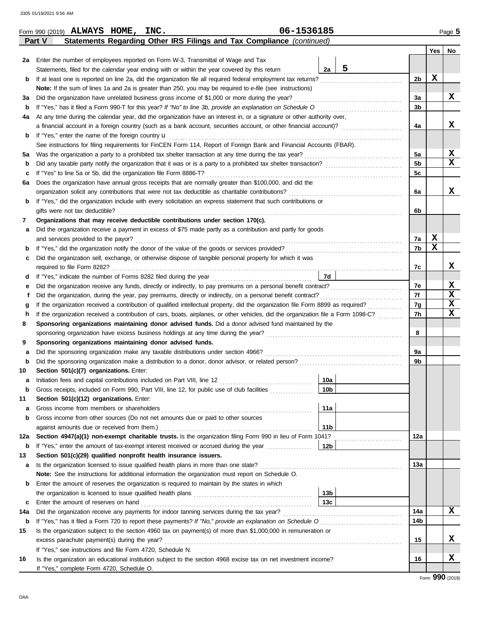|             | Statements Regarding Other IRS Filings and Tax Compliance (continued)<br>Part V                                                    |                 |   |          |             |                            |
|-------------|------------------------------------------------------------------------------------------------------------------------------------|-----------------|---|----------|-------------|----------------------------|
|             |                                                                                                                                    |                 |   |          | Yes         | No                         |
| 2a          | Enter the number of employees reported on Form W-3, Transmittal of Wage and Tax                                                    |                 |   |          |             |                            |
|             | Statements, filed for the calendar year ending with or within the year covered by this return                                      | 2a              | 5 |          |             |                            |
| b           | If at least one is reported on line 2a, did the organization file all required federal employment tax returns?                     |                 |   | 2b       | X           |                            |
|             | Note: If the sum of lines 1a and 2a is greater than 250, you may be required to e-file (see instructions)                          |                 |   |          |             |                            |
| За          | Did the organization have unrelated business gross income of \$1,000 or more during the year?                                      |                 |   | 3a       |             | X.                         |
| b           |                                                                                                                                    |                 |   | 3b       |             |                            |
| 4a          | At any time during the calendar year, did the organization have an interest in, or a signature or other authority over,            |                 |   |          |             |                            |
|             |                                                                                                                                    |                 |   | 4a       |             | x                          |
| b           | If "Yes," enter the name of the foreign country <b>u</b>                                                                           |                 |   |          |             |                            |
|             | See instructions for filing requirements for FinCEN Form 114, Report of Foreign Bank and Financial Accounts (FBAR).                |                 |   |          |             |                            |
| 5а          | Was the organization a party to a prohibited tax shelter transaction at any time during the tax year?                              |                 |   | 5a       |             | X                          |
| b           |                                                                                                                                    |                 |   | 5b       |             | $\overline{\mathbf{x}}$    |
| c           | If "Yes" to line 5a or 5b, did the organization file Form 8886-T?                                                                  |                 |   | 5c       |             |                            |
| 6а          | Does the organization have annual gross receipts that are normally greater than \$100,000, and did the                             |                 |   |          |             |                            |
|             | organization solicit any contributions that were not tax deductible as charitable contributions?                                   |                 |   | 6a       |             | X.                         |
| b           | If "Yes," did the organization include with every solicitation an express statement that such contributions or                     |                 |   |          |             |                            |
|             | gifts were not tax deductible?                                                                                                     |                 |   | 6b       |             |                            |
| 7           | Organizations that may receive deductible contributions under section 170(c).                                                      |                 |   |          |             |                            |
| а           | Did the organization receive a payment in excess of \$75 made partly as a contribution and partly for goods                        |                 |   |          |             |                            |
|             | and services provided to the payor?                                                                                                |                 |   | 7a       | X           |                            |
| b           |                                                                                                                                    |                 |   | 7b       | $\mathbf x$ |                            |
| c           | Did the organization sell, exchange, or otherwise dispose of tangible personal property for which it was                           |                 |   |          |             |                            |
|             |                                                                                                                                    |                 |   | 7с       |             | x                          |
| d           |                                                                                                                                    | 7d              |   |          |             |                            |
| е           |                                                                                                                                    |                 |   | 7е       |             | X                          |
| f           | Did the organization, during the year, pay premiums, directly or indirectly, on a personal benefit contract?                       |                 |   | 7f       |             | $\mathbf x$                |
| g           | If the organization received a contribution of qualified intellectual property, did the organization file Form 8899 as required?   |                 |   | 7g<br>7h |             | $\mathbf x$<br>$\mathbf x$ |
| h           | If the organization received a contribution of cars, boats, airplanes, or other vehicles, did the organization file a Form 1098-C? |                 |   |          |             |                            |
|             | Sponsoring organizations maintaining donor advised funds. Did a donor advised fund maintained by the<br>8                          |                 |   |          |             |                            |
|             | sponsoring organization have excess business holdings at any time during the year?                                                 |                 |   | 8        |             |                            |
| 9           | Sponsoring organizations maintaining donor advised funds.                                                                          |                 |   |          |             |                            |
| a           | Did the sponsoring organization make any taxable distributions under section 4966?                                                 |                 |   | 9a       |             |                            |
| $\mathbf b$ |                                                                                                                                    |                 |   | 9b       |             |                            |
| 10          | Section 501(c)(7) organizations. Enter:                                                                                            |                 |   |          |             |                            |
|             |                                                                                                                                    | 10a             |   |          |             |                            |
|             | Gross receipts, included on Form 990, Part VIII, line 12, for public use of club facilities                                        | 10 <sub>b</sub> |   |          |             |                            |
| 11          | Section 501(c)(12) organizations. Enter:                                                                                           |                 |   |          |             |                            |
| а           | Gross income from members or shareholders                                                                                          | 11a             |   |          |             |                            |
| b           | Gross income from other sources (Do not net amounts due or paid to other sources                                                   |                 |   |          |             |                            |
|             | against amounts due or received from them.)                                                                                        | 11 <sub>b</sub> |   |          |             |                            |
| 12a         | Section 4947(a)(1) non-exempt charitable trusts. Is the organization filing Form 990 in lieu of Form 1041?                         |                 |   | 12a      |             |                            |
| b           | If "Yes," enter the amount of tax-exempt interest received or accrued during the year                                              | 12b             |   |          |             |                            |
| 13          | Section 501(c)(29) qualified nonprofit health insurance issuers.                                                                   |                 |   |          |             |                            |
| а           | Is the organization licensed to issue qualified health plans in more than one state?                                               |                 |   | 13a      |             |                            |
|             | Note: See the instructions for additional information the organization must report on Schedule O.                                  |                 |   |          |             |                            |
| b           | Enter the amount of reserves the organization is required to maintain by the states in which                                       |                 |   |          |             |                            |
|             |                                                                                                                                    | 13 <sub>b</sub> |   |          |             |                            |
| c           | Enter the amount of reserves on hand                                                                                               | 13 <sub>c</sub> |   |          |             |                            |
| 14a         | Did the organization receive any payments for indoor tanning services during the tax year?                                         |                 |   | 14a      |             | X                          |
| b           | If "Yes," has it filed a Form 720 to report these payments? If "No," provide an explanation on Schedule O                          |                 |   | 14b      |             |                            |
| 15          | Is the organization subject to the section 4960 tax on payment(s) of more than \$1,000,000 in remuneration or                      |                 |   |          |             |                            |
|             | excess parachute payment(s) during the year?                                                                                       |                 |   | 15       |             | x                          |
|             | If "Yes," see instructions and file Form 4720, Schedule N.                                                                         |                 |   |          |             |                            |
| 16          | Is the organization an educational institution subject to the section 4968 excise tax on net investment income?                    |                 |   | 16       |             | X.                         |
|             | If "Yes," complete Form 4720, Schedule O.                                                                                          |                 |   |          |             |                            |

Form 990 (2019) Page **5 ALWAYS HOME, INC. 06-1536185**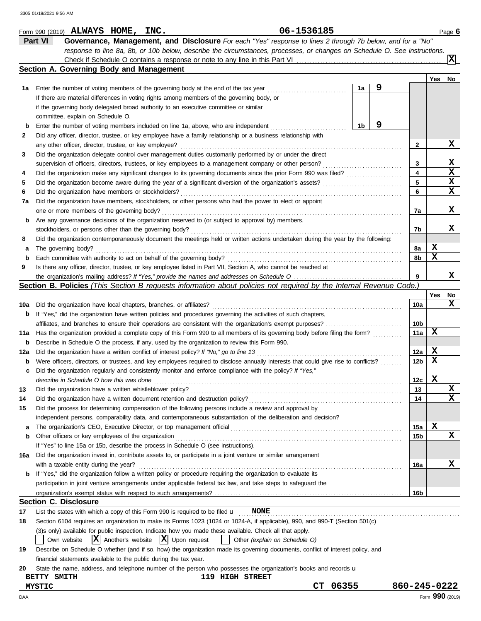|     | 06-1536185<br>Form 990 (2019) ALWAYS HOME, INC.                                                                                     |                         |                 | Page $6$ |
|-----|-------------------------------------------------------------------------------------------------------------------------------------|-------------------------|-----------------|----------|
|     | Part VI<br>Governance, Management, and Disclosure For each "Yes" response to lines 2 through 7b below, and for a "No"               |                         |                 |          |
|     | response to line 8a, 8b, or 10b below, describe the circumstances, processes, or changes on Schedule O. See instructions.           |                         |                 |          |
|     |                                                                                                                                     |                         |                 | x        |
|     | Section A. Governing Body and Management                                                                                            |                         |                 |          |
|     |                                                                                                                                     |                         | Yes             | No       |
| 1а  | 9<br>1a<br>Enter the number of voting members of the governing body at the end of the tax year                                      |                         |                 |          |
|     | If there are material differences in voting rights among members of the governing body, or                                          |                         |                 |          |
|     | if the governing body delegated broad authority to an executive committee or similar                                                |                         |                 |          |
|     | committee, explain on Schedule O.                                                                                                   |                         |                 |          |
| b   | 9<br>1b<br>Enter the number of voting members included on line 1a, above, who are independent                                       |                         |                 |          |
| 2   | Did any officer, director, trustee, or key employee have a family relationship or a business relationship with                      |                         |                 |          |
|     | any other officer, director, trustee, or key employee?                                                                              | 2                       |                 | X        |
| 3   | Did the organization delegate control over management duties customarily performed by or under the direct                           |                         |                 |          |
|     | supervision of officers, directors, trustees, or key employees to a management company or other person?<br>.                        | 3                       |                 | X        |
| 4   | Did the organization make any significant changes to its governing documents since the prior Form 990 was filed?                    | $\overline{\mathbf{4}}$ |                 | X        |
| 5   | Did the organization become aware during the year of a significant diversion of the organization's assets?                          | 5                       |                 | X        |
| 6   | Did the organization have members or stockholders?                                                                                  | 6                       |                 | X        |
| 7a  | Did the organization have members, stockholders, or other persons who had the power to elect or appoint                             |                         |                 |          |
|     | one or more members of the governing body?                                                                                          | 7a                      |                 | X        |
| b   | Are any governance decisions of the organization reserved to (or subject to approval by) members,                                   |                         |                 |          |
|     | stockholders, or persons other than the governing body?                                                                             | 7b                      |                 | x        |
| 8   | Did the organization contemporaneously document the meetings held or written actions undertaken during the year by the following:   |                         |                 |          |
|     | The governing body?                                                                                                                 | 8а                      | X               |          |
| а   | Each committee with authority to act on behalf of the governing body?                                                               | 8b                      | х               |          |
| b   | Is there any officer, director, trustee, or key employee listed in Part VII, Section A, who cannot be reached at                    |                         |                 |          |
| 9   |                                                                                                                                     | 9                       |                 | x        |
|     | <b>Section B. Policies</b> (This Section B requests information about policies not required by the Internal Revenue Code.)          |                         |                 |          |
|     |                                                                                                                                     |                         |                 |          |
|     |                                                                                                                                     |                         | Yes             | No<br>x  |
| 10a | Did the organization have local chapters, branches, or affiliates?                                                                  | 10a                     |                 |          |
| b   | If "Yes," did the organization have written policies and procedures governing the activities of such chapters,                      |                         |                 |          |
|     | affiliates, and branches to ensure their operations are consistent with the organization's exempt purposes?                         | 10b                     |                 |          |
| 11a | Has the organization provided a complete copy of this Form 990 to all members of its governing body before filing the form?         | 11a                     | X               |          |
| b   | Describe in Schedule O the process, if any, used by the organization to review this Form 990.                                       |                         |                 |          |
| 12a | Did the organization have a written conflict of interest policy? If "No," go to line 13                                             | 12a                     | X               |          |
| b   | Were officers, directors, or trustees, and key employees required to disclose annually interests that could give rise to conflicts? | 12b                     | $\mathbf x$     |          |
| c   | Did the organization regularly and consistently monitor and enforce compliance with the policy? If "Yes,"                           |                         |                 |          |
|     | describe in Schedule O how this was done                                                                                            | 12c                     | X               |          |
| 13  | Did the organization have a written whistleblower policy?                                                                           | 13                      |                 | X        |
| 14  | Did the organization have a written document retention and destruction policy?                                                      | 14                      |                 | X        |
| 15  | Did the process for determining compensation of the following persons include a review and approval by                              |                         |                 |          |
|     | independent persons, comparability data, and contemporaneous substantiation of the deliberation and decision?                       |                         |                 |          |
| а   | The organization's CEO, Executive Director, or top management official                                                              | 15a                     | X               |          |
| b   | Other officers or key employees of the organization                                                                                 | 15 <sub>b</sub>         |                 | x        |
|     | If "Yes" to line 15a or 15b, describe the process in Schedule O (see instructions).                                                 |                         |                 |          |
| 16a | Did the organization invest in, contribute assets to, or participate in a joint venture or similar arrangement                      |                         |                 |          |
|     | with a taxable entity during the year?                                                                                              | 16a                     |                 | X        |
| b   | If "Yes," did the organization follow a written policy or procedure requiring the organization to evaluate its                      |                         |                 |          |
|     | participation in joint venture arrangements under applicable federal tax law, and take steps to safeguard the                       |                         |                 |          |
|     |                                                                                                                                     | 16b                     |                 |          |
|     | <b>Section C. Disclosure</b>                                                                                                        |                         |                 |          |
| 17  | List the states with which a copy of this Form 990 is required to be filed $\mathbf u$<br><b>NONE</b>                               |                         |                 |          |
| 18  | Section 6104 requires an organization to make its Forms 1023 (1024 or 1024-A, if applicable), 990, and 990-T (Section 501(c)        |                         |                 |          |
|     | (3)s only) available for public inspection. Indicate how you made these available. Check all that apply.                            |                         |                 |          |
|     | $ \mathbf{X} $ Another's website $ \mathbf{X} $ Upon request<br>Other (explain on Schedule O)<br>Own website                        |                         |                 |          |
| 19  | Describe on Schedule O whether (and if so, how) the organization made its governing documents, conflict of interest policy, and     |                         |                 |          |
|     | financial statements available to the public during the tax year.                                                                   |                         |                 |          |
| 20  | State the name, address, and telephone number of the person who possesses the organization's books and records u                    |                         |                 |          |
|     | 119 HIGH STREET<br>BETTY SMITH                                                                                                      |                         |                 |          |
|     | 06355<br>CT<br><b>MYSTIC</b>                                                                                                        | 860-245-0222            |                 |          |
| DAA |                                                                                                                                     |                         | Form 990 (2019) |          |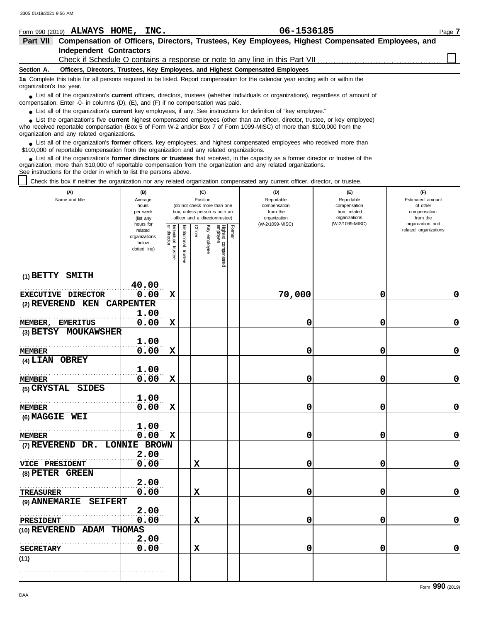|                          | Form 990 (2019) ALWAYS HOME, INC.                                                         | 06-1536185                                                                                                                                                                                                                                                       | Page 7 |
|--------------------------|-------------------------------------------------------------------------------------------|------------------------------------------------------------------------------------------------------------------------------------------------------------------------------------------------------------------------------------------------------------------|--------|
| <b>Part VII</b>          |                                                                                           | Compensation of Officers, Directors, Trustees, Key Employees, Highest Compensated Employees, and                                                                                                                                                                 |        |
|                          | Independent Contractors                                                                   |                                                                                                                                                                                                                                                                  |        |
|                          |                                                                                           | Check if Schedule O contains a response or note to any line in this Part VII [11] [11] Check if Schedule O contains a response or note to any line in this Part VII                                                                                              |        |
| Section A.               |                                                                                           | Officers, Directors, Trustees, Key Employees, and Highest Compensated Employees                                                                                                                                                                                  |        |
| organization's tax year. |                                                                                           | 1a Complete this table for all persons required to be listed. Report compensation for the calendar year ending with or within the                                                                                                                                |        |
|                          | compensation. Enter -0- in columns $(D)$ , $(E)$ , and $(F)$ if no compensation was paid. | • List all of the organization's <b>current</b> officers, directors, trustees (whether individuals or organizations), regardless of amount of                                                                                                                    |        |
|                          |                                                                                           | • List all of the organization's <b>current</b> key employees, if any. See instructions for definition of "key employee."                                                                                                                                        |        |
|                          |                                                                                           | List the organization's five <b>current</b> highest compensated employees (other than an officer, director, trustee, or key employee)<br>who received reportable companeation (Rey 5 of Ferm W 2 and/or Rey 7 of Ferm 1000 MISC) of mere than \$100,000 from the |        |

who received reportable compensation (Box 5 of Form W-2 and/or Box 7 of Form 1099-MISC) of more than \$100,000 from the organization and any related organizations.

■ List all of the organization's **former** officers, key employees, and highest compensated employees who received more than<br> **•** 00.000 of reportable compensation from the examization and any related erganizations \$100,000 of reportable compensation from the organization and any related organizations.

List all of the organization's **former directors or trustees** that received, in the capacity as a former director or trustee of the organization, more than \$10,000 of reportable compensation from the organization and any related organizations. See instructions for the order in which to list the persons above. **•**

Check this box if neither the organization nor any related organization compensated any current officer, director, or trustee.

| (A)<br>Name and title                               | (B)<br>Average<br>hours<br>per week<br>(list any<br>hours for |                                   |                          | (C)<br>Position |              | (do not check more than one<br>box, unless person is both an<br>officer and a director/trustee) |        | (D)<br>Reportable<br>compensation<br>from the<br>organization<br>(W-2/1099-MISC) | (E)<br>Reportable<br>compensation<br>from related<br>organizations<br>(W-2/1099-MISC) | (F)<br>Estimated amount<br>of other<br>compensation<br>from the<br>organization and |
|-----------------------------------------------------|---------------------------------------------------------------|-----------------------------------|--------------------------|-----------------|--------------|-------------------------------------------------------------------------------------------------|--------|----------------------------------------------------------------------------------|---------------------------------------------------------------------------------------|-------------------------------------------------------------------------------------|
|                                                     | related<br>organizations<br>below<br>dotted line)             | Individual trustee<br>or director | Institutional<br>trustee | Officer         | Key employee | Highest compensated<br>employee                                                                 | Former |                                                                                  |                                                                                       | related organizations                                                               |
| $(1)$ BETTY SMITH                                   |                                                               |                                   |                          |                 |              |                                                                                                 |        |                                                                                  |                                                                                       |                                                                                     |
|                                                     | 40.00                                                         |                                   |                          |                 |              |                                                                                                 |        |                                                                                  |                                                                                       |                                                                                     |
| EXECUTIVE DIRECTOR                                  | 0.00                                                          | $\mathbf x$                       |                          |                 |              |                                                                                                 |        | 70,000                                                                           | 0                                                                                     | 0                                                                                   |
| (2) REVEREND KEN                                    | <b>CARPENTER</b>                                              |                                   |                          |                 |              |                                                                                                 |        |                                                                                  |                                                                                       |                                                                                     |
|                                                     | 1.00                                                          |                                   |                          |                 |              |                                                                                                 |        |                                                                                  |                                                                                       |                                                                                     |
| MEMBER, EMERITUS                                    | 0.00                                                          | $\mathbf x$                       |                          |                 |              |                                                                                                 |        | 0                                                                                | 0                                                                                     | 0                                                                                   |
| (3) BETSY MOUKAWSHER                                |                                                               |                                   |                          |                 |              |                                                                                                 |        |                                                                                  |                                                                                       |                                                                                     |
| <b>MEMBER</b>                                       | 1.00<br>0.00                                                  | $\mathbf x$                       |                          |                 |              |                                                                                                 |        | 0                                                                                | 0                                                                                     | 0                                                                                   |
| (4) LIAN OBREY                                      |                                                               |                                   |                          |                 |              |                                                                                                 |        |                                                                                  |                                                                                       |                                                                                     |
|                                                     | 1.00                                                          |                                   |                          |                 |              |                                                                                                 |        |                                                                                  |                                                                                       |                                                                                     |
| <b>MEMBER</b>                                       | 0.00                                                          | $\mathbf x$                       |                          |                 |              |                                                                                                 |        | 0                                                                                | 0                                                                                     | 0                                                                                   |
| (5) CRYSTAL SIDES                                   |                                                               |                                   |                          |                 |              |                                                                                                 |        |                                                                                  |                                                                                       |                                                                                     |
|                                                     | 1.00                                                          |                                   |                          |                 |              |                                                                                                 |        |                                                                                  |                                                                                       |                                                                                     |
| <b>MEMBER</b>                                       | 0.00                                                          | $\mathbf x$                       |                          |                 |              |                                                                                                 |        | 0                                                                                | 0                                                                                     | 0                                                                                   |
| (6) MAGGIE WEI                                      |                                                               |                                   |                          |                 |              |                                                                                                 |        |                                                                                  |                                                                                       |                                                                                     |
|                                                     | 1.00                                                          |                                   |                          |                 |              |                                                                                                 |        |                                                                                  |                                                                                       |                                                                                     |
| <b>MEMBER</b>                                       | 0.00                                                          | $\mathbf x$                       |                          |                 |              |                                                                                                 |        | 0                                                                                | 0                                                                                     | 0                                                                                   |
| (7) REVEREND DR.                                    | <b>BROWN</b><br><b>LONNIE</b>                                 |                                   |                          |                 |              |                                                                                                 |        |                                                                                  |                                                                                       |                                                                                     |
|                                                     | 2.00                                                          |                                   |                          |                 |              |                                                                                                 |        |                                                                                  |                                                                                       |                                                                                     |
| <b>VICE PRESIDENT</b>                               | 0.00                                                          |                                   |                          | $\mathbf x$     |              |                                                                                                 |        | 0                                                                                | 0                                                                                     | $\mathbf 0$                                                                         |
| (8) PETER GREEN                                     | 2.00                                                          |                                   |                          |                 |              |                                                                                                 |        |                                                                                  |                                                                                       |                                                                                     |
|                                                     | 0.00                                                          |                                   |                          | X               |              |                                                                                                 |        | 0                                                                                | 0                                                                                     | $\mathbf 0$                                                                         |
| <b>TREASURER</b><br>(9) ANNEMARIE<br><b>SEIFERT</b> |                                                               |                                   |                          |                 |              |                                                                                                 |        |                                                                                  |                                                                                       |                                                                                     |
|                                                     | 2.00                                                          |                                   |                          |                 |              |                                                                                                 |        |                                                                                  |                                                                                       |                                                                                     |
| <b>PRESIDENT</b>                                    | 0.00                                                          |                                   |                          | $\mathbf X$     |              |                                                                                                 |        | 0                                                                                | 0                                                                                     | 0                                                                                   |
| (10) REVEREND ADAM THOMAS                           |                                                               |                                   |                          |                 |              |                                                                                                 |        |                                                                                  |                                                                                       |                                                                                     |
|                                                     | 2.00                                                          |                                   |                          |                 |              |                                                                                                 |        |                                                                                  |                                                                                       |                                                                                     |
| <b>SECRETARY</b>                                    | 0.00                                                          |                                   |                          | $\mathbf x$     |              |                                                                                                 |        | 0                                                                                | 0                                                                                     | 0                                                                                   |
| (11)                                                |                                                               |                                   |                          |                 |              |                                                                                                 |        |                                                                                  |                                                                                       |                                                                                     |
|                                                     |                                                               |                                   |                          |                 |              |                                                                                                 |        |                                                                                  |                                                                                       |                                                                                     |
|                                                     |                                                               |                                   |                          |                 |              |                                                                                                 |        |                                                                                  |                                                                                       |                                                                                     |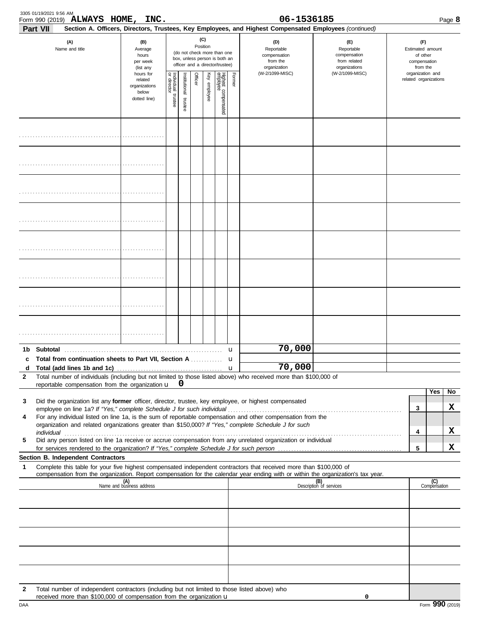|                   | 3305 01/19/2021 9:56 AM<br>Form 990 (2019) ALWAYS HOME, INC.<br><b>Part VII</b>                                                                                                                                                                        |                                                                |                                                                                                                                                                  |  |                                           |                                                                                                 |   | 06-1536185<br>Section A. Officers, Directors, Trustees, Key Employees, and Highest Compensated Employees (continued) |                                                                    |                                                                 |                     | Page 8 |
|-------------------|--------------------------------------------------------------------------------------------------------------------------------------------------------------------------------------------------------------------------------------------------------|----------------------------------------------------------------|------------------------------------------------------------------------------------------------------------------------------------------------------------------|--|-------------------------------------------|-------------------------------------------------------------------------------------------------|---|----------------------------------------------------------------------------------------------------------------------|--------------------------------------------------------------------|-----------------------------------------------------------------|---------------------|--------|
|                   | (A)<br>Name and title                                                                                                                                                                                                                                  | (B)<br>Average<br>hours<br>per week<br>(list any               |                                                                                                                                                                  |  | (C)<br>Position                           | (do not check more than one<br>box, unless person is both an<br>officer and a director/trustee) |   | (D)<br>Reportable<br>compensation<br>from the<br>organization                                                        | (E)<br>Reportable<br>compensation<br>from related<br>organizations | (F)<br>Estimated amount<br>of other<br>compensation<br>from the |                     |        |
|                   |                                                                                                                                                                                                                                                        | hours for<br>related<br>organizations<br>below<br>dotted line) | (W-2/1099-MISC)<br>(W-2/1099-MISC)<br>Individual 1<br>Highest compensated<br>employee<br>Former<br>Officer<br>Key employee<br>nstitutional<br>trustee<br>trustee |  | organization and<br>related organizations |                                                                                                 |   |                                                                                                                      |                                                                    |                                                                 |                     |        |
|                   |                                                                                                                                                                                                                                                        |                                                                |                                                                                                                                                                  |  |                                           |                                                                                                 |   |                                                                                                                      |                                                                    |                                                                 |                     |        |
|                   |                                                                                                                                                                                                                                                        |                                                                |                                                                                                                                                                  |  |                                           |                                                                                                 |   |                                                                                                                      |                                                                    |                                                                 |                     |        |
|                   |                                                                                                                                                                                                                                                        |                                                                |                                                                                                                                                                  |  |                                           |                                                                                                 |   |                                                                                                                      |                                                                    |                                                                 |                     |        |
|                   |                                                                                                                                                                                                                                                        |                                                                |                                                                                                                                                                  |  |                                           |                                                                                                 |   |                                                                                                                      |                                                                    |                                                                 |                     |        |
|                   |                                                                                                                                                                                                                                                        |                                                                |                                                                                                                                                                  |  |                                           |                                                                                                 |   |                                                                                                                      |                                                                    |                                                                 |                     |        |
|                   |                                                                                                                                                                                                                                                        |                                                                |                                                                                                                                                                  |  |                                           |                                                                                                 |   |                                                                                                                      |                                                                    |                                                                 |                     |        |
|                   |                                                                                                                                                                                                                                                        |                                                                |                                                                                                                                                                  |  |                                           |                                                                                                 |   |                                                                                                                      |                                                                    |                                                                 |                     |        |
|                   |                                                                                                                                                                                                                                                        |                                                                |                                                                                                                                                                  |  |                                           |                                                                                                 |   |                                                                                                                      |                                                                    |                                                                 |                     |        |
|                   | Total from continuation sheets to Part VII, Section A                                                                                                                                                                                                  |                                                                |                                                                                                                                                                  |  |                                           |                                                                                                 | u | 70,000                                                                                                               |                                                                    |                                                                 |                     |        |
| d<br>$\mathbf{2}$ | Total number of individuals (including but not limited to those listed above) who received more than \$100,000 of                                                                                                                                      |                                                                |                                                                                                                                                                  |  |                                           |                                                                                                 |   | 70,000                                                                                                               |                                                                    |                                                                 |                     |        |
|                   | reportable compensation from the organization $\mathbf{u} \quad \mathbf{0}$                                                                                                                                                                            |                                                                |                                                                                                                                                                  |  |                                           |                                                                                                 |   |                                                                                                                      |                                                                    |                                                                 |                     |        |
| 3                 | Did the organization list any former officer, director, trustee, key employee, or highest compensated                                                                                                                                                  |                                                                |                                                                                                                                                                  |  |                                           |                                                                                                 |   |                                                                                                                      |                                                                    |                                                                 | Yes                 | No     |
| 4                 | For any individual listed on line 1a, is the sum of reportable compensation and other compensation from the                                                                                                                                            |                                                                |                                                                                                                                                                  |  |                                           |                                                                                                 |   |                                                                                                                      |                                                                    | 3                                                               |                     | x      |
|                   | organization and related organizations greater than \$150,000? If "Yes," complete Schedule J for such                                                                                                                                                  |                                                                |                                                                                                                                                                  |  |                                           |                                                                                                 |   |                                                                                                                      |                                                                    | 4                                                               |                     | X      |
| 5                 | Did any person listed on line 1a receive or accrue compensation from any unrelated organization or individual                                                                                                                                          |                                                                |                                                                                                                                                                  |  |                                           |                                                                                                 |   |                                                                                                                      |                                                                    | 5                                                               |                     | X      |
|                   | Section B. Independent Contractors                                                                                                                                                                                                                     |                                                                |                                                                                                                                                                  |  |                                           |                                                                                                 |   |                                                                                                                      |                                                                    |                                                                 |                     |        |
| 1                 | Complete this table for your five highest compensated independent contractors that received more than \$100,000 of<br>compensation from the organization. Report compensation for the calendar year ending with or within the organization's tax year. |                                                                |                                                                                                                                                                  |  |                                           |                                                                                                 |   |                                                                                                                      |                                                                    |                                                                 |                     |        |
|                   |                                                                                                                                                                                                                                                        | (A)<br>Name and business address                               |                                                                                                                                                                  |  |                                           |                                                                                                 |   |                                                                                                                      | (B)<br>Description of services                                     |                                                                 | (C)<br>Compensation |        |
|                   |                                                                                                                                                                                                                                                        |                                                                |                                                                                                                                                                  |  |                                           |                                                                                                 |   |                                                                                                                      |                                                                    |                                                                 |                     |        |
|                   |                                                                                                                                                                                                                                                        |                                                                |                                                                                                                                                                  |  |                                           |                                                                                                 |   |                                                                                                                      |                                                                    |                                                                 |                     |        |
|                   |                                                                                                                                                                                                                                                        |                                                                |                                                                                                                                                                  |  |                                           |                                                                                                 |   |                                                                                                                      |                                                                    |                                                                 |                     |        |
|                   |                                                                                                                                                                                                                                                        |                                                                |                                                                                                                                                                  |  |                                           |                                                                                                 |   |                                                                                                                      |                                                                    |                                                                 |                     |        |
|                   |                                                                                                                                                                                                                                                        |                                                                |                                                                                                                                                                  |  |                                           |                                                                                                 |   |                                                                                                                      |                                                                    |                                                                 |                     |        |
|                   |                                                                                                                                                                                                                                                        |                                                                |                                                                                                                                                                  |  |                                           |                                                                                                 |   |                                                                                                                      |                                                                    |                                                                 |                     |        |
| 2                 | Total number of independent contractors (including but not limited to those listed above) who<br>received more than \$100,000 of compensation from the organization u                                                                                  |                                                                |                                                                                                                                                                  |  |                                           |                                                                                                 |   |                                                                                                                      | 0                                                                  |                                                                 |                     |        |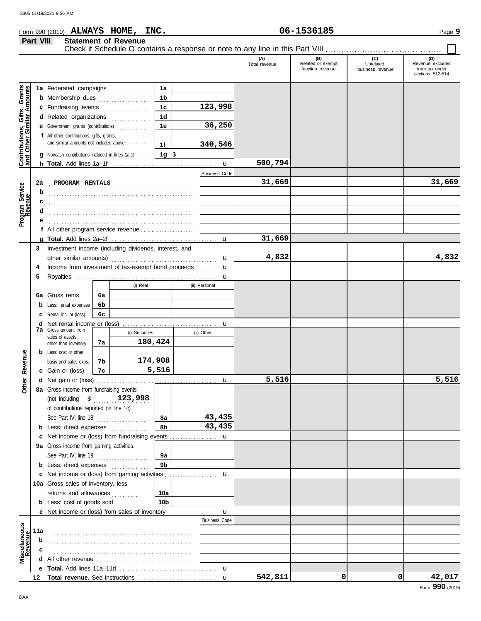| 1536185<br>INC.<br>HOME<br><b>ALWAYS</b><br>Form 990 (2019) | Page |
|-------------------------------------------------------------|------|
|-------------------------------------------------------------|------|

#### **Part VIII Statement of Revenue** Check if Schedule O contains a response or note to any line in this Part VIII. **(A) (B) (C) (D)** Total revenue Related or exempt Unrelated Revenue excluded function revenue business revenue from tax under sections 512-514 Contributions, Gifts, Grants<br>and Other Similar Amounts **Contributions, Gifts, Grants 1a and Other Similar Amounts 1a** Federated campaigns **. . . . . . . . . . . . 1b b** Membership dues . . . . . . . . . . . . . . . . **123,998 1c c** Fundraising events . . . . . . . . . . . . . . . . **1d d** Related organizations ............... **36,250 1e e** Government grants (contributions) . . . . . . . . . . . . **f** All other contributions, gifts, grants, and similar amounts not included above ........ **340,546 1f 1g g** Noncash contributions included in lines 1a-1f . . . . .  $\frac{\$}{\$}$ **500,794** u **h Total.** Add lines 1a–1f . . . . . . . . . . . . . . . . . . . . . . . . . . . . . . . . . . . . . . . . . Business Code . . . . . . . . . . . . . . . . . . . . . . . . . . . . . . . . . . . . . . . . . . . . . . . . . . . . . . . **2a PROGRAM RENTALS 31,669 31,669 Program Service Program Service b** . . . . . . . . . . . . . . . . . . . . . . . . . . . . . . . . . . . . . . . . . . . . . . . . . . . . . . . **c d** . . . . . . . . . . . . . . . . . . . . . . . . . . . . . . . . . . . . . . . . . . . . . . . . . . . . . . . **e** . . . . . . . . . . . . . . . . . . . . . . . . . . . . . . . . . . . . . . . . . . . . . . . . . . . . . . . **f** All other program service revenue . . . . . . . . . . . . . . . . . . . . **31,669 g Total.** Add lines 2a–2f . . . . . . . . . . . . . . . . . . . . . . . . . . . . . . . . . . . . . . . . . u **3** Investment income (including dividends, interest, and **4,832 4,832** other similar amounts) . . . . . . . . . . . . . . . . . . . . . . . . . . . . . . . . . . . . . . . . . u Income from investment of tax-exempt bond proceeds **4** u **5** Royalties ...... u (i) Real (ii) Personal **6a 6a** Gross rents **6b b** Less: rental expenses **6c c** Rental inc. or (loss) u **d** Net rental income or (loss) . . . . . . . . . . . . . . . . . . . . . . . . . . . . . . . . . . . . **7a** Gross amount from (i) Securities (ii) Other sales of assets **180,424 7a** other than inventory Revenue **b** Less: cost or other **Other Revenue 174,908** basis and sales exps. **7b 5,516 7c c** Gain or (loss) Other I **5,516 5,516 d** u Net gain or (loss) . . . . . . . . . . . . . . . . . . . . . . . . . . . . . . . . . . . . . . . . . . . . . . **8a** Gross income from fundraising events (not including \$ . . . . . . . . . . . . . . . . . . . . . **123,998** of contributions reported on line 1c). See Part IV, line 18 . . . . . . . . . . . . . . . . . . . . **8a 43,435 8b 43,435 b** Less: direct expenses ................ u **c** Net income or (loss) from fundraising events . . . . . . . . . . . . . . . . 9a Gross income from gaming activities. See Part IV, line 19 . . . . . . . . . . . . . . . . . . . . **9a 9b b** Less: direct expenses ............... u Net income or (loss) from gaming activities . . . . . . . . . . . . . . . . . . . . **c** 10a Gross sales of inventory, less returns and allowances ........... **10a 10b b** Less:  $\cosh$  of goods  $\sinh$ Net income or (loss) from sales of inventory . . . . . . . . . . . . . . . . . . . **c** u Business Code **Iscellaneous**<br>Revenue **Miscellaneous 11a b** . . . . . . . . . . . . . . . . . . . . . . . . . . . . . . . . . . . . . . . . . . . . . . . . . . . . . . **c d** All other revenue . . . . . . . . . . . . . . . . . . . . . . . . . . . . . . . . . . . . . Total. Add lines 11a-11d. **e** u **542,811 0 0 42,017 12 Total revenue.** See instructions u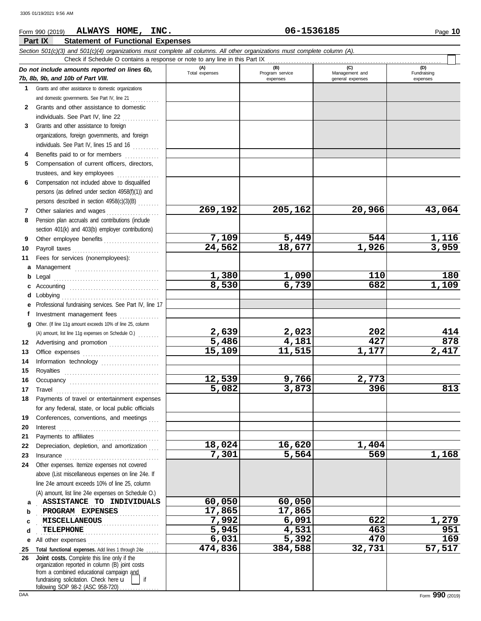#### **Part IX Statement of Functional Expenses** Form 990 (2019) Page **10 ALWAYS HOME, INC. 06-1536185** *Section 501(c)(3) and 501(c)(4) organizations must complete all columns. All other organizations must complete column (A). Do not include amounts reported on lines 6b, 7b, 8b, 9b, and 10b of Part VIII.* **1 2 3** Grants and other assistance to foreign **4 5 6** Grants and other assistance to domestic organizations and domestic governments. See Part IV, line 21 . . . . . . . . . . Grants and other assistance to domestic individuals. See Part IV, line 22 . . . . . . . . . . . . . . organizations, foreign governments, and foreign individuals. See Part IV, lines 15 and 16 . . . . . . . . . . Benefits paid to or for members .............. Compensation of current officers, directors, trustees, and key employees . . . . . . . . . . . . . . . . Compensation not included above to disqualified persons (as defined under section 4958(f)(1)) and persons described in section 4958(c)(3)(B) . . . . . . . . **(A) (B) (C) (D)** Total expenses<br>
expenses<br>
Program service<br>
Program service<br>  $\frac{1}{2}$ <br>  $\frac{1}{2}$ <br>  $\frac{1}{2}$ <br>  $\frac{1}{2}$ <br>  $\frac{1}{2}$ <br>  $\frac{1}{2}$ <br>  $\frac{1}{2}$ <br>  $\frac{1}{2}$ <br>  $\frac{1}{2}$ <br>  $\frac{1}{2}$ <br>  $\frac{1}{2}$ <br>  $\frac{1}{2}$ <br>  $\frac{1}{2}$ <br>  $\frac{1}{2}$ <br>  $\frac{1}{2}$ expenses general expenses (D)<br>Fundraising expenses Check if Schedule O contains a response or note to any line in this Part IX

**269,192 205,162 20,966 43,064**

**7,109 5,449 544 1,116 24,562 18,677 1,926 3,959**

**1,380 1,090 110 180 8,530 6,739 682 1,109**

**2,639 2,023 202 414 5,486 4,181 427 878 15,109 11,515 1,177 2,417**

**5,082 3,873 396 813**

**7,301 5,564 569 1,168**

**6,031 5,392 470 169 474,836 384,588 32,731 57,517**

**12,539 9,766 2,773**

**18,024 16,620 1,404**

|   | Other salaries and wages                          |
|---|---------------------------------------------------|
| 8 | Pension plan accruals and contributions (include  |
|   | section 401(k) and 403(b) employer contributions) |

- **9** Other employee benefits . . . . . . . . . . . . . . . . . . . . .
- **10 11 a** Management ................................. Payroll taxes . . . . . . . . . . . . . . . . . . . . . . . . . . . . . . . . . Fees for services (nonemployees):
- **b** Legal . . . . . . . . . . . . . . . . . . . . . . . . . . . . . . . . . . . . . . . . **c** Accounting . . . . . . . . . . . . . . . . . . . . . . . . . . . . . . . . . . **d** Lobbying . . . . . . . . . . . . . . . . . . . . . . . . . . . . . . . . . . . . . **e** Professional fundraising services. See Part IV, line 17 **f g** Other. (If line 11g amount exceeds 10% of line 25, column **12** Advertising and promotion . . . . . . . . . . . . . . . . . . Investment management fees ................ (A) amount, list line 11g expenses on Schedule O.) ........
- **13 14 15 16 17 18 19 20 21** Office expenses . . . . . . . . . . . . . . . . . . . . . . . . . . . . . Information technology . . . . . . . . . . . . . . . . . . . . . . Royalties . . . . . . . . . . . . . . . . . . . . . . . . . . . . . . . . . . . . Occupancy . . . . . . . . . . . . . . . . . . . . . . . . . . . . . . . . . . Travel . . . . . . . . . . . . . . . . . . . . . . . . . . . . . . . . . . . . . . . Payments of travel or entertainment expenses for any federal, state, or local public officials Conferences, conventions, and meetings Interest . . . . . . . . . . . . . . . . . . . . . . . . . . . . . . . . . . . . . . Payments to affiliates . . . . . . . . . . . . . . . . . . . . . . . .
- **22 23 24** Depreciation, depletion, and amortization Insurance . . . . . . . . . . . . . . . . . . . . . . . . . . . . . . . . . . . . Other expenses. Itemize expenses not covered above (List miscellaneous expenses on line 24e. If line 24e amount exceeds 10% of line 25, column
- **a b c d** (A) amount, list line 24e expenses on Schedule O.) **ASSISTANCE TO INDIVIDUALS 60,050 60,050** . . . . . . . . . . . . . . . . . . . . . . . . . . . . . . . . . . . . . . . . . . . . . . **PROGRAM EXPENSES 17,865 17,865** . . . . . . . . . . . . . . . . . . . . . . . . . . . . . . . . . . . . . . . . . . . . . . **MISCELLANEOUS 7,992 6,091 622 1,279** TELEPHONE **TELEPHONE 5,945 4,531 463 951**

**e** All other expenses . . . . . . . . . . . . . . . . . . . . . . . . . . . **25 26** Total functional expenses. Add lines 1 through 24e . fundraising solicitation. Check here  $\mathbf{u}$  | if organization reported in column (B) joint costs from a combined educational campaign and following SOP 98-2 (ASC 958-720) **Joint costs.** Complete this line only if the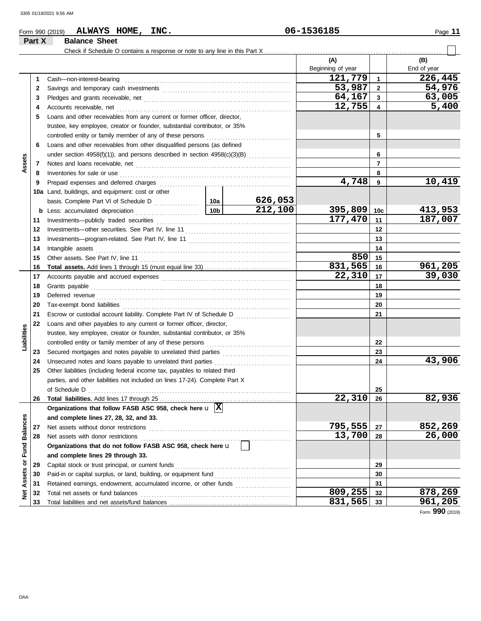|             | ALWAYS HOME, INC.<br>Form 990 (2019)                                                                                                                                                                                                |                 |                         | 06-1536185               |                 | Page 11            |  |
|-------------|-------------------------------------------------------------------------------------------------------------------------------------------------------------------------------------------------------------------------------------|-----------------|-------------------------|--------------------------|-----------------|--------------------|--|
| Part X      | <b>Balance Sheet</b>                                                                                                                                                                                                                |                 |                         |                          |                 |                    |  |
|             |                                                                                                                                                                                                                                     |                 |                         |                          |                 |                    |  |
|             |                                                                                                                                                                                                                                     |                 |                         | (A)<br>Beginning of year |                 | (B)<br>End of year |  |
| 1           | Cash-non-interest-bearing                                                                                                                                                                                                           |                 |                         | 121,779                  | $\mathbf{1}$    | 226,445            |  |
| 2           |                                                                                                                                                                                                                                     | 53,987          | $\overline{2}$          | 54,976                   |                 |                    |  |
| 3           |                                                                                                                                                                                                                                     | 64,167          | $\overline{\mathbf{3}}$ | 63,005                   |                 |                    |  |
| 4           |                                                                                                                                                                                                                                     | 12,755          | 4                       | 5,400                    |                 |                    |  |
| 5           | Loans and other receivables from any current or former officer, director,                                                                                                                                                           |                 |                         |                          |                 |                    |  |
|             | trustee, key employee, creator or founder, substantial contributor, or 35%                                                                                                                                                          |                 |                         |                          |                 |                    |  |
|             |                                                                                                                                                                                                                                     |                 | 5                       |                          |                 |                    |  |
| 6           | Loans and other receivables from other disqualified persons (as defined                                                                                                                                                             |                 |                         |                          |                 |                    |  |
|             |                                                                                                                                                                                                                                     |                 |                         |                          | 6               |                    |  |
| -7          |                                                                                                                                                                                                                                     |                 |                         |                          | $\overline{7}$  |                    |  |
| Assets<br>8 | Inventories for sale or use <i>communication</i> and the contract of the contract of the contract of the contract of the contract of the contract of the contract of the contract of the contract of the contract of the contract o |                 |                         |                          | 8               |                    |  |
| 9           |                                                                                                                                                                                                                                     |                 |                         | 4,748                    | 9               | 10,419             |  |
|             | 10a Land, buildings, and equipment: cost or other                                                                                                                                                                                   |                 |                         |                          |                 |                    |  |
|             |                                                                                                                                                                                                                                     |                 | 626,053                 |                          |                 |                    |  |
| b           |                                                                                                                                                                                                                                     | 10 <sub>b</sub> | 212,100                 | 395,809                  | 10 <sub>c</sub> | 413,953            |  |
| 11          |                                                                                                                                                                                                                                     |                 |                         | 177,470                  | 11              | 187,007            |  |
| 12          |                                                                                                                                                                                                                                     |                 |                         |                          |                 |                    |  |
| 13          |                                                                                                                                                                                                                                     |                 | 13                      |                          |                 |                    |  |
| 14          | Intangible assets                                                                                                                                                                                                                   |                 | 14                      |                          |                 |                    |  |
| 15          | Other assets. See Part IV, line 11                                                                                                                                                                                                  |                 |                         | 850                      | 15              |                    |  |
| 16          |                                                                                                                                                                                                                                     |                 |                         | 831,565                  | 16              | 961,205            |  |
| 17          | Accounts payable and accrued expenses                                                                                                                                                                                               |                 |                         | 22,310                   | 17              | 39,030             |  |

Accounts payable and accrued expenses . . . . . . . . . . . . . . . . . . . . . . . . . . . . . . . . . . . . . . . . . . . . . . . . . Grants payable . . . . . . . . . . . . . . . . . . . . . . . . . . . . . . . . . . . . . . . . . . . . . . . . . . . . . . . . . . . . . . . . . . . . . . . . . . . . Deferred revenue . . . . . . . . . . . . . . . . . . . . . . . . . . . . . . . . . . . . . . . . . . . . . . . . . . . . . . . . . . . . . . . . . . . . . . . . . . Tax-exempt bond liabilities . . . . . . . . . . . . . . . . . . . . . . . . . . . . . . . . . . . . . . . . . . . . . . . . . . . . . . . . . . . . . . . . Escrow or custodial account liability. Complete Part IV of Schedule D . . . . . . . . . . . . . . . . . . . . .

controlled entity or family member of any of these persons . . . . . . . . . . . . . . . . . . . . . . . . . . . . . . . . Secured mortgages and notes payable to unrelated third parties ......................... Unsecured notes and loans payable to unrelated third parties ..............................

Loans and other payables to any current or former officer, director, trustee, key employee, creator or founder, substantial contributor, or 35%

Other liabilities (including federal income tax, payables to related third

parties, and other liabilities not included on lines 17-24). Complete Part X

**Organizations that follow FASB ASC 958, check here** u **X**

Net assets with donor restrictions . . . . . . . . . . . . . . . . . . . . . . . . . . . . . . . . . . . . . . . . . . . . . . . . . . . . . . . . .

**Organizations that do not follow FASB ASC 958, check here** u

Net assets without donor restrictions . . . . . . . . . . . . . . . . . . . . . . . . . . . . . . . . . . . . . . . . . . . . . . . . . . . . . .

Capital stock or trust principal, or current funds . . . . . . . . . . . . . . . . . . . . . . . . . . . . . . . . . . . . . . . . . . . . Paid-in or capital surplus, or land, building, or equipment fund .................................. Retained earnings, endowment, accumulated income, or other funds . . . . . . . . . . . . . . . . . . . . . Total net assets or fund balances . . . . . . . . . . . . . . . . . . . . . . . . . . . . . . . . . . . . . . . . . . . . . . . . . . . . . . . . .

Total liabilities. Add lines 17 through 25

**and complete lines 27, 28, 32, and 33.**

**and complete lines 29 through 33.**

Total liabilities and net assets/fund balances .

**43,906**

Form **990** (2019) **831,565 961,205**

**22**

**24 23**

**29**

**28 27**

**13,700 26,000**

**26 25**

**22,310 82,936**

**795,555 852,269**

**809,255 878,269**

> **23 24 25**

**Liabilities**

**26**

of Schedule D

**27 28**

**Net Assets or Fund Balances**

Net Assets or Fund Balances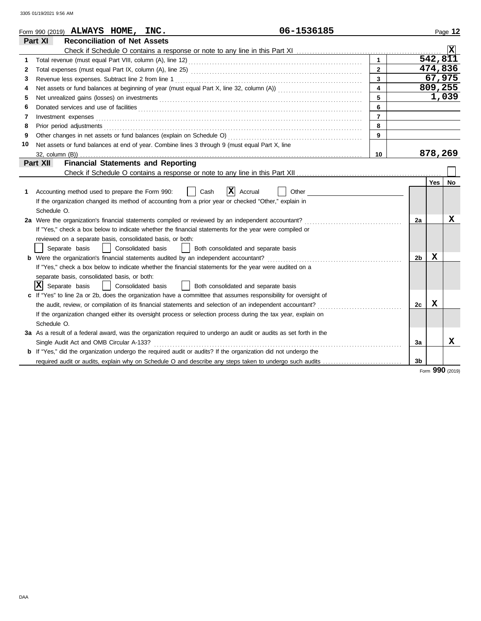| <b>Reconciliation of Net Assets</b><br>Part XI<br>区<br>542,811<br>$\mathbf{1}$<br>1<br>474,836<br>$\overline{2}$<br>2<br>67,975<br>$\overline{\mathbf{3}}$<br>3<br>$\overline{\mathbf{4}}$<br>809,255<br>4<br>5<br>1,039<br>5<br>6<br>Donated services and use of facilities <b>constants and interview of the service of the services</b> and use of facilities<br>6<br>$\overline{7}$<br>Investment expenses<br>7<br>8<br>Prior period adjustments entertainments and a statement of the statement of the statement of the statements of<br>8<br>9<br>9<br>Net assets or fund balances at end of year. Combine lines 3 through 9 (must equal Part X, line<br>10<br>878,269<br>10<br>Part XII<br><b>Financial Statements and Reporting</b><br>Yes<br>No<br>ΙX<br>Accounting method used to prepare the Form 990:<br>Accrual<br>Other<br>Cash<br>1.<br>If the organization changed its method of accounting from a prior year or checked "Other," explain in<br>Schedule O.<br>x<br>2a Were the organization's financial statements compiled or reviewed by an independent accountant?<br>2a<br>If "Yes," check a box below to indicate whether the financial statements for the year were compiled or<br>reviewed on a separate basis, consolidated basis, or both:<br>Separate basis<br>Consolidated basis<br>Both consolidated and separate basis<br>X<br>2 <sub>b</sub><br>If "Yes," check a box below to indicate whether the financial statements for the year were audited on a<br>separate basis, consolidated basis, or both:<br>X.<br>Separate basis<br>Consolidated basis<br>Both consolidated and separate basis<br>c If "Yes" to line 2a or 2b, does the organization have a committee that assumes responsibility for oversight of<br>х<br>the audit, review, or compilation of its financial statements and selection of an independent accountant?<br>2c<br>If the organization changed either its oversight process or selection process during the tax year, explain on<br>Schedule O.<br>3a As a result of a federal award, was the organization required to undergo an audit or audits as set forth in the<br>x<br>Single Audit Act and OMB Circular A-133?<br>3a<br>b If "Yes," did the organization undergo the required audit or audits? If the organization did not undergo the | 06-1536185<br>Form 990 (2019) $ALWAYS$ HOME, INC.                                                       |    | Page 12 |
|---------------------------------------------------------------------------------------------------------------------------------------------------------------------------------------------------------------------------------------------------------------------------------------------------------------------------------------------------------------------------------------------------------------------------------------------------------------------------------------------------------------------------------------------------------------------------------------------------------------------------------------------------------------------------------------------------------------------------------------------------------------------------------------------------------------------------------------------------------------------------------------------------------------------------------------------------------------------------------------------------------------------------------------------------------------------------------------------------------------------------------------------------------------------------------------------------------------------------------------------------------------------------------------------------------------------------------------------------------------------------------------------------------------------------------------------------------------------------------------------------------------------------------------------------------------------------------------------------------------------------------------------------------------------------------------------------------------------------------------------------------------------------------------------------------------------------------------------------------------------------------------------------------------------------------------------------------------------------------------------------------------------------------------------------------------------------------------------------------------------------------------------------------------------------------------------------------------------------------------------------------------------------------------------------------|---------------------------------------------------------------------------------------------------------|----|---------|
|                                                                                                                                                                                                                                                                                                                                                                                                                                                                                                                                                                                                                                                                                                                                                                                                                                                                                                                                                                                                                                                                                                                                                                                                                                                                                                                                                                                                                                                                                                                                                                                                                                                                                                                                                                                                                                                                                                                                                                                                                                                                                                                                                                                                                                                                                                         |                                                                                                         |    |         |
|                                                                                                                                                                                                                                                                                                                                                                                                                                                                                                                                                                                                                                                                                                                                                                                                                                                                                                                                                                                                                                                                                                                                                                                                                                                                                                                                                                                                                                                                                                                                                                                                                                                                                                                                                                                                                                                                                                                                                                                                                                                                                                                                                                                                                                                                                                         |                                                                                                         |    |         |
|                                                                                                                                                                                                                                                                                                                                                                                                                                                                                                                                                                                                                                                                                                                                                                                                                                                                                                                                                                                                                                                                                                                                                                                                                                                                                                                                                                                                                                                                                                                                                                                                                                                                                                                                                                                                                                                                                                                                                                                                                                                                                                                                                                                                                                                                                                         |                                                                                                         |    |         |
|                                                                                                                                                                                                                                                                                                                                                                                                                                                                                                                                                                                                                                                                                                                                                                                                                                                                                                                                                                                                                                                                                                                                                                                                                                                                                                                                                                                                                                                                                                                                                                                                                                                                                                                                                                                                                                                                                                                                                                                                                                                                                                                                                                                                                                                                                                         |                                                                                                         |    |         |
|                                                                                                                                                                                                                                                                                                                                                                                                                                                                                                                                                                                                                                                                                                                                                                                                                                                                                                                                                                                                                                                                                                                                                                                                                                                                                                                                                                                                                                                                                                                                                                                                                                                                                                                                                                                                                                                                                                                                                                                                                                                                                                                                                                                                                                                                                                         |                                                                                                         |    |         |
|                                                                                                                                                                                                                                                                                                                                                                                                                                                                                                                                                                                                                                                                                                                                                                                                                                                                                                                                                                                                                                                                                                                                                                                                                                                                                                                                                                                                                                                                                                                                                                                                                                                                                                                                                                                                                                                                                                                                                                                                                                                                                                                                                                                                                                                                                                         |                                                                                                         |    |         |
|                                                                                                                                                                                                                                                                                                                                                                                                                                                                                                                                                                                                                                                                                                                                                                                                                                                                                                                                                                                                                                                                                                                                                                                                                                                                                                                                                                                                                                                                                                                                                                                                                                                                                                                                                                                                                                                                                                                                                                                                                                                                                                                                                                                                                                                                                                         |                                                                                                         |    |         |
|                                                                                                                                                                                                                                                                                                                                                                                                                                                                                                                                                                                                                                                                                                                                                                                                                                                                                                                                                                                                                                                                                                                                                                                                                                                                                                                                                                                                                                                                                                                                                                                                                                                                                                                                                                                                                                                                                                                                                                                                                                                                                                                                                                                                                                                                                                         |                                                                                                         |    |         |
|                                                                                                                                                                                                                                                                                                                                                                                                                                                                                                                                                                                                                                                                                                                                                                                                                                                                                                                                                                                                                                                                                                                                                                                                                                                                                                                                                                                                                                                                                                                                                                                                                                                                                                                                                                                                                                                                                                                                                                                                                                                                                                                                                                                                                                                                                                         |                                                                                                         |    |         |
|                                                                                                                                                                                                                                                                                                                                                                                                                                                                                                                                                                                                                                                                                                                                                                                                                                                                                                                                                                                                                                                                                                                                                                                                                                                                                                                                                                                                                                                                                                                                                                                                                                                                                                                                                                                                                                                                                                                                                                                                                                                                                                                                                                                                                                                                                                         |                                                                                                         |    |         |
|                                                                                                                                                                                                                                                                                                                                                                                                                                                                                                                                                                                                                                                                                                                                                                                                                                                                                                                                                                                                                                                                                                                                                                                                                                                                                                                                                                                                                                                                                                                                                                                                                                                                                                                                                                                                                                                                                                                                                                                                                                                                                                                                                                                                                                                                                                         |                                                                                                         |    |         |
|                                                                                                                                                                                                                                                                                                                                                                                                                                                                                                                                                                                                                                                                                                                                                                                                                                                                                                                                                                                                                                                                                                                                                                                                                                                                                                                                                                                                                                                                                                                                                                                                                                                                                                                                                                                                                                                                                                                                                                                                                                                                                                                                                                                                                                                                                                         |                                                                                                         |    |         |
|                                                                                                                                                                                                                                                                                                                                                                                                                                                                                                                                                                                                                                                                                                                                                                                                                                                                                                                                                                                                                                                                                                                                                                                                                                                                                                                                                                                                                                                                                                                                                                                                                                                                                                                                                                                                                                                                                                                                                                                                                                                                                                                                                                                                                                                                                                         |                                                                                                         |    |         |
|                                                                                                                                                                                                                                                                                                                                                                                                                                                                                                                                                                                                                                                                                                                                                                                                                                                                                                                                                                                                                                                                                                                                                                                                                                                                                                                                                                                                                                                                                                                                                                                                                                                                                                                                                                                                                                                                                                                                                                                                                                                                                                                                                                                                                                                                                                         |                                                                                                         |    |         |
|                                                                                                                                                                                                                                                                                                                                                                                                                                                                                                                                                                                                                                                                                                                                                                                                                                                                                                                                                                                                                                                                                                                                                                                                                                                                                                                                                                                                                                                                                                                                                                                                                                                                                                                                                                                                                                                                                                                                                                                                                                                                                                                                                                                                                                                                                                         |                                                                                                         |    |         |
|                                                                                                                                                                                                                                                                                                                                                                                                                                                                                                                                                                                                                                                                                                                                                                                                                                                                                                                                                                                                                                                                                                                                                                                                                                                                                                                                                                                                                                                                                                                                                                                                                                                                                                                                                                                                                                                                                                                                                                                                                                                                                                                                                                                                                                                                                                         |                                                                                                         |    |         |
|                                                                                                                                                                                                                                                                                                                                                                                                                                                                                                                                                                                                                                                                                                                                                                                                                                                                                                                                                                                                                                                                                                                                                                                                                                                                                                                                                                                                                                                                                                                                                                                                                                                                                                                                                                                                                                                                                                                                                                                                                                                                                                                                                                                                                                                                                                         |                                                                                                         |    |         |
|                                                                                                                                                                                                                                                                                                                                                                                                                                                                                                                                                                                                                                                                                                                                                                                                                                                                                                                                                                                                                                                                                                                                                                                                                                                                                                                                                                                                                                                                                                                                                                                                                                                                                                                                                                                                                                                                                                                                                                                                                                                                                                                                                                                                                                                                                                         |                                                                                                         |    |         |
|                                                                                                                                                                                                                                                                                                                                                                                                                                                                                                                                                                                                                                                                                                                                                                                                                                                                                                                                                                                                                                                                                                                                                                                                                                                                                                                                                                                                                                                                                                                                                                                                                                                                                                                                                                                                                                                                                                                                                                                                                                                                                                                                                                                                                                                                                                         |                                                                                                         |    |         |
|                                                                                                                                                                                                                                                                                                                                                                                                                                                                                                                                                                                                                                                                                                                                                                                                                                                                                                                                                                                                                                                                                                                                                                                                                                                                                                                                                                                                                                                                                                                                                                                                                                                                                                                                                                                                                                                                                                                                                                                                                                                                                                                                                                                                                                                                                                         |                                                                                                         |    |         |
|                                                                                                                                                                                                                                                                                                                                                                                                                                                                                                                                                                                                                                                                                                                                                                                                                                                                                                                                                                                                                                                                                                                                                                                                                                                                                                                                                                                                                                                                                                                                                                                                                                                                                                                                                                                                                                                                                                                                                                                                                                                                                                                                                                                                                                                                                                         |                                                                                                         |    |         |
|                                                                                                                                                                                                                                                                                                                                                                                                                                                                                                                                                                                                                                                                                                                                                                                                                                                                                                                                                                                                                                                                                                                                                                                                                                                                                                                                                                                                                                                                                                                                                                                                                                                                                                                                                                                                                                                                                                                                                                                                                                                                                                                                                                                                                                                                                                         |                                                                                                         |    |         |
|                                                                                                                                                                                                                                                                                                                                                                                                                                                                                                                                                                                                                                                                                                                                                                                                                                                                                                                                                                                                                                                                                                                                                                                                                                                                                                                                                                                                                                                                                                                                                                                                                                                                                                                                                                                                                                                                                                                                                                                                                                                                                                                                                                                                                                                                                                         |                                                                                                         |    |         |
|                                                                                                                                                                                                                                                                                                                                                                                                                                                                                                                                                                                                                                                                                                                                                                                                                                                                                                                                                                                                                                                                                                                                                                                                                                                                                                                                                                                                                                                                                                                                                                                                                                                                                                                                                                                                                                                                                                                                                                                                                                                                                                                                                                                                                                                                                                         |                                                                                                         |    |         |
|                                                                                                                                                                                                                                                                                                                                                                                                                                                                                                                                                                                                                                                                                                                                                                                                                                                                                                                                                                                                                                                                                                                                                                                                                                                                                                                                                                                                                                                                                                                                                                                                                                                                                                                                                                                                                                                                                                                                                                                                                                                                                                                                                                                                                                                                                                         |                                                                                                         |    |         |
|                                                                                                                                                                                                                                                                                                                                                                                                                                                                                                                                                                                                                                                                                                                                                                                                                                                                                                                                                                                                                                                                                                                                                                                                                                                                                                                                                                                                                                                                                                                                                                                                                                                                                                                                                                                                                                                                                                                                                                                                                                                                                                                                                                                                                                                                                                         |                                                                                                         |    |         |
|                                                                                                                                                                                                                                                                                                                                                                                                                                                                                                                                                                                                                                                                                                                                                                                                                                                                                                                                                                                                                                                                                                                                                                                                                                                                                                                                                                                                                                                                                                                                                                                                                                                                                                                                                                                                                                                                                                                                                                                                                                                                                                                                                                                                                                                                                                         |                                                                                                         |    |         |
|                                                                                                                                                                                                                                                                                                                                                                                                                                                                                                                                                                                                                                                                                                                                                                                                                                                                                                                                                                                                                                                                                                                                                                                                                                                                                                                                                                                                                                                                                                                                                                                                                                                                                                                                                                                                                                                                                                                                                                                                                                                                                                                                                                                                                                                                                                         |                                                                                                         |    |         |
|                                                                                                                                                                                                                                                                                                                                                                                                                                                                                                                                                                                                                                                                                                                                                                                                                                                                                                                                                                                                                                                                                                                                                                                                                                                                                                                                                                                                                                                                                                                                                                                                                                                                                                                                                                                                                                                                                                                                                                                                                                                                                                                                                                                                                                                                                                         |                                                                                                         |    |         |
|                                                                                                                                                                                                                                                                                                                                                                                                                                                                                                                                                                                                                                                                                                                                                                                                                                                                                                                                                                                                                                                                                                                                                                                                                                                                                                                                                                                                                                                                                                                                                                                                                                                                                                                                                                                                                                                                                                                                                                                                                                                                                                                                                                                                                                                                                                         |                                                                                                         |    |         |
|                                                                                                                                                                                                                                                                                                                                                                                                                                                                                                                                                                                                                                                                                                                                                                                                                                                                                                                                                                                                                                                                                                                                                                                                                                                                                                                                                                                                                                                                                                                                                                                                                                                                                                                                                                                                                                                                                                                                                                                                                                                                                                                                                                                                                                                                                                         |                                                                                                         |    |         |
|                                                                                                                                                                                                                                                                                                                                                                                                                                                                                                                                                                                                                                                                                                                                                                                                                                                                                                                                                                                                                                                                                                                                                                                                                                                                                                                                                                                                                                                                                                                                                                                                                                                                                                                                                                                                                                                                                                                                                                                                                                                                                                                                                                                                                                                                                                         |                                                                                                         |    |         |
|                                                                                                                                                                                                                                                                                                                                                                                                                                                                                                                                                                                                                                                                                                                                                                                                                                                                                                                                                                                                                                                                                                                                                                                                                                                                                                                                                                                                                                                                                                                                                                                                                                                                                                                                                                                                                                                                                                                                                                                                                                                                                                                                                                                                                                                                                                         |                                                                                                         |    |         |
|                                                                                                                                                                                                                                                                                                                                                                                                                                                                                                                                                                                                                                                                                                                                                                                                                                                                                                                                                                                                                                                                                                                                                                                                                                                                                                                                                                                                                                                                                                                                                                                                                                                                                                                                                                                                                                                                                                                                                                                                                                                                                                                                                                                                                                                                                                         |                                                                                                         |    |         |
|                                                                                                                                                                                                                                                                                                                                                                                                                                                                                                                                                                                                                                                                                                                                                                                                                                                                                                                                                                                                                                                                                                                                                                                                                                                                                                                                                                                                                                                                                                                                                                                                                                                                                                                                                                                                                                                                                                                                                                                                                                                                                                                                                                                                                                                                                                         | required audit or audits, explain why on Schedule O and describe any steps taken to undergo such audits | 3b |         |

Form **990** (2019)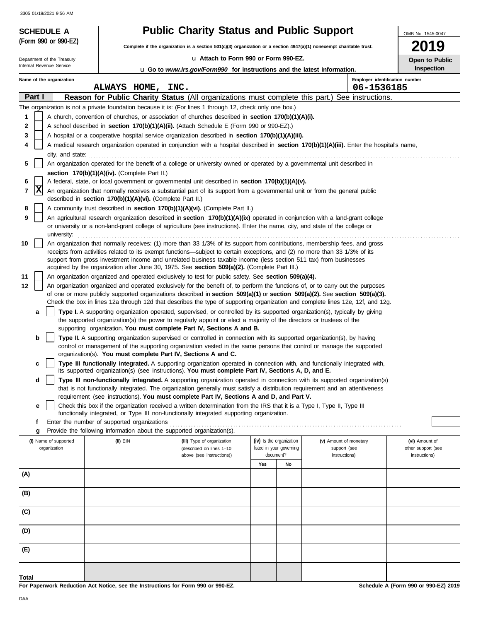| 3305 01/19/2021 9:56 AM               |  |                                                            |                                                                                                                                                                                                                                                                                                                              |     |                                                      |                                        |                                      |  |  |  |
|---------------------------------------|--|------------------------------------------------------------|------------------------------------------------------------------------------------------------------------------------------------------------------------------------------------------------------------------------------------------------------------------------------------------------------------------------------|-----|------------------------------------------------------|----------------------------------------|--------------------------------------|--|--|--|
| <b>SCHEDULE A</b>                     |  |                                                            | <b>Public Charity Status and Public Support</b>                                                                                                                                                                                                                                                                              |     |                                                      |                                        | OMB No. 1545-0047                    |  |  |  |
| (Form 990 or 990-EZ)                  |  |                                                            | Complete if the organization is a section 501(c)(3) organization or a section 4947(a)(1) nonexempt charitable trust.                                                                                                                                                                                                         |     |                                                      |                                        | 2019                                 |  |  |  |
| Department of the Treasury            |  |                                                            | La Attach to Form 990 or Form 990-EZ.                                                                                                                                                                                                                                                                                        |     |                                                      |                                        | Open to Public                       |  |  |  |
| Internal Revenue Service              |  |                                                            | <b>u</b> Go to <i>www.irs.gov/Form990</i> for instructions and the latest information.                                                                                                                                                                                                                                       |     |                                                      |                                        | <b>Inspection</b>                    |  |  |  |
| Name of the organization              |  |                                                            |                                                                                                                                                                                                                                                                                                                              |     |                                                      | Employer identification number         |                                      |  |  |  |
| Part I                                |  | ALWAYS HOME,                                               | INC.<br>Reason for Public Charity Status (All organizations must complete this part.) See instructions.                                                                                                                                                                                                                      |     |                                                      | 06-1536185                             |                                      |  |  |  |
|                                       |  |                                                            | The organization is not a private foundation because it is: (For lines 1 through 12, check only one box.)                                                                                                                                                                                                                    |     |                                                      |                                        |                                      |  |  |  |
| 1                                     |  |                                                            | A church, convention of churches, or association of churches described in section 170(b)(1)(A)(i).                                                                                                                                                                                                                           |     |                                                      |                                        |                                      |  |  |  |
| 2                                     |  |                                                            | A school described in <b>section 170(b)(1)(A)(ii).</b> (Attach Schedule E (Form 990 or 990-EZ).)                                                                                                                                                                                                                             |     |                                                      |                                        |                                      |  |  |  |
| 3                                     |  |                                                            | A hospital or a cooperative hospital service organization described in section 170(b)(1)(A)(iii).                                                                                                                                                                                                                            |     |                                                      |                                        |                                      |  |  |  |
| 4<br>city, and state:                 |  |                                                            | A medical research organization operated in conjunction with a hospital described in <b>section 170(b)(1)(A)(iii)</b> . Enter the hospital's name,                                                                                                                                                                           |     |                                                      |                                        |                                      |  |  |  |
| 5                                     |  |                                                            | An organization operated for the benefit of a college or university owned or operated by a governmental unit described in                                                                                                                                                                                                    |     |                                                      |                                        |                                      |  |  |  |
|                                       |  | section 170(b)(1)(A)(iv). (Complete Part II.)              |                                                                                                                                                                                                                                                                                                                              |     |                                                      |                                        |                                      |  |  |  |
| 6                                     |  |                                                            | A federal, state, or local government or governmental unit described in section 170(b)(1)(A)(v).                                                                                                                                                                                                                             |     |                                                      |                                        |                                      |  |  |  |
| x <br>7                               |  | described in section 170(b)(1)(A)(vi). (Complete Part II.) | An organization that normally receives a substantial part of its support from a governmental unit or from the general public                                                                                                                                                                                                 |     |                                                      |                                        |                                      |  |  |  |
| 8                                     |  |                                                            | A community trust described in section 170(b)(1)(A)(vi). (Complete Part II.)                                                                                                                                                                                                                                                 |     |                                                      |                                        |                                      |  |  |  |
| 9<br>university:                      |  |                                                            | An agricultural research organization described in section 170(b)(1)(A)(ix) operated in conjunction with a land-grant college<br>or university or a non-land-grant college of agriculture (see instructions). Enter the name, city, and state of the college or                                                              |     |                                                      |                                        |                                      |  |  |  |
| 10                                    |  |                                                            | An organization that normally receives: (1) more than 33 1/3% of its support from contributions, membership fees, and gross                                                                                                                                                                                                  |     |                                                      |                                        |                                      |  |  |  |
|                                       |  |                                                            | receipts from activities related to its exempt functions—subject to certain exceptions, and (2) no more than 33 1/3% of its<br>support from gross investment income and unrelated business taxable income (less section 511 tax) from businesses                                                                             |     |                                                      |                                        |                                      |  |  |  |
|                                       |  |                                                            | acquired by the organization after June 30, 1975. See section 509(a)(2). (Complete Part III.)                                                                                                                                                                                                                                |     |                                                      |                                        |                                      |  |  |  |
| 11                                    |  |                                                            | An organization organized and operated exclusively to test for public safety. See section 509(a)(4).                                                                                                                                                                                                                         |     |                                                      |                                        |                                      |  |  |  |
| 12                                    |  |                                                            | An organization organized and operated exclusively for the benefit of, to perform the functions of, or to carry out the purposes<br>of one or more publicly supported organizations described in section $509(a)(1)$ or section $509(a)(2)$ . See section $509(a)(3)$ .                                                      |     |                                                      |                                        |                                      |  |  |  |
|                                       |  |                                                            | Check the box in lines 12a through 12d that describes the type of supporting organization and complete lines 12e, 12f, and 12g.                                                                                                                                                                                              |     |                                                      |                                        |                                      |  |  |  |
| a                                     |  |                                                            | Type I. A supporting organization operated, supervised, or controlled by its supported organization(s), typically by giving<br>the supported organization(s) the power to regularly appoint or elect a majority of the directors or trustees of the<br>supporting organization. You must complete Part IV, Sections A and B. |     |                                                      |                                        |                                      |  |  |  |
| b                                     |  |                                                            | <b>Type II.</b> A supporting organization supervised or controlled in connection with its supported organization(s), by having                                                                                                                                                                                               |     |                                                      |                                        |                                      |  |  |  |
|                                       |  |                                                            | control or management of the supporting organization vested in the same persons that control or manage the supported                                                                                                                                                                                                         |     |                                                      |                                        |                                      |  |  |  |
| C                                     |  |                                                            | organization(s). You must complete Part IV, Sections A and C.<br>Type III functionally integrated. A supporting organization operated in connection with, and functionally integrated with,                                                                                                                                  |     |                                                      |                                        |                                      |  |  |  |
|                                       |  |                                                            | its supported organization(s) (see instructions). You must complete Part IV, Sections A, D, and E.                                                                                                                                                                                                                           |     |                                                      |                                        |                                      |  |  |  |
| d                                     |  |                                                            | Type III non-functionally integrated. A supporting organization operated in connection with its supported organization(s)<br>that is not functionally integrated. The organization generally must satisfy a distribution requirement and an attentiveness                                                                    |     |                                                      |                                        |                                      |  |  |  |
|                                       |  |                                                            | requirement (see instructions). You must complete Part IV, Sections A and D, and Part V.                                                                                                                                                                                                                                     |     |                                                      |                                        |                                      |  |  |  |
| е                                     |  |                                                            | Check this box if the organization received a written determination from the IRS that it is a Type I, Type II, Type III<br>functionally integrated, or Type III non-functionally integrated supporting organization.                                                                                                         |     |                                                      |                                        |                                      |  |  |  |
| f                                     |  | Enter the number of supported organizations                |                                                                                                                                                                                                                                                                                                                              |     |                                                      |                                        |                                      |  |  |  |
| g                                     |  |                                                            | Provide the following information about the supported organization(s).                                                                                                                                                                                                                                                       |     |                                                      |                                        |                                      |  |  |  |
| (i) Name of supported<br>organization |  | (ii) EIN                                                   | (iii) Type of organization<br>(described on lines 1-10                                                                                                                                                                                                                                                                       |     | (iv) Is the organization<br>listed in your governing | (v) Amount of monetary<br>support (see | (vi) Amount of<br>other support (see |  |  |  |
|                                       |  |                                                            | above (see instructions))                                                                                                                                                                                                                                                                                                    |     | document?                                            | instructions)                          | instructions)                        |  |  |  |
|                                       |  |                                                            |                                                                                                                                                                                                                                                                                                                              | Yes | No                                                   |                                        |                                      |  |  |  |
| (A)                                   |  |                                                            |                                                                                                                                                                                                                                                                                                                              |     |                                                      |                                        |                                      |  |  |  |
| (B)                                   |  |                                                            |                                                                                                                                                                                                                                                                                                                              |     |                                                      |                                        |                                      |  |  |  |
| (C)                                   |  |                                                            |                                                                                                                                                                                                                                                                                                                              |     |                                                      |                                        |                                      |  |  |  |
| (D)                                   |  |                                                            |                                                                                                                                                                                                                                                                                                                              |     |                                                      |                                        |                                      |  |  |  |
| (E)                                   |  |                                                            |                                                                                                                                                                                                                                                                                                                              |     |                                                      |                                        |                                      |  |  |  |
| Total                                 |  |                                                            |                                                                                                                                                                                                                                                                                                                              |     |                                                      |                                        |                                      |  |  |  |

**For Paperwork Reduction Act Notice, see the Instructions for Form 990 or 990-EZ.**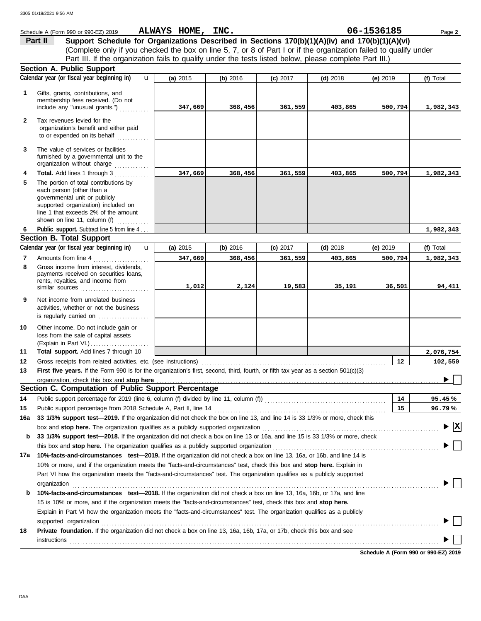|                | Schedule A (Form 990 or 990-EZ) 2019                                                                                                                                                                                                                 | ALWAYS HOME, INC. |          |            |            | 06-1536185 | Page 2       |
|----------------|------------------------------------------------------------------------------------------------------------------------------------------------------------------------------------------------------------------------------------------------------|-------------------|----------|------------|------------|------------|--------------|
|                | Support Schedule for Organizations Described in Sections 170(b)(1)(A)(iv) and 170(b)(1)(A)(vi)<br>Part II                                                                                                                                            |                   |          |            |            |            |              |
|                | (Complete only if you checked the box on line 5, 7, or 8 of Part I or if the organization failed to qualify under                                                                                                                                    |                   |          |            |            |            |              |
|                | Part III. If the organization fails to qualify under the tests listed below, please complete Part III.)                                                                                                                                              |                   |          |            |            |            |              |
|                | <b>Section A. Public Support</b>                                                                                                                                                                                                                     |                   |          |            |            |            |              |
|                | Calendar year (or fiscal year beginning in)<br>$\mathbf{u}$                                                                                                                                                                                          | (a) 2015          | (b) 2016 | $(c)$ 2017 | $(d)$ 2018 | $(e)$ 2019 | (f) Total    |
| 1              | Gifts, grants, contributions, and<br>membership fees received. (Do not                                                                                                                                                                               |                   |          |            |            |            |              |
|                | include any "unusual grants.")                                                                                                                                                                                                                       | 347,669           | 368,456  | 361,559    | 403,865    | 500,794    | 1,982,343    |
| $\mathbf{2}$   | Tax revenues levied for the<br>organization's benefit and either paid<br>to or expended on its behalf                                                                                                                                                |                   |          |            |            |            |              |
| 3              | The value of services or facilities<br>furnished by a governmental unit to the<br>organization without charge                                                                                                                                        |                   |          |            |            |            |              |
| 4              | Total. Add lines 1 through 3                                                                                                                                                                                                                         | 347,669           | 368,456  | 361,559    | 403,865    | 500,794    | 1,982,343    |
| 5              | The portion of total contributions by<br>each person (other than a<br>governmental unit or publicly<br>supported organization) included on<br>line 1 that exceeds 2% of the amount<br>shown on line 11, column (f)<br>.                              |                   |          |            |            |            |              |
| 6              | Public support. Subtract line 5 from line 4                                                                                                                                                                                                          |                   |          |            |            |            | 1,982,343    |
|                | <b>Section B. Total Support</b>                                                                                                                                                                                                                      |                   |          |            |            |            |              |
|                | Calendar year (or fiscal year beginning in)<br>$\mathbf{u}$                                                                                                                                                                                          | (a) 2015          | (b) 2016 | $(c)$ 2017 | $(d)$ 2018 | $(e)$ 2019 | (f) Total    |
| $\overline{7}$ | Amounts from line 4                                                                                                                                                                                                                                  | 347,669           | 368,456  | 361,559    | 403,865    | 500,794    | 1,982,343    |
| 8              | Gross income from interest, dividends,<br>payments received on securities loans,<br>rents, royalties, and income from                                                                                                                                | 1,012             | 2,124    | 19,583     | 35,191     | 36,501     | 94,411       |
| 9              | Net income from unrelated business<br>activities, whether or not the business<br>is regularly carried on                                                                                                                                             |                   |          |            |            |            |              |
| 10             | Other income. Do not include gain or<br>loss from the sale of capital assets                                                                                                                                                                         |                   |          |            |            |            |              |
| 11             | Total support. Add lines 7 through 10                                                                                                                                                                                                                |                   |          |            |            |            | 2,076,754    |
| 12             | Gross receipts from related activities, etc. (see instructions)                                                                                                                                                                                      |                   |          |            |            | 12         | 102,550      |
| 13             | First five years. If the Form 990 is for the organization's first, second, third, fourth, or fifth tax year as a section 501(c)(3)                                                                                                                   |                   |          |            |            |            |              |
|                | organization, check this box and stop here<br>Section C. Computation of Public Support Percentage                                                                                                                                                    |                   |          |            |            |            |              |
| 14             | Public support percentage for 2019 (line 6, column (f) divided by line 11, column (f) [[[[[[[[[[[[[[[[[[[[[[[                                                                                                                                        |                   |          |            |            | 14         | 95.45%       |
| 15             | Public support percentage from 2018 Schedule A, Part II, line 14                                                                                                                                                                                     |                   |          |            |            | 15         | 96.79%       |
| 16a            | 33 1/3% support test-2019. If the organization did not check the box on line 13, and line 14 is 33 1/3% or more, check this                                                                                                                          |                   |          |            |            |            |              |
|                | box and stop here. The organization qualifies as a publicly supported organization                                                                                                                                                                   |                   |          |            |            |            | $\mathbf{x}$ |
| b              | 33 1/3% support test-2018. If the organization did not check a box on line 13 or 16a, and line 15 is 33 1/3% or more, check                                                                                                                          |                   |          |            |            |            |              |
|                | this box and stop here. The organization qualifies as a publicly supported organization                                                                                                                                                              |                   |          |            |            |            |              |
| 17a            | 10%-facts-and-circumstances test-2019. If the organization did not check a box on line 13, 16a, or 16b, and line 14 is                                                                                                                               |                   |          |            |            |            |              |
|                | 10% or more, and if the organization meets the "facts-and-circumstances" test, check this box and stop here. Explain in<br>Part VI how the organization meets the "facts-and-circumstances" test. The organization qualifies as a publicly supported |                   |          |            |            |            |              |
|                | organization                                                                                                                                                                                                                                         |                   |          |            |            |            |              |
| b              | 10%-facts-and-circumstances test-2018. If the organization did not check a box on line 13, 16a, 16b, or 17a, and line                                                                                                                                |                   |          |            |            |            |              |
|                | 15 is 10% or more, and if the organization meets the "facts-and-circumstances" test, check this box and stop here.                                                                                                                                   |                   |          |            |            |            |              |
|                | Explain in Part VI how the organization meets the "facts-and-circumstances" test. The organization qualifies as a publicly                                                                                                                           |                   |          |            |            |            |              |
|                | supported organization                                                                                                                                                                                                                               |                   |          |            |            |            |              |
| 18             | Private foundation. If the organization did not check a box on line 13, 16a, 16b, 17a, or 17b, check this box and see                                                                                                                                |                   |          |            |            |            |              |
|                | instructions                                                                                                                                                                                                                                         |                   |          |            |            |            |              |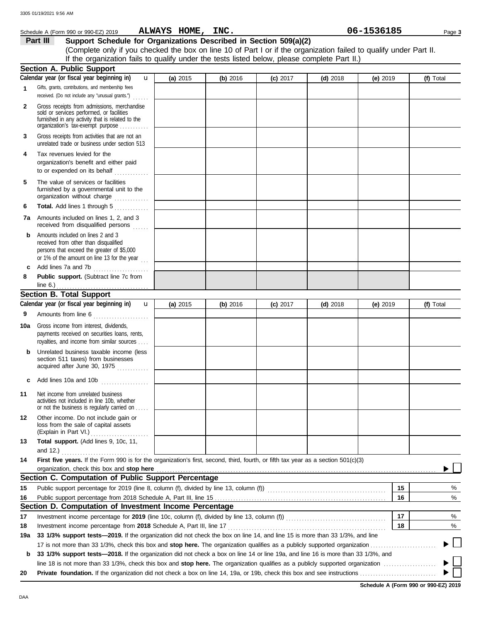|     | Schedule A (Form 990 or 990-EZ) 2019                                                                                                                                                                                                                                                       | ALWAYS HOME, INC. |          |            |            | 06-1536185 | Page 3    |
|-----|--------------------------------------------------------------------------------------------------------------------------------------------------------------------------------------------------------------------------------------------------------------------------------------------|-------------------|----------|------------|------------|------------|-----------|
|     | Support Schedule for Organizations Described in Section 509(a)(2)<br>Part III                                                                                                                                                                                                              |                   |          |            |            |            |           |
|     | (Complete only if you checked the box on line 10 of Part I or if the organization failed to qualify under Part II.                                                                                                                                                                         |                   |          |            |            |            |           |
|     | If the organization fails to qualify under the tests listed below, please complete Part II.)                                                                                                                                                                                               |                   |          |            |            |            |           |
|     | <b>Section A. Public Support</b>                                                                                                                                                                                                                                                           |                   |          |            |            |            |           |
|     | Calendar year (or fiscal year beginning in)<br>$\mathbf{u}$                                                                                                                                                                                                                                | (a) 2015          | (b) 2016 | $(c)$ 2017 | $(d)$ 2018 | $(e)$ 2019 | (f) Total |
| 1   | Gifts, grants, contributions, and membership fees<br>received. (Do not include any "unusual grants.")<br>a a a a a                                                                                                                                                                         |                   |          |            |            |            |           |
| 2   | Gross receipts from admissions, merchandise<br>sold or services performed, or facilities<br>furnished in any activity that is related to the<br>organization's tax-exempt purpose                                                                                                          |                   |          |            |            |            |           |
| 3   | Gross receipts from activities that are not an<br>unrelated trade or business under section 513                                                                                                                                                                                            |                   |          |            |            |            |           |
| 4   | Tax revenues levied for the<br>organization's benefit and either paid<br>to or expended on its behalf                                                                                                                                                                                      |                   |          |            |            |            |           |
| 5   | The value of services or facilities<br>furnished by a governmental unit to the<br>organization without charge                                                                                                                                                                              |                   |          |            |            |            |           |
| 6   | Total. Add lines 1 through 5                                                                                                                                                                                                                                                               |                   |          |            |            |            |           |
| 7a  | Amounts included on lines 1, 2, and 3<br>received from disqualified persons                                                                                                                                                                                                                |                   |          |            |            |            |           |
|     | Amounts included on lines 2 and 3<br>received from other than disqualified<br>persons that exceed the greater of \$5,000<br>or 1% of the amount on line 13 for the year $\ldots$                                                                                                           |                   |          |            |            |            |           |
| c   | Add lines 7a and 7b                                                                                                                                                                                                                                                                        |                   |          |            |            |            |           |
| 8   | Public support. (Subtract line 7c from                                                                                                                                                                                                                                                     |                   |          |            |            |            |           |
|     | Section B. Total Support                                                                                                                                                                                                                                                                   |                   |          |            |            |            |           |
|     |                                                                                                                                                                                                                                                                                            |                   |          |            |            |            |           |
|     | Calendar year (or fiscal year beginning in)<br>$\mathbf{u}$                                                                                                                                                                                                                                | (a) 2015          | (b) 2016 | $(c)$ 2017 | $(d)$ 2018 | (e) 2019   | (f) Total |
| 9   | Amounts from line 6                                                                                                                                                                                                                                                                        |                   |          |            |            |            |           |
| 10a | Gross income from interest, dividends,<br>payments received on securities loans, rents,<br>royalties, and income from similar sources                                                                                                                                                      |                   |          |            |            |            |           |
| b   | Unrelated business taxable income (less<br>section 511 taxes) from businesses<br>acquired after June 30, 1975                                                                                                                                                                              |                   |          |            |            |            |           |
| c   | Add lines 10a and 10b<br>.                                                                                                                                                                                                                                                                 |                   |          |            |            |            |           |
| 11  | Net income from unrelated business<br>activities not included in line 10b, whether<br>or not the business is regularly carried on                                                                                                                                                          |                   |          |            |            |            |           |
| 12  | Other income. Do not include gain or<br>loss from the sale of capital assets<br>(Explain in Part VI.)                                                                                                                                                                                      |                   |          |            |            |            |           |
| 13  | Total support. (Add lines 9, 10c, 11,<br>and 12.) $\ldots$                                                                                                                                                                                                                                 |                   |          |            |            |            |           |
| 14  | First five years. If the Form 990 is for the organization's first, second, third, fourth, or fifth tax year as a section 501(c)(3)                                                                                                                                                         |                   |          |            |            |            |           |
|     | organization, check this box and stop here <b>construction</b> and construction of the construction of the state of the construction of the construction of the construction of the construction of the construction of the constru<br>Section C. Computation of Public Support Percentage |                   |          |            |            |            |           |
| 15  |                                                                                                                                                                                                                                                                                            |                   |          |            |            | 15         | %         |
| 16  |                                                                                                                                                                                                                                                                                            |                   |          |            |            | 16         | $\%$      |
|     | Section D. Computation of Investment Income Percentage                                                                                                                                                                                                                                     |                   |          |            |            |            |           |
| 17  |                                                                                                                                                                                                                                                                                            |                   |          |            |            | 17         | %         |
| 18  |                                                                                                                                                                                                                                                                                            |                   |          |            |            | 18         | %         |
| 19a | 33 1/3% support tests-2019. If the organization did not check the box on line 14, and line 15 is more than 33 1/3%, and line                                                                                                                                                               |                   |          |            |            |            |           |
|     |                                                                                                                                                                                                                                                                                            |                   |          |            |            |            |           |
| b   | 33 1/3% support tests-2018. If the organization did not check a box on line 14 or line 19a, and line 16 is more than 33 1/3%, and                                                                                                                                                          |                   |          |            |            |            |           |
|     |                                                                                                                                                                                                                                                                                            |                   |          |            |            |            |           |
| 20  |                                                                                                                                                                                                                                                                                            |                   |          |            |            |            |           |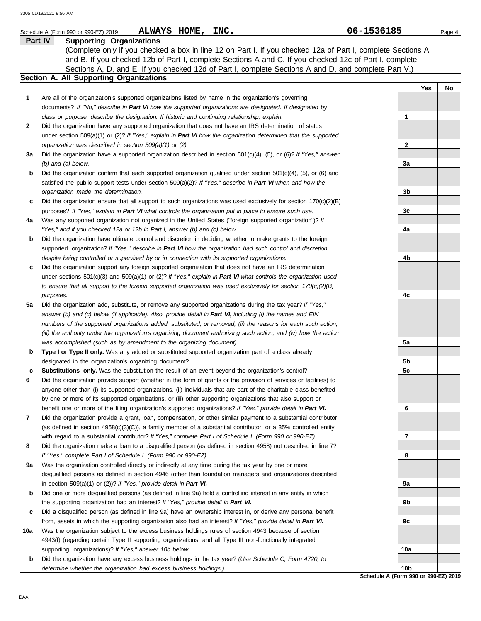|     | ALWAYS HOME, INC.<br>Schedule A (Form 990 or 990-EZ) 2019                                                                                                                                                                          | 06-1536185      | Page 4 |
|-----|------------------------------------------------------------------------------------------------------------------------------------------------------------------------------------------------------------------------------------|-----------------|--------|
|     | Part IV<br><b>Supporting Organizations</b>                                                                                                                                                                                         |                 |        |
|     | (Complete only if you checked a box in line 12 on Part I. If you checked 12a of Part I, complete Sections A                                                                                                                        |                 |        |
|     | and B. If you checked 12b of Part I, complete Sections A and C. If you checked 12c of Part I, complete                                                                                                                             |                 |        |
|     | Sections A, D, and E. If you checked 12d of Part I, complete Sections A and D, and complete Part V.)<br>Section A. All Supporting Organizations                                                                                    |                 |        |
|     |                                                                                                                                                                                                                                    | Yes             | No     |
| 1   | Are all of the organization's supported organizations listed by name in the organization's governing                                                                                                                               |                 |        |
|     | documents? If "No," describe in Part VI how the supported organizations are designated. If designated by                                                                                                                           |                 |        |
|     | class or purpose, describe the designation. If historic and continuing relationship, explain.                                                                                                                                      | 1               |        |
| 2   | Did the organization have any supported organization that does not have an IRS determination of status                                                                                                                             |                 |        |
|     | under section 509(a)(1) or (2)? If "Yes," explain in Part VI how the organization determined that the supported                                                                                                                    |                 |        |
|     | organization was described in section 509(a)(1) or (2).                                                                                                                                                                            | 2               |        |
| За  | Did the organization have a supported organization described in section $501(c)(4)$ , (5), or (6)? If "Yes," answer                                                                                                                |                 |        |
|     | $(b)$ and $(c)$ below.                                                                                                                                                                                                             | За              |        |
| b   | Did the organization confirm that each supported organization qualified under section $501(c)(4)$ , (5), or (6) and                                                                                                                |                 |        |
|     | satisfied the public support tests under section $509(a)(2)?$ If "Yes," describe in Part VI when and how the                                                                                                                       |                 |        |
|     | organization made the determination.                                                                                                                                                                                               | 3b              |        |
| c   | Did the organization ensure that all support to such organizations was used exclusively for section $170(c)(2)(B)$                                                                                                                 |                 |        |
|     | purposes? If "Yes," explain in Part VI what controls the organization put in place to ensure such use.                                                                                                                             | 3c              |        |
| 4a  | Was any supported organization not organized in the United States ("foreign supported organization")? If                                                                                                                           |                 |        |
|     | "Yes," and if you checked 12a or 12b in Part I, answer (b) and (c) below.<br>Did the organization have ultimate control and discretion in deciding whether to make grants to the foreign                                           | 4a              |        |
| b   | supported organization? If "Yes," describe in Part VI how the organization had such control and discretion                                                                                                                         |                 |        |
|     | despite being controlled or supervised by or in connection with its supported organizations.                                                                                                                                       | 4b              |        |
| c   | Did the organization support any foreign supported organization that does not have an IRS determination                                                                                                                            |                 |        |
|     | under sections $501(c)(3)$ and $509(a)(1)$ or $(2)$ ? If "Yes," explain in Part VI what controls the organization used                                                                                                             |                 |        |
|     | to ensure that all support to the foreign supported organization was used exclusively for section $170(c)(2)(B)$                                                                                                                   |                 |        |
|     | purposes.                                                                                                                                                                                                                          | 4c              |        |
| 5a  | Did the organization add, substitute, or remove any supported organizations during the tax year? If "Yes,"                                                                                                                         |                 |        |
|     | answer (b) and (c) below (if applicable). Also, provide detail in Part VI, including (i) the names and EIN                                                                                                                         |                 |        |
|     | numbers of the supported organizations added, substituted, or removed; (ii) the reasons for each such action;                                                                                                                      |                 |        |
|     | (iii) the authority under the organization's organizing document authorizing such action; and (iv) how the action                                                                                                                  |                 |        |
|     | was accomplished (such as by amendment to the organizing document).                                                                                                                                                                | 5a              |        |
| b   | Type I or Type II only. Was any added or substituted supported organization part of a class already                                                                                                                                |                 |        |
|     | designated in the organization's organizing document?                                                                                                                                                                              | 5b              |        |
| c   | Substitutions only. Was the substitution the result of an event beyond the organization's control?                                                                                                                                 | 5c              |        |
| 6   | Did the organization provide support (whether in the form of grants or the provision of services or facilities) to                                                                                                                 |                 |        |
|     | anyone other than (i) its supported organizations, (ii) individuals that are part of the charitable class benefited<br>by one or more of its supported organizations, or (iii) other supporting organizations that also support or |                 |        |
|     | benefit one or more of the filing organization's supported organizations? If "Yes," provide detail in Part VI.                                                                                                                     | 6               |        |
| 7   | Did the organization provide a grant, loan, compensation, or other similar payment to a substantial contributor                                                                                                                    |                 |        |
|     | (as defined in section $4958(c)(3)(C)$ ), a family member of a substantial contributor, or a 35% controlled entity                                                                                                                 |                 |        |
|     | with regard to a substantial contributor? If "Yes," complete Part I of Schedule L (Form 990 or 990-EZ).                                                                                                                            | 7               |        |
| 8   | Did the organization make a loan to a disqualified person (as defined in section 4958) not described in line 7?                                                                                                                    |                 |        |
|     | If "Yes," complete Part I of Schedule L (Form 990 or 990-EZ).                                                                                                                                                                      | 8               |        |
| 9а  | Was the organization controlled directly or indirectly at any time during the tax year by one or more                                                                                                                              |                 |        |
|     | disqualified persons as defined in section 4946 (other than foundation managers and organizations described                                                                                                                        |                 |        |
|     | in section 509(a)(1) or (2))? If "Yes," provide detail in Part VI.                                                                                                                                                                 | 9а              |        |
| b   | Did one or more disqualified persons (as defined in line 9a) hold a controlling interest in any entity in which                                                                                                                    |                 |        |
|     | the supporting organization had an interest? If "Yes," provide detail in Part VI.                                                                                                                                                  | 9b              |        |
| c   | Did a disqualified person (as defined in line 9a) have an ownership interest in, or derive any personal benefit                                                                                                                    |                 |        |
| 10a | from, assets in which the supporting organization also had an interest? If "Yes," provide detail in Part VI.                                                                                                                       | 9с              |        |
|     | Was the organization subject to the excess business holdings rules of section 4943 because of section<br>4943(f) (regarding certain Type II supporting organizations, and all Type III non-functionally integrated                 |                 |        |
|     | supporting organizations)? If "Yes," answer 10b below.                                                                                                                                                                             | 10a             |        |
| b   | Did the organization have any excess business holdings in the tax year? (Use Schedule C, Form 4720, to                                                                                                                             |                 |        |
|     | determine whether the organization had excess business holdings.)                                                                                                                                                                  | 10 <sub>b</sub> |        |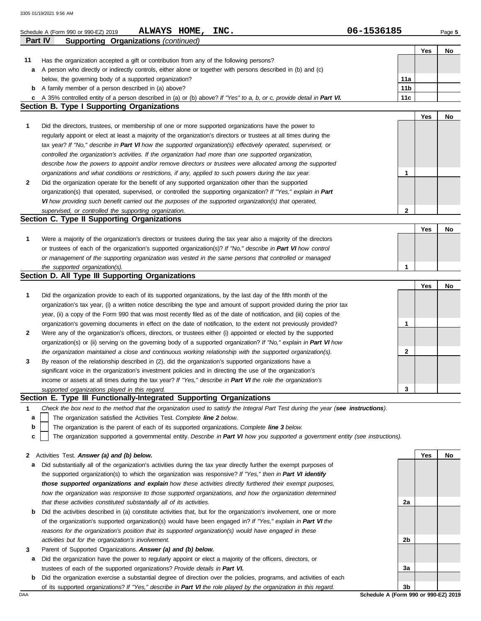|                                                                                                        | 3305 01/19/2021 9:56 AM                                                                                                                                                    |                 |     |    |  |  |  |
|--------------------------------------------------------------------------------------------------------|----------------------------------------------------------------------------------------------------------------------------------------------------------------------------|-----------------|-----|----|--|--|--|
| 06-1536185<br>ALWAYS HOME,<br>INC.<br>Schedule A (Form 990 or 990-EZ) 2019<br>Page 5<br><b>Part IV</b> |                                                                                                                                                                            |                 |     |    |  |  |  |
|                                                                                                        | <b>Supporting Organizations (continued)</b>                                                                                                                                |                 |     |    |  |  |  |
|                                                                                                        |                                                                                                                                                                            |                 | Yes | No |  |  |  |
| 11                                                                                                     | Has the organization accepted a gift or contribution from any of the following persons?                                                                                    |                 |     |    |  |  |  |
| а                                                                                                      | A person who directly or indirectly controls, either alone or together with persons described in (b) and (c)                                                               |                 |     |    |  |  |  |
|                                                                                                        | below, the governing body of a supported organization?                                                                                                                     | 11a             |     |    |  |  |  |
| b                                                                                                      | A family member of a person described in (a) above?                                                                                                                        | 11 <sub>b</sub> |     |    |  |  |  |
| c                                                                                                      | A 35% controlled entity of a person described in (a) or (b) above? If "Yes" to a, b, or c, provide detail in Part VI.<br><b>Section B. Type I Supporting Organizations</b> | 11c             |     |    |  |  |  |
|                                                                                                        |                                                                                                                                                                            |                 |     |    |  |  |  |
|                                                                                                        |                                                                                                                                                                            |                 | Yes | No |  |  |  |
| 1                                                                                                      | Did the directors, trustees, or membership of one or more supported organizations have the power to                                                                        |                 |     |    |  |  |  |
|                                                                                                        | regularly appoint or elect at least a majority of the organization's directors or trustees at all times during the                                                         |                 |     |    |  |  |  |
|                                                                                                        | tax year? If "No," describe in Part VI how the supported organization(s) effectively operated, supervised, or                                                              |                 |     |    |  |  |  |
|                                                                                                        | controlled the organization's activities. If the organization had more than one supported organization,                                                                    |                 |     |    |  |  |  |
|                                                                                                        | describe how the powers to appoint and/or remove directors or trustees were allocated among the supported                                                                  |                 |     |    |  |  |  |
|                                                                                                        | organizations and what conditions or restrictions, if any, applied to such powers during the tax year.                                                                     | 1               |     |    |  |  |  |
| $\mathbf{2}$                                                                                           | Did the organization operate for the benefit of any supported organization other than the supported                                                                        |                 |     |    |  |  |  |
|                                                                                                        | organization(s) that operated, supervised, or controlled the supporting organization? If "Yes," explain in Part                                                            |                 |     |    |  |  |  |
|                                                                                                        | VI how providing such benefit carried out the purposes of the supported organization(s) that operated,                                                                     |                 |     |    |  |  |  |
|                                                                                                        | supervised, or controlled the supporting organization.                                                                                                                     | $\mathbf{2}$    |     |    |  |  |  |
|                                                                                                        | Section C. Type II Supporting Organizations                                                                                                                                |                 |     |    |  |  |  |
|                                                                                                        |                                                                                                                                                                            |                 | Yes | No |  |  |  |
| 1                                                                                                      | Were a majority of the organization's directors or trustees during the tax year also a majority of the directors                                                           |                 |     |    |  |  |  |
|                                                                                                        | or trustees of each of the organization's supported organization(s)? If "No," describe in Part VI how control                                                              |                 |     |    |  |  |  |
|                                                                                                        | or management of the supporting organization was vested in the same persons that controlled or managed                                                                     |                 |     |    |  |  |  |
|                                                                                                        | the supported organization(s).                                                                                                                                             |                 |     |    |  |  |  |
|                                                                                                        |                                                                                                                                                                            | 1               |     |    |  |  |  |
|                                                                                                        | Section D. All Type III Supporting Organizations                                                                                                                           |                 |     |    |  |  |  |
|                                                                                                        |                                                                                                                                                                            |                 | Yes | No |  |  |  |
| 1                                                                                                      | Did the organization provide to each of its supported organizations, by the last day of the fifth month of the                                                             |                 |     |    |  |  |  |
|                                                                                                        | organization's tax year, (i) a written notice describing the type and amount of support provided during the prior tax                                                      |                 |     |    |  |  |  |
|                                                                                                        | year, (ii) a copy of the Form 990 that was most recently filed as of the date of notification, and (iii) copies of the                                                     |                 |     |    |  |  |  |
|                                                                                                        | organization's governing documents in effect on the date of notification, to the extent not previously provided?                                                           | 1               |     |    |  |  |  |
| 2                                                                                                      | Were any of the organization's officers, directors, or trustees either (i) appointed or elected by the supported                                                           |                 |     |    |  |  |  |
|                                                                                                        | organization(s) or (ii) serving on the governing body of a supported organization? If "No," explain in Part VI how                                                         |                 |     |    |  |  |  |
|                                                                                                        | the organization maintained a close and continuous working relationship with the supported organization(s).                                                                | $\mathfrak{p}$  |     |    |  |  |  |
| 3                                                                                                      | By reason of the relationship described in (2), did the organization's supported organizations have a                                                                      |                 |     |    |  |  |  |
|                                                                                                        | significant voice in the organization's investment policies and in directing the use of the organization's                                                                 |                 |     |    |  |  |  |
|                                                                                                        | income or assets at all times during the tax year? If "Yes," describe in Part VI the role the organization's                                                               |                 |     |    |  |  |  |
|                                                                                                        | supported organizations played in this regard.                                                                                                                             | 3               |     |    |  |  |  |
|                                                                                                        | Section E. Type III Functionally-Integrated Supporting Organizations                                                                                                       |                 |     |    |  |  |  |
| 1                                                                                                      | Check the box next to the method that the organization used to satisfy the Integral Part Test during the year (see instructions).                                          |                 |     |    |  |  |  |
| а                                                                                                      | The organization satisfied the Activities Test. Complete line 2 below.                                                                                                     |                 |     |    |  |  |  |
| b                                                                                                      | The organization is the parent of each of its supported organizations. Complete line 3 below.                                                                              |                 |     |    |  |  |  |
| c                                                                                                      | The organization supported a governmental entity. Describe in Part VI how you supported a government entity (see instructions).                                            |                 |     |    |  |  |  |
|                                                                                                        |                                                                                                                                                                            |                 |     |    |  |  |  |
| $\mathbf{2}$                                                                                           | Activities Test. Answer (a) and (b) below.                                                                                                                                 |                 | Yes | No |  |  |  |
| а                                                                                                      | Did substantially all of the organization's activities during the tax year directly further the exempt purposes of                                                         |                 |     |    |  |  |  |
|                                                                                                        | the supported organization(s) to which the organization was responsive? If "Yes," then in Part VI identify                                                                 |                 |     |    |  |  |  |
|                                                                                                        | those supported organizations and explain how these activities directly furthered their exempt purposes,                                                                   |                 |     |    |  |  |  |
|                                                                                                        | how the organization was responsive to those supported organizations, and how the organization determined                                                                  |                 |     |    |  |  |  |
|                                                                                                        |                                                                                                                                                                            |                 |     |    |  |  |  |
|                                                                                                        | that these activities constituted substantially all of its activities.                                                                                                     | 2a              |     |    |  |  |  |
| b                                                                                                      | Did the activities described in (a) constitute activities that, but for the organization's involvement, one or more                                                        |                 |     |    |  |  |  |
|                                                                                                        | of the organization's supported organization(s) would have been engaged in? If "Yes," explain in Part VI the                                                               |                 |     |    |  |  |  |
|                                                                                                        | reasons for the organization's position that its supported organization(s) would have engaged in these<br>activities but for the organization's involvement.               | 2b              |     |    |  |  |  |

- **a** Did the organization have the power to regularly appoint or elect a majority of the officers, directors, or trustees of each of the supported organizations? *Provide details in Part VI.*
- **b** Did the organization exercise a substantial degree of direction over the policies, programs, and activities of each of its supported organizations? *If "Yes," describe in Part VI the role played by the organization in this regard.*

DAA **Schedule A (Form 990 or 990-EZ) 2019 3b**

**3a**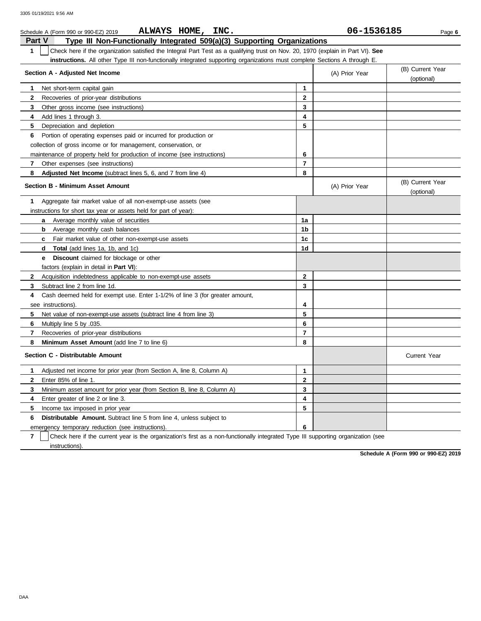| ALWAYS HOME, INC.<br>Schedule A (Form 990 or 990-EZ) 2019                                                                                        |                | 06-1536185     | Page 6                         |  |  |  |  |
|--------------------------------------------------------------------------------------------------------------------------------------------------|----------------|----------------|--------------------------------|--|--|--|--|
| <b>Part V</b><br>Type III Non-Functionally Integrated 509(a)(3) Supporting Organizations                                                         |                |                |                                |  |  |  |  |
| $\mathbf{1}$<br>Check here if the organization satisfied the Integral Part Test as a qualifying trust on Nov. 20, 1970 (explain in Part VI). See |                |                |                                |  |  |  |  |
| <b>instructions.</b> All other Type III non-functionally integrated supporting organizations must complete Sections A through E.                 |                |                |                                |  |  |  |  |
| Section A - Adjusted Net Income                                                                                                                  |                | (A) Prior Year | (B) Current Year<br>(optional) |  |  |  |  |
| Net short-term capital gain<br>1                                                                                                                 | $\mathbf{1}$   |                |                                |  |  |  |  |
| $\mathbf{2}$<br>Recoveries of prior-year distributions                                                                                           | $\mathbf{2}$   |                |                                |  |  |  |  |
| 3<br>Other gross income (see instructions)                                                                                                       | 3              |                |                                |  |  |  |  |
| 4<br>Add lines 1 through 3.                                                                                                                      | 4              |                |                                |  |  |  |  |
| 5<br>Depreciation and depletion                                                                                                                  | 5              |                |                                |  |  |  |  |
| 6<br>Portion of operating expenses paid or incurred for production or                                                                            |                |                |                                |  |  |  |  |
| collection of gross income or for management, conservation, or                                                                                   |                |                |                                |  |  |  |  |
| maintenance of property held for production of income (see instructions)                                                                         | 6              |                |                                |  |  |  |  |
| 7<br>Other expenses (see instructions)                                                                                                           | $\overline{7}$ |                |                                |  |  |  |  |
| 8<br><b>Adjusted Net Income</b> (subtract lines 5, 6, and 7 from line 4)                                                                         | 8              |                |                                |  |  |  |  |
| <b>Section B - Minimum Asset Amount</b>                                                                                                          |                | (A) Prior Year | (B) Current Year<br>(optional) |  |  |  |  |
| 1<br>Aggregate fair market value of all non-exempt-use assets (see                                                                               |                |                |                                |  |  |  |  |
| instructions for short tax year or assets held for part of year):                                                                                |                |                |                                |  |  |  |  |
| Average monthly value of securities<br>a                                                                                                         | 1a             |                |                                |  |  |  |  |
| Average monthly cash balances<br>b                                                                                                               | 1 <sub>b</sub> |                |                                |  |  |  |  |
| Fair market value of other non-exempt-use assets<br>c.                                                                                           | 1c             |                |                                |  |  |  |  |
| Total (add lines 1a, 1b, and 1c)<br>d                                                                                                            | 1d             |                |                                |  |  |  |  |
| <b>Discount</b> claimed for blockage or other<br>e                                                                                               |                |                |                                |  |  |  |  |
| factors (explain in detail in <b>Part VI)</b> :                                                                                                  |                |                |                                |  |  |  |  |
| $\mathbf{2}$<br>Acquisition indebtedness applicable to non-exempt-use assets                                                                     | $\mathbf{2}$   |                |                                |  |  |  |  |
| 3<br>Subtract line 2 from line 1d.                                                                                                               | 3              |                |                                |  |  |  |  |
| 4<br>Cash deemed held for exempt use. Enter 1-1/2% of line 3 (for greater amount,                                                                |                |                |                                |  |  |  |  |
| see instructions).                                                                                                                               | 4              |                |                                |  |  |  |  |
| 5<br>Net value of non-exempt-use assets (subtract line 4 from line 3)                                                                            | 5              |                |                                |  |  |  |  |
| 6<br>Multiply line 5 by .035.                                                                                                                    | 6              |                |                                |  |  |  |  |
| $\overline{7}$<br>Recoveries of prior-year distributions                                                                                         | $\overline{7}$ |                |                                |  |  |  |  |
| 8<br>Minimum Asset Amount (add line 7 to line 6)                                                                                                 | 8              |                |                                |  |  |  |  |
| Section C - Distributable Amount                                                                                                                 |                |                | <b>Current Year</b>            |  |  |  |  |
| Adjusted net income for prior year (from Section A, line 8, Column A)<br>1                                                                       | 1              |                |                                |  |  |  |  |
| $\mathbf{2}$<br>Enter 85% of line 1.                                                                                                             | 2              |                |                                |  |  |  |  |
| 3<br>Minimum asset amount for prior year (from Section B, line 8, Column A)                                                                      | 3              |                |                                |  |  |  |  |
| Enter greater of line 2 or line 3.<br>4                                                                                                          | 4              |                |                                |  |  |  |  |
| 5<br>Income tax imposed in prior year                                                                                                            | 5              |                |                                |  |  |  |  |
| 6<br><b>Distributable Amount.</b> Subtract line 5 from line 4, unless subject to                                                                 |                |                |                                |  |  |  |  |
| emergency temporary reduction (see instructions).                                                                                                | 6              |                |                                |  |  |  |  |

**7** | Check here if the current year is the organization's first as a non-functionally integrated Type III supporting organization (see instructions).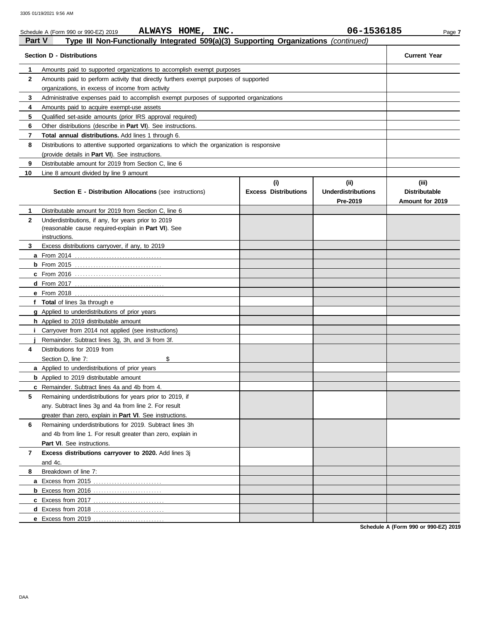| Part V | ALWAYS HOME, INC.<br>Schedule A (Form 990 or 990-EZ) 2019<br>Type III Non-Functionally Integrated 509(a)(3) Supporting Organizations (continued) |                                    | 06-1536185                                    | Page 7                                           |
|--------|--------------------------------------------------------------------------------------------------------------------------------------------------|------------------------------------|-----------------------------------------------|--------------------------------------------------|
|        | <b>Section D - Distributions</b>                                                                                                                 |                                    |                                               | <b>Current Year</b>                              |
|        |                                                                                                                                                  |                                    |                                               |                                                  |
| 1      | Amounts paid to supported organizations to accomplish exempt purposes                                                                            |                                    |                                               |                                                  |
| 2      | Amounts paid to perform activity that directly furthers exempt purposes of supported                                                             |                                    |                                               |                                                  |
|        | organizations, in excess of income from activity                                                                                                 |                                    |                                               |                                                  |
| 3      | Administrative expenses paid to accomplish exempt purposes of supported organizations                                                            |                                    |                                               |                                                  |
| 4      | Amounts paid to acquire exempt-use assets                                                                                                        |                                    |                                               |                                                  |
| 5      | Qualified set-aside amounts (prior IRS approval required)                                                                                        |                                    |                                               |                                                  |
| 6      | Other distributions (describe in <b>Part VI</b> ). See instructions.                                                                             |                                    |                                               |                                                  |
| 7      | <b>Total annual distributions.</b> Add lines 1 through 6.                                                                                        |                                    |                                               |                                                  |
| 8      | Distributions to attentive supported organizations to which the organization is responsive                                                       |                                    |                                               |                                                  |
|        | (provide details in Part VI). See instructions.                                                                                                  |                                    |                                               |                                                  |
| 9      | Distributable amount for 2019 from Section C, line 6                                                                                             |                                    |                                               |                                                  |
| 10     | Line 8 amount divided by line 9 amount                                                                                                           |                                    |                                               |                                                  |
|        | <b>Section E - Distribution Allocations (see instructions)</b>                                                                                   | (i)<br><b>Excess Distributions</b> | (ii)<br><b>Underdistributions</b><br>Pre-2019 | (iii)<br><b>Distributable</b><br>Amount for 2019 |
| 1      | Distributable amount for 2019 from Section C, line 6                                                                                             |                                    |                                               |                                                  |
| 2      | Underdistributions, if any, for years prior to 2019                                                                                              |                                    |                                               |                                                  |
|        | (reasonable cause required-explain in Part VI). See                                                                                              |                                    |                                               |                                                  |
|        | instructions.                                                                                                                                    |                                    |                                               |                                                  |
| 3      | Excess distributions carryover, if any, to 2019                                                                                                  |                                    |                                               |                                                  |
|        |                                                                                                                                                  |                                    |                                               |                                                  |
|        |                                                                                                                                                  |                                    |                                               |                                                  |
|        |                                                                                                                                                  |                                    |                                               |                                                  |
|        |                                                                                                                                                  |                                    |                                               |                                                  |
|        | <b>e</b> From 2018                                                                                                                               |                                    |                                               |                                                  |
|        | f Total of lines 3a through e                                                                                                                    |                                    |                                               |                                                  |
|        | <b>g</b> Applied to underdistributions of prior years                                                                                            |                                    |                                               |                                                  |
|        | <b>h</b> Applied to 2019 distributable amount                                                                                                    |                                    |                                               |                                                  |
|        | Carryover from 2014 not applied (see instructions)                                                                                               |                                    |                                               |                                                  |
|        | Remainder. Subtract lines 3g, 3h, and 3i from 3f.                                                                                                |                                    |                                               |                                                  |
| 4      | Distributions for 2019 from                                                                                                                      |                                    |                                               |                                                  |
|        | \$<br>Section D, line 7:                                                                                                                         |                                    |                                               |                                                  |
|        | a Applied to underdistributions of prior years                                                                                                   |                                    |                                               |                                                  |
|        | <b>b</b> Applied to 2019 distributable amount                                                                                                    |                                    |                                               |                                                  |
|        | <b>c</b> Remainder. Subtract lines 4a and 4b from 4.                                                                                             |                                    |                                               |                                                  |
| 5      | Remaining underdistributions for years prior to 2019, if                                                                                         |                                    |                                               |                                                  |
|        | any. Subtract lines 3g and 4a from line 2. For result                                                                                            |                                    |                                               |                                                  |
|        | greater than zero, explain in <b>Part VI</b> . See instructions.                                                                                 |                                    |                                               |                                                  |
| 6      | Remaining underdistributions for 2019. Subtract lines 3h                                                                                         |                                    |                                               |                                                  |
|        | and 4b from line 1. For result greater than zero, explain in                                                                                     |                                    |                                               |                                                  |
|        | <b>Part VI.</b> See instructions.                                                                                                                |                                    |                                               |                                                  |
| 7      | Excess distributions carryover to 2020. Add lines 3j                                                                                             |                                    |                                               |                                                  |
|        | and 4c.                                                                                                                                          |                                    |                                               |                                                  |
| 8      | Breakdown of line 7:                                                                                                                             |                                    |                                               |                                                  |
|        | a Excess from 2015                                                                                                                               |                                    |                                               |                                                  |
|        |                                                                                                                                                  |                                    |                                               |                                                  |
|        | c Excess from 2017                                                                                                                               |                                    |                                               |                                                  |
|        | d Excess from 2018                                                                                                                               |                                    |                                               |                                                  |
|        | e Excess from 2019                                                                                                                               |                                    |                                               |                                                  |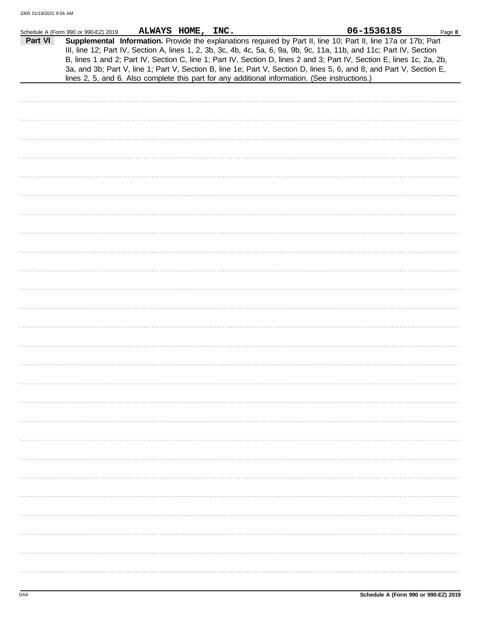|         | Schedule A (Form 990 or 990-EZ) 2019                                                           | ALWAYS HOME, INC. |  |  | 06-1536185                                                                                                                                                                                                                                                                                                                                                                                                                                                                                | Page 8 |
|---------|------------------------------------------------------------------------------------------------|-------------------|--|--|-------------------------------------------------------------------------------------------------------------------------------------------------------------------------------------------------------------------------------------------------------------------------------------------------------------------------------------------------------------------------------------------------------------------------------------------------------------------------------------------|--------|
| Part VI |                                                                                                |                   |  |  | Supplemental Information. Provide the explanations required by Part II, line 10; Part II, line 17a or 17b; Part<br>III, line 12; Part IV, Section A, lines 1, 2, 3b, 3c, 4b, 4c, 5a, 6, 9a, 9b, 9c, 11a, 11b, and 11c; Part IV, Section<br>B, lines 1 and 2; Part IV, Section C, line 1; Part IV, Section D, lines 2 and 3; Part IV, Section E, lines 1c, 2a, 2b,<br>3a, and 3b; Part V, line 1; Part V, Section B, line 1e; Part V, Section D, lines 5, 6, and 8; and Part V, Section E, |        |
|         | lines 2, 5, and 6. Also complete this part for any additional information. (See instructions.) |                   |  |  |                                                                                                                                                                                                                                                                                                                                                                                                                                                                                           |        |
|         |                                                                                                |                   |  |  |                                                                                                                                                                                                                                                                                                                                                                                                                                                                                           |        |
|         |                                                                                                |                   |  |  |                                                                                                                                                                                                                                                                                                                                                                                                                                                                                           |        |
|         |                                                                                                |                   |  |  |                                                                                                                                                                                                                                                                                                                                                                                                                                                                                           |        |
|         |                                                                                                |                   |  |  |                                                                                                                                                                                                                                                                                                                                                                                                                                                                                           |        |
|         |                                                                                                |                   |  |  |                                                                                                                                                                                                                                                                                                                                                                                                                                                                                           |        |
|         |                                                                                                |                   |  |  |                                                                                                                                                                                                                                                                                                                                                                                                                                                                                           |        |
|         |                                                                                                |                   |  |  |                                                                                                                                                                                                                                                                                                                                                                                                                                                                                           |        |
|         |                                                                                                |                   |  |  |                                                                                                                                                                                                                                                                                                                                                                                                                                                                                           |        |
|         |                                                                                                |                   |  |  |                                                                                                                                                                                                                                                                                                                                                                                                                                                                                           |        |
|         |                                                                                                |                   |  |  |                                                                                                                                                                                                                                                                                                                                                                                                                                                                                           |        |
|         |                                                                                                |                   |  |  |                                                                                                                                                                                                                                                                                                                                                                                                                                                                                           |        |
|         |                                                                                                |                   |  |  |                                                                                                                                                                                                                                                                                                                                                                                                                                                                                           |        |
|         |                                                                                                |                   |  |  |                                                                                                                                                                                                                                                                                                                                                                                                                                                                                           |        |
|         |                                                                                                |                   |  |  |                                                                                                                                                                                                                                                                                                                                                                                                                                                                                           |        |
|         |                                                                                                |                   |  |  |                                                                                                                                                                                                                                                                                                                                                                                                                                                                                           |        |
|         |                                                                                                |                   |  |  |                                                                                                                                                                                                                                                                                                                                                                                                                                                                                           |        |
|         |                                                                                                |                   |  |  |                                                                                                                                                                                                                                                                                                                                                                                                                                                                                           |        |
|         |                                                                                                |                   |  |  |                                                                                                                                                                                                                                                                                                                                                                                                                                                                                           |        |
|         |                                                                                                |                   |  |  |                                                                                                                                                                                                                                                                                                                                                                                                                                                                                           |        |
|         |                                                                                                |                   |  |  |                                                                                                                                                                                                                                                                                                                                                                                                                                                                                           |        |
|         |                                                                                                |                   |  |  |                                                                                                                                                                                                                                                                                                                                                                                                                                                                                           |        |
|         |                                                                                                |                   |  |  |                                                                                                                                                                                                                                                                                                                                                                                                                                                                                           |        |
|         |                                                                                                |                   |  |  |                                                                                                                                                                                                                                                                                                                                                                                                                                                                                           |        |
|         |                                                                                                |                   |  |  |                                                                                                                                                                                                                                                                                                                                                                                                                                                                                           |        |
|         |                                                                                                |                   |  |  |                                                                                                                                                                                                                                                                                                                                                                                                                                                                                           |        |
|         |                                                                                                |                   |  |  |                                                                                                                                                                                                                                                                                                                                                                                                                                                                                           |        |
|         |                                                                                                |                   |  |  |                                                                                                                                                                                                                                                                                                                                                                                                                                                                                           |        |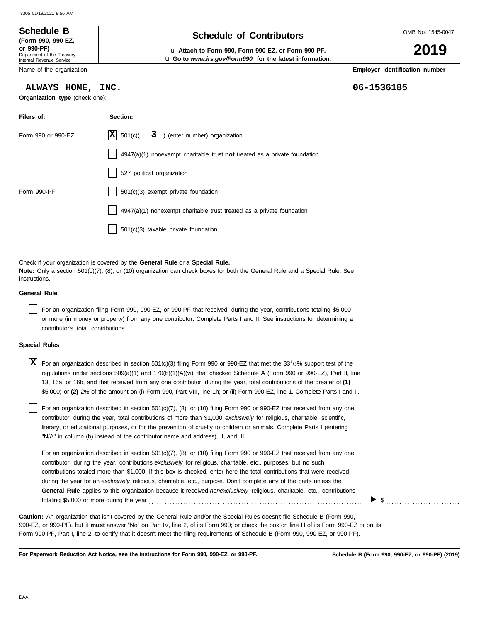### OMB No. 1545-0047 Department of the Treasury Internal Revenue Service Name of the organization **2019 Schedule of Contributors Schedule B (Form 990, 990-EZ, or 990-PF)** u **Attach to Form 990, Form 990-EZ, or Form 990-PF. Employer identification number Organization type** (check one): **Filers of: Section:** Form 990 or 990-EZ  $|\mathbf{X}|$  501(c)( 3) (enter number) organization 4947(a)(1) nonexempt charitable trust **not** treated as a private foundation u **Go to** *www.irs.gov/Form990* **for the latest information. ALWAYS HOME, INC. 06-1536185**  $|\mathbf{X}|$  501(c)(

Check if your organization is covered by the **General Rule** or a **Special Rule. Note:** Only a section 501(c)(7), (8), or (10) organization can check boxes for both the General Rule and a Special Rule. See instructions.

4947(a)(1) nonexempt charitable trust treated as a private foundation

527 political organization

501(c)(3) taxable private foundation

Form 990-PF 1501(c)(3) exempt private foundation

### **General Rule**

For an organization filing Form 990, 990-EZ, or 990-PF that received, during the year, contributions totaling \$5,000 or more (in money or property) from any one contributor. Complete Parts I and II. See instructions for determining a contributor's total contributions.

#### **Special Rules**

| X For an organization described in section 501(c)(3) filing Form 990 or 990-EZ that met the 33 <sup>1</sup> /3% support test of the |
|-------------------------------------------------------------------------------------------------------------------------------------|
| regulations under sections 509(a)(1) and 170(b)(1)(A)(vi), that checked Schedule A (Form 990 or 990-EZ), Part II, line              |
| 13, 16a, or 16b, and that received from any one contributor, during the year, total contributions of the greater of (1)             |
| \$5,000; or (2) 2% of the amount on (i) Form 990, Part VIII, line 1h; or (ii) Form 990-EZ, line 1. Complete Parts I and II.         |

literary, or educational purposes, or for the prevention of cruelty to children or animals. Complete Parts I (entering For an organization described in section 501(c)(7), (8), or (10) filing Form 990 or 990-EZ that received from any one contributor, during the year, total contributions of more than \$1,000 *exclusively* for religious, charitable, scientific, "N/A" in column (b) instead of the contributor name and address), II, and III.

For an organization described in section 501(c)(7), (8), or (10) filing Form 990 or 990-EZ that received from any one contributor, during the year, contributions *exclusively* for religious, charitable, etc., purposes, but no such contributions totaled more than \$1,000. If this box is checked, enter here the total contributions that were received during the year for an *exclusively* religious, charitable, etc., purpose. Don't complete any of the parts unless the **General Rule** applies to this organization because it received *nonexclusively* religious, charitable, etc., contributions totaling \$5,000 or more during the year . . . . . . . . . . . . . . . . . . . . . . . . . . . . . . . . . . . . . . . . . . . . . . . . . . . . . . . . . . . . . . . . . . . . . . . . . . . . . . . . .

990-EZ, or 990-PF), but it **must** answer "No" on Part IV, line 2, of its Form 990; or check the box on line H of its Form 990-EZ or on its Form 990-PF, Part I, line 2, to certify that it doesn't meet the filing requirements of Schedule B (Form 990, 990-EZ, or 990-PF). **Caution:** An organization that isn't covered by the General Rule and/or the Special Rules doesn't file Schedule B (Form 990,

**For Paperwork Reduction Act Notice, see the instructions for Form 990, 990-EZ, or 990-PF.**

 $\blacktriangleright$   $\$\,$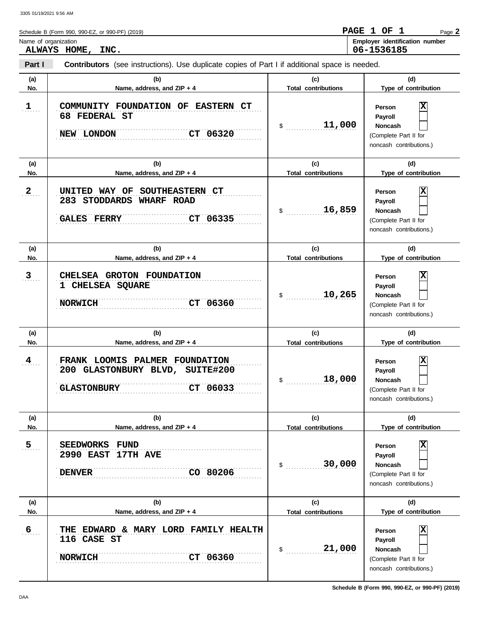| Schedule B (Form 990, 990-EZ, or 990-PF) (2019) | PAGE 1 OF  |  | Page 2                                |
|-------------------------------------------------|------------|--|---------------------------------------|
| Name of organization                            |            |  | <b>Employer identification number</b> |
| ALWAYS HOME,<br>INC.                            | 06-1536185 |  |                                       |

**Part I Type of contribution Person Payroll Noncash (a) (b) (c) (d)** No. Name, address, and ZIP + 4 **Total contributions** Type of contribution **Person Payroll Noncash (a) (b) (c) (d) No. Name, address, and ZIP + 4 Type of contribution Person Payroll Noncash (a) (b) (c) (d)** No. **Name, address, and ZIP + 4 Total contributions** Type of contribution **Person Payroll Noncash**  $\frac{1}{2}$ (Complete Part II for noncash contributions.)  $\frac{1}{2}$ (Complete Part II for noncash contributions.)  $\frac{1}{2}$ (Complete Part II for noncash contributions.) \$ . . . . . . . . . . . . . . . . . . . . . . . . . . . **18,000** (Complete Part II for noncash contributions.) \$ . . . . . . . . . . . . . . . . . . . . . . . . . . . **30,000** (Complete Part II for noncash contributions.)  $\frac{1}{2}$ (Complete Part II for noncash contributions.) **Contributors** (see instructions). Use duplicate copies of Part I if additional space is needed. **(a) (b) (c) (d) No. Name, address, and ZIP + 4 Total contributions Type of contribution Person Payroll Noncash (a) (b) (c) (d)** No. No. Name, address, and ZIP + 4 **1988** Total contributions Type of contribution **Person Payroll Noncash (a) (b) (c) (d) No. Name, address, and ZIP + 4**  $\mathbf{1}_{\ldots}$  $2_{\ldots}$  $3<sub>11</sub>$  $4$  $5<sub>1</sub>$  $6$ <sub>...</sub> . . . . . . . . . . . . . . . . . . . . . . . . . . . . . . . . . . . . . . . . . . . . . . . . . . . . . . . . . . . . . . . . . . . . . . . . . . . . . . . . . . . . . . . . . . . . . . . . . . . . . . . . . . . . . . . . . . . . . . . . . . . . . . . . . . . . . . . . . . . . . . . . . . . . . . . . . . . .  $6$  | THE EDWARD & MARY LORD FAMILY HEALTH **5** SEEDWORKS FUND . . . . . . . . . . . . . . . . . . . . . . . . . . . . . . . . . . . . . . . . . . . . . . . . . . . . . . . . . . . . . . . . . . . . . . . . . . . . . . . . . . . . . . . . . . . . . . . . . . . . . . . . . . . . . . . . . . . . . . . . . . . . . . . . . . . . . . . . . . . . . . . . . . . . . . . . . . . . **DENVER CO 80206** . . . . . . . . . . . . . . . . . . . . . . . . . . . . . . . . . . . . . . . . . . . . . . . . . . . . . . . . . . . . . . . . . . . . . . . . . . . . . . . . . . . . . . . . . . . . . . . . . . . . . . . . . . . . . . . . . . . . . . . . . . . . . . . . . . . . . . . . . . . . . . . . . . . . . . . . . . . . **GLASTONBURY CT 06033**  $\frac{4}{2}$  | FRANK LOOMIS PALMER FOUNDATION 3 | CHELSEA GROTON FOUNDATION . . . . . . . . . . . . . . . . . . . . . . . . . . . . . . . . . . . . . . . . . . . . . . . . . . . . . . . . . . . . . . . . . . . . . . . . . . . . . . . . . . . . . . . . . . . . . . . . . . . . . . . . . . . . . . . . . . . . . . . . . . . . . . . . . . . . . . . . . . . . . . . . . . . . . . . . . . . . . . . . . . . . . . . . . . . . . . . . . . . . . . . . . . . . . . . . . . . . . . . . . . . . . . . . . . . . . . . . . . . . . . . . . . . . . . . . . . . . . . . . . . . . . . . . . . . . . . . . . . . . . . . . . . . . . . . . . . . . . . . . . . . . . . . . . . . . . . . . . . . . . . . . . . . . . . . . 2 | UNITED WAY OF SOUTHEASTERN CT 1 . COMMUNITY FOUNDATION OF EASTERN CT . . . . . . . . . . . . . . . . . . . . . . . . . . . . . . . . . . . . . . . . . . . . . . . . . . . . . . . . . . . . . . . . . . . . . . . . . . . . . . **NEW LONDON CT 06320 Total contributions Total contributions Total contributions Total contributions Total contributions 68 FEDERAL ST 11,000 X 283 STODDARDS WHARF ROAD** GALES FERRY **16,859 X 1 CHELSEA SQUARE NORWICH CT 06360 10,265 X 200 GLASTONBURY BLVD, SUITE#200 X 2990 EAST 17TH AVE X 116 CASE ST NORWICH CT 06360 21,000 X**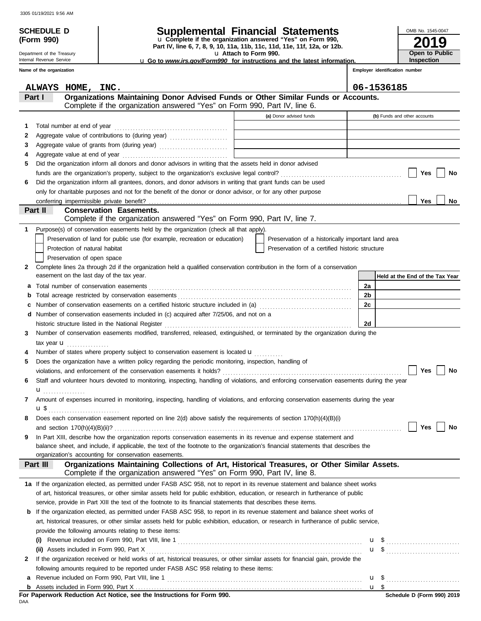|              | <b>SCHEDULE D</b>          |                                                                                                                                                                                                                                |                       | <b>Supplemental Financial Statements</b>                                                  |                | OMB No. 1545-0047               |
|--------------|----------------------------|--------------------------------------------------------------------------------------------------------------------------------------------------------------------------------------------------------------------------------|-----------------------|-------------------------------------------------------------------------------------------|----------------|---------------------------------|
|              | (Form 990)                 |                                                                                                                                                                                                                                |                       | u Complete if the organization answered "Yes" on Form 990,                                |                |                                 |
|              | Department of the Treasury |                                                                                                                                                                                                                                | u Attach to Form 990. | Part IV, line 6, 7, 8, 9, 10, 11a, 11b, 11c, 11d, 11e, 11f, 12a, or 12b.                  |                | Open to Public                  |
|              | Internal Revenue Service   | <b>u</b> Go to www.irs.gov/Form990 for instructions and the latest information.                                                                                                                                                |                       |                                                                                           |                | <b>Inspection</b>               |
|              | Name of the organization   |                                                                                                                                                                                                                                |                       |                                                                                           |                | Employer identification number  |
|              | <b>ALWAYS</b>              | HOME, INC.                                                                                                                                                                                                                     |                       |                                                                                           |                | 06-1536185                      |
| Part I       |                            | Organizations Maintaining Donor Advised Funds or Other Similar Funds or Accounts.<br>Complete if the organization answered "Yes" on Form 990, Part IV, line 6.                                                                 |                       |                                                                                           |                |                                 |
|              |                            |                                                                                                                                                                                                                                |                       | (a) Donor advised funds                                                                   |                | (b) Funds and other accounts    |
| 1            |                            |                                                                                                                                                                                                                                |                       |                                                                                           |                |                                 |
| 2            |                            | Aggregate value of contributions to (during year)                                                                                                                                                                              |                       | the control of the control of the control of the control of the control of                |                |                                 |
| 3            |                            |                                                                                                                                                                                                                                |                       | the control of the control of the control of the control of the control of the control of |                |                                 |
| 4            |                            |                                                                                                                                                                                                                                |                       |                                                                                           |                |                                 |
| 5            |                            | Did the organization inform all donors and donor advisors in writing that the assets held in donor advised                                                                                                                     |                       |                                                                                           |                | Yes<br>No                       |
| 6            |                            | Did the organization inform all grantees, donors, and donor advisors in writing that grant funds can be used                                                                                                                   |                       |                                                                                           |                |                                 |
|              |                            | only for charitable purposes and not for the benefit of the donor or donor advisor, or for any other purpose                                                                                                                   |                       |                                                                                           |                |                                 |
|              |                            | conferring impermissible private benefit?                                                                                                                                                                                      |                       |                                                                                           |                | <b>Yes</b><br>No                |
| Part II      |                            | <b>Conservation Easements.</b>                                                                                                                                                                                                 |                       |                                                                                           |                |                                 |
|              |                            | Complete if the organization answered "Yes" on Form 990, Part IV, line 7.                                                                                                                                                      |                       |                                                                                           |                |                                 |
| 1            |                            | Purpose(s) of conservation easements held by the organization (check all that apply).                                                                                                                                          |                       |                                                                                           |                |                                 |
|              |                            | Preservation of land for public use (for example, recreation or education)                                                                                                                                                     |                       | Preservation of a historically important land area                                        |                |                                 |
|              |                            | Protection of natural habitat                                                                                                                                                                                                  |                       | Preservation of a certified historic structure                                            |                |                                 |
| $\mathbf{2}$ |                            | Preservation of open space<br>Complete lines 2a through 2d if the organization held a qualified conservation contribution in the form of a conservation                                                                        |                       |                                                                                           |                |                                 |
|              |                            | easement on the last day of the tax year.                                                                                                                                                                                      |                       |                                                                                           |                | Held at the End of the Tax Year |
| a            |                            |                                                                                                                                                                                                                                |                       |                                                                                           | 2a             |                                 |
| b            |                            | Total acreage restricted by conservation easements [111] [11] Total acreage restriction of the series of the series of the series of the series of the series of the series of the series of the series of the series of the s |                       |                                                                                           | 2 <sub>b</sub> |                                 |
| с            |                            | Number of conservation easements on a certified historic structure included in (a) [11] Number of conservation easements on a certified historic structure included in (a)                                                     |                       |                                                                                           | 2c             |                                 |
| d            |                            | Number of conservation easements included in (c) acquired after 7/25/06, and not on a                                                                                                                                          |                       |                                                                                           |                |                                 |
|              |                            |                                                                                                                                                                                                                                |                       |                                                                                           | 2d             |                                 |
| 3            |                            | Number of conservation easements modified, transferred, released, extinguished, or terminated by the organization during the                                                                                                   |                       |                                                                                           |                |                                 |
|              | tax year $\mathbf{u}$      |                                                                                                                                                                                                                                |                       |                                                                                           |                |                                 |
| 4            |                            | Number of states where property subject to conservation easement is located <b>u</b>                                                                                                                                           |                       |                                                                                           |                |                                 |
| 5            |                            | Does the organization have a written policy regarding the periodic monitoring, inspection, handling of                                                                                                                         |                       |                                                                                           |                |                                 |
|              |                            |                                                                                                                                                                                                                                |                       |                                                                                           |                | Yes<br>No                       |
| 6            |                            | Staff and volunteer hours devoted to monitoring, inspecting, handling of violations, and enforcing conservation easements during the year                                                                                      |                       |                                                                                           |                |                                 |
| 7            | u <sub></sub>              | Amount of expenses incurred in monitoring, inspecting, handling of violations, and enforcing conservation easements during the year                                                                                            |                       |                                                                                           |                |                                 |
|              |                            |                                                                                                                                                                                                                                |                       |                                                                                           |                |                                 |
| 8            |                            | Does each conservation easement reported on line $2(d)$ above satisfy the requirements of section $170(h)(4)(B)(i)$                                                                                                            |                       |                                                                                           |                |                                 |
|              |                            |                                                                                                                                                                                                                                |                       |                                                                                           |                | Yes<br>No                       |
| 9            |                            | In Part XIII, describe how the organization reports conservation easements in its revenue and expense statement and                                                                                                            |                       |                                                                                           |                |                                 |
|              |                            | balance sheet, and include, if applicable, the text of the footnote to the organization's financial statements that describes the                                                                                              |                       |                                                                                           |                |                                 |
|              |                            | organization's accounting for conservation easements.                                                                                                                                                                          |                       |                                                                                           |                |                                 |
|              | Part III                   | Organizations Maintaining Collections of Art, Historical Treasures, or Other Similar Assets.<br>Complete if the organization answered "Yes" on Form 990, Part IV, line 8.                                                      |                       |                                                                                           |                |                                 |
|              |                            | 1a If the organization elected, as permitted under FASB ASC 958, not to report in its revenue statement and balance sheet works                                                                                                |                       |                                                                                           |                |                                 |
|              |                            | of art, historical treasures, or other similar assets held for public exhibition, education, or research in furtherance of public                                                                                              |                       |                                                                                           |                |                                 |
|              |                            | service, provide in Part XIII the text of the footnote to its financial statements that describes these items.                                                                                                                 |                       |                                                                                           |                |                                 |
| b            |                            | If the organization elected, as permitted under FASB ASC 958, to report in its revenue statement and balance sheet works of                                                                                                    |                       |                                                                                           |                |                                 |
|              |                            | art, historical treasures, or other similar assets held for public exhibition, education, or research in furtherance of public service,                                                                                        |                       |                                                                                           |                |                                 |
|              |                            | provide the following amounts relating to these items:                                                                                                                                                                         |                       |                                                                                           |                |                                 |
|              |                            |                                                                                                                                                                                                                                |                       |                                                                                           |                |                                 |
| $\mathbf{2}$ |                            | If the organization received or held works of art, historical treasures, or other similar assets for financial gain, provide the                                                                                               |                       |                                                                                           |                |                                 |
|              |                            | following amounts required to be reported under FASB ASC 958 relating to these items:                                                                                                                                          |                       |                                                                                           |                |                                 |
| a            |                            |                                                                                                                                                                                                                                |                       |                                                                                           |                | u \$                            |

| For Paperwork Reduction Act Notice, see the Instructions for Form 990. |
|------------------------------------------------------------------------|
| DAA                                                                    |

<u>u \$</u>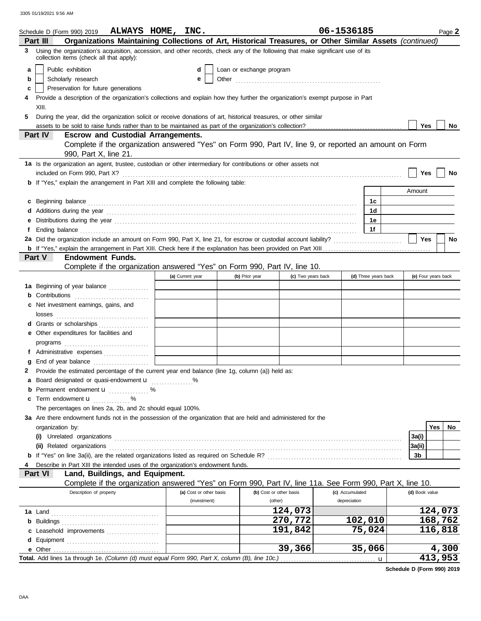|                     | Schedule D (Form 990) 2019 ALWAYS HOME, INC.                                                                                                                                                                                         |                         |                          |                         | 06-1536185           |   |                | Page 2              |
|---------------------|--------------------------------------------------------------------------------------------------------------------------------------------------------------------------------------------------------------------------------------|-------------------------|--------------------------|-------------------------|----------------------|---|----------------|---------------------|
| Part III            | Organizations Maintaining Collections of Art, Historical Treasures, or Other Similar Assets (continued)                                                                                                                              |                         |                          |                         |                      |   |                |                     |
|                     | 3 Using the organization's acquisition, accession, and other records, check any of the following that make significant use of its<br>collection items (check all that apply):                                                        |                         |                          |                         |                      |   |                |                     |
| a                   | Public exhibition                                                                                                                                                                                                                    | d                       | Loan or exchange program |                         |                      |   |                |                     |
| b                   | Scholarly research                                                                                                                                                                                                                   | е                       |                          |                         |                      |   |                |                     |
| c                   | Preservation for future generations                                                                                                                                                                                                  |                         |                          |                         |                      |   |                |                     |
|                     | Provide a description of the organization's collections and explain how they further the organization's exempt purpose in Part                                                                                                       |                         |                          |                         |                      |   |                |                     |
|                     | XIII.                                                                                                                                                                                                                                |                         |                          |                         |                      |   |                |                     |
| 5.                  | During the year, did the organization solicit or receive donations of art, historical treasures, or other similar                                                                                                                    |                         |                          |                         |                      |   |                |                     |
|                     |                                                                                                                                                                                                                                      |                         |                          |                         |                      |   | Yes            | No                  |
| Part IV             | <b>Escrow and Custodial Arrangements.</b>                                                                                                                                                                                            |                         |                          |                         |                      |   |                |                     |
|                     | Complete if the organization answered "Yes" on Form 990, Part IV, line 9, or reported an amount on Form<br>990, Part X, line 21.                                                                                                     |                         |                          |                         |                      |   |                |                     |
|                     | 1a Is the organization an agent, trustee, custodian or other intermediary for contributions or other assets not                                                                                                                      |                         |                          |                         |                      |   |                |                     |
|                     |                                                                                                                                                                                                                                      |                         |                          |                         |                      |   | Yes            | No                  |
|                     | <b>b</b> If "Yes," explain the arrangement in Part XIII and complete the following table:                                                                                                                                            |                         |                          |                         |                      |   |                |                     |
|                     |                                                                                                                                                                                                                                      |                         |                          |                         |                      |   | Amount         |                     |
| c                   | Beginning balance <b>construction and the construction of the construction</b> of the construction of the construction of the construction of the construction of the construction of the construction of the construction of the c  |                         |                          |                         | 1c                   |   |                |                     |
| d                   |                                                                                                                                                                                                                                      |                         |                          |                         | 1d                   |   |                |                     |
| е                   |                                                                                                                                                                                                                                      |                         |                          |                         | 1e                   |   |                |                     |
| f                   | Ending balance <b>construction and the construction of the construction</b> of the construction of the construction of the construction of the construction of the construction of the construction of the construction of the cons  |                         |                          |                         | 1f                   |   |                |                     |
|                     |                                                                                                                                                                                                                                      |                         |                          |                         |                      |   | <b>Yes</b>     | No                  |
|                     |                                                                                                                                                                                                                                      |                         |                          |                         |                      |   |                |                     |
| <b>Part V</b>       | <b>Endowment Funds.</b>                                                                                                                                                                                                              |                         |                          |                         |                      |   |                |                     |
|                     | Complete if the organization answered "Yes" on Form 990, Part IV, line 10.                                                                                                                                                           |                         |                          |                         |                      |   |                |                     |
|                     |                                                                                                                                                                                                                                      | (a) Current year        | (b) Prior year           | (c) Two years back      | (d) Three years back |   |                | (e) Four years back |
|                     | 1a Beginning of year balance                                                                                                                                                                                                         |                         |                          |                         |                      |   |                |                     |
| b                   | Contributions                                                                                                                                                                                                                        |                         |                          |                         |                      |   |                |                     |
| c                   | Net investment earnings, gains, and                                                                                                                                                                                                  |                         |                          |                         |                      |   |                |                     |
|                     |                                                                                                                                                                                                                                      |                         |                          |                         |                      |   |                |                     |
|                     | d Grants or scholarships                                                                                                                                                                                                             |                         |                          |                         |                      |   |                |                     |
|                     | e Other expenditures for facilities and                                                                                                                                                                                              |                         |                          |                         |                      |   |                |                     |
|                     |                                                                                                                                                                                                                                      |                         |                          |                         |                      |   |                |                     |
|                     | Administrative expenses                                                                                                                                                                                                              |                         |                          |                         |                      |   |                |                     |
| g                   |                                                                                                                                                                                                                                      |                         |                          |                         |                      |   |                |                     |
| 2                   | Provide the estimated percentage of the current year end balance (line 1g, column (a)) held as:                                                                                                                                      |                         |                          |                         |                      |   |                |                     |
|                     | a Board designated or quasi-endowment <b>u</b>                                                                                                                                                                                       |                         |                          |                         |                      |   |                |                     |
| b                   | Permanent endowment <b>u</b> %                                                                                                                                                                                                       |                         |                          |                         |                      |   |                |                     |
| c                   | Term endowment <b>u</b>                                                                                                                                                                                                              |                         |                          |                         |                      |   |                |                     |
|                     | The percentages on lines 2a, 2b, and 2c should equal 100%.                                                                                                                                                                           |                         |                          |                         |                      |   |                |                     |
|                     | 3a Are there endowment funds not in the possession of the organization that are held and administered for the                                                                                                                        |                         |                          |                         |                      |   |                |                     |
|                     | organization by:                                                                                                                                                                                                                     |                         |                          |                         |                      |   |                | Yes<br>No           |
|                     |                                                                                                                                                                                                                                      |                         |                          |                         |                      |   | 3a(i)          |                     |
|                     | (ii) Related organizations <b>contained a set of the contained a set of the contained a set of the contained a set of the contact of the contact of the contact of the contact of the contact of the contact of the contact of t</b> |                         |                          |                         |                      |   | 3a(ii)         |                     |
|                     |                                                                                                                                                                                                                                      |                         |                          |                         |                      |   | 3b             |                     |
| 4<br><b>Part VI</b> | Describe in Part XIII the intended uses of the organization's endowment funds.<br>Land, Buildings, and Equipment.                                                                                                                    |                         |                          |                         |                      |   |                |                     |
|                     | Complete if the organization answered "Yes" on Form 990, Part IV, line 11a. See Form 990, Part X, line 10.                                                                                                                           |                         |                          |                         |                      |   |                |                     |
|                     | Description of property                                                                                                                                                                                                              | (a) Cost or other basis |                          | (b) Cost or other basis | (c) Accumulated      |   | (d) Book value |                     |
|                     |                                                                                                                                                                                                                                      | (investment)            |                          | (other)                 | depreciation         |   |                |                     |
|                     |                                                                                                                                                                                                                                      |                         |                          | 124,073                 |                      |   |                | 124,073             |
| b                   |                                                                                                                                                                                                                                      |                         |                          | 270,772                 | 102,010              |   |                | 168,762             |
|                     |                                                                                                                                                                                                                                      |                         |                          | 191,842                 | 75,024               |   |                | 116,818             |
| d                   | Leasehold improvements                                                                                                                                                                                                               |                         |                          |                         |                      |   |                |                     |
|                     |                                                                                                                                                                                                                                      |                         |                          | 39,366                  | 35,066               |   |                | 4,300               |
|                     | Total. Add lines 1a through 1e. (Column (d) must equal Form 990, Part X, column (B), line 10c.)                                                                                                                                      |                         |                          |                         |                      | u |                | 413,953             |
|                     |                                                                                                                                                                                                                                      |                         |                          |                         |                      |   |                |                     |

**Schedule D (Form 990) 2019**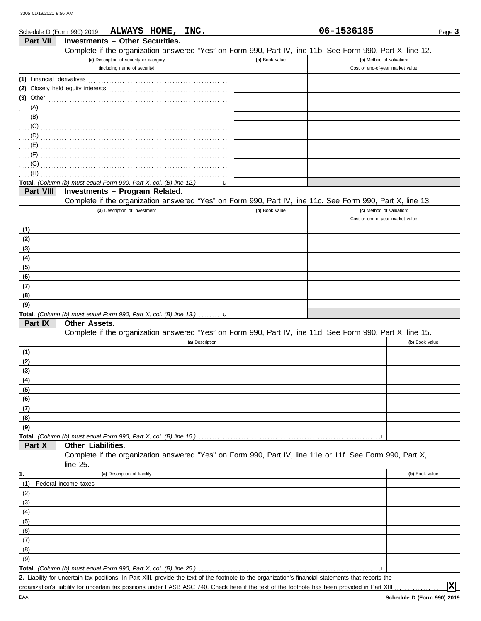|                           | Schedule D (Form 990) 2019 ALWAYS HOME, INC.                                                               |                | 06-1536185                       | Page 3         |
|---------------------------|------------------------------------------------------------------------------------------------------------|----------------|----------------------------------|----------------|
| Part VII                  | <b>Investments - Other Securities.</b>                                                                     |                |                                  |                |
|                           | Complete if the organization answered "Yes" on Form 990, Part IV, line 11b. See Form 990, Part X, line 12. |                |                                  |                |
|                           | (a) Description of security or category                                                                    | (b) Book value | (c) Method of valuation:         |                |
|                           | (including name of security)                                                                               |                | Cost or end-of-year market value |                |
| (1) Financial derivatives |                                                                                                            |                |                                  |                |
|                           |                                                                                                            |                |                                  |                |
| $(3)$ Other               |                                                                                                            |                |                                  |                |
| $(A)$ .                   |                                                                                                            |                |                                  |                |
| (B)                       |                                                                                                            |                |                                  |                |
| (C)                       |                                                                                                            |                |                                  |                |
| (D)                       |                                                                                                            |                |                                  |                |
|                           |                                                                                                            |                |                                  |                |
| (F)                       |                                                                                                            |                |                                  |                |
| (G)                       |                                                                                                            |                |                                  |                |
| (H)                       |                                                                                                            |                |                                  |                |
|                           | Total. (Column (b) must equal Form 990, Part X, col. (B) line 12.)<br>u                                    |                |                                  |                |
| Part VIII                 | Investments - Program Related.                                                                             |                |                                  |                |
|                           | Complete if the organization answered "Yes" on Form 990, Part IV, line 11c. See Form 990, Part X, line 13. |                |                                  |                |
|                           | (a) Description of investment                                                                              | (b) Book value | (c) Method of valuation:         |                |
|                           |                                                                                                            |                | Cost or end-of-year market value |                |
| (1)                       |                                                                                                            |                |                                  |                |
| (2)                       |                                                                                                            |                |                                  |                |
| (3)                       |                                                                                                            |                |                                  |                |
| (4)                       |                                                                                                            |                |                                  |                |
| (5)                       |                                                                                                            |                |                                  |                |
| (6)                       |                                                                                                            |                |                                  |                |
| (7)                       |                                                                                                            |                |                                  |                |
| (8)                       |                                                                                                            |                |                                  |                |
| (9)                       |                                                                                                            |                |                                  |                |
|                           | Total. (Column (b) must equal Form 990, Part X, col. (B) line 13.)<br>. <b>u</b>                           |                |                                  |                |
| Part IX                   | <b>Other Assets.</b>                                                                                       |                |                                  |                |
|                           | Complete if the organization answered "Yes" on Form 990, Part IV, line 11d. See Form 990, Part X, line 15. |                |                                  |                |
|                           | (a) Description                                                                                            |                |                                  | (b) Book value |
| (1)                       |                                                                                                            |                |                                  |                |
| (2)                       |                                                                                                            |                |                                  |                |
| (3)                       |                                                                                                            |                |                                  |                |
| (4)                       |                                                                                                            |                |                                  |                |
| (5)                       |                                                                                                            |                |                                  |                |
| (6)                       |                                                                                                            |                |                                  |                |
| (7)                       |                                                                                                            |                |                                  |                |
| (8)                       |                                                                                                            |                |                                  |                |
| (9)                       |                                                                                                            |                |                                  |                |
|                           | Total. (Column (b) must equal Form 990, Part X, col. (B) line 15.)                                         |                | u                                |                |
| Part X                    | Other Liabilities.                                                                                         |                |                                  |                |
|                           | Complete if the organization answered "Yes" on Form 990, Part IV, line 11e or 11f. See Form 990, Part X,   |                |                                  |                |
|                           | line 25.                                                                                                   |                |                                  |                |
| 1.                        | (a) Description of liability                                                                               |                |                                  | (b) Book value |
| (1)                       | Federal income taxes                                                                                       |                |                                  |                |
| (2)                       |                                                                                                            |                |                                  |                |
| (3)                       |                                                                                                            |                |                                  |                |
| (4)                       |                                                                                                            |                |                                  |                |
| (5)                       |                                                                                                            |                |                                  |                |
| (6)                       |                                                                                                            |                |                                  |                |
|                           |                                                                                                            |                |                                  |                |
| (7)                       |                                                                                                            |                |                                  |                |
| (8)                       |                                                                                                            |                |                                  |                |
| (9)                       |                                                                                                            |                |                                  |                |
|                           | Total. (Column (b) must equal Form 990, Part X, col. (B) line 25.)                                         |                | u                                |                |

Liability for uncertain tax positions. In Part XIII, provide the text of the footnote to the organization's financial statements that reports the **2.** organization's liability for uncertain tax positions under FASB ASC 740. Check here if the text of the footnote has been provided in Part XIII

**X**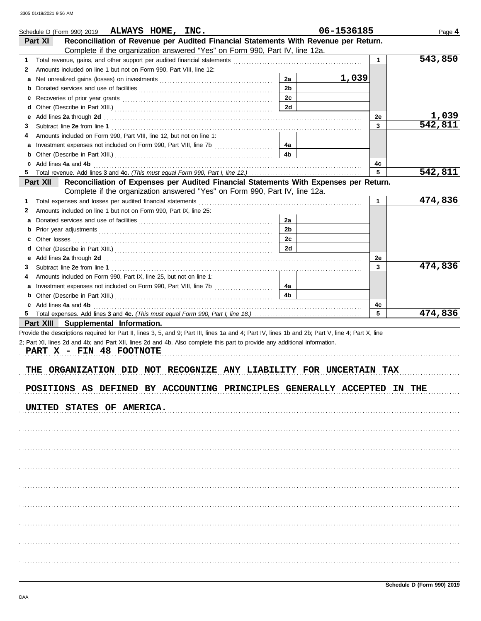| Schedule D (Form 990) 2019 ALWAYS HOME, INC.                                                                                                                                                                                                                                                                 |                                                                                       |                | 06-1536185 |              | Page 4       |
|--------------------------------------------------------------------------------------------------------------------------------------------------------------------------------------------------------------------------------------------------------------------------------------------------------------|---------------------------------------------------------------------------------------|----------------|------------|--------------|--------------|
| Part XI                                                                                                                                                                                                                                                                                                      | Reconciliation of Revenue per Audited Financial Statements With Revenue per Return.   |                |            |              |              |
|                                                                                                                                                                                                                                                                                                              | Complete if the organization answered "Yes" on Form 990, Part IV, line 12a.           |                |            |              |              |
| 1                                                                                                                                                                                                                                                                                                            |                                                                                       |                |            | $\mathbf{1}$ | 543,850      |
| Amounts included on line 1 but not on Form 990, Part VIII, line 12:<br>2                                                                                                                                                                                                                                     |                                                                                       |                |            |              |              |
| а                                                                                                                                                                                                                                                                                                            |                                                                                       | 2a             | 1,039      |              |              |
| b                                                                                                                                                                                                                                                                                                            |                                                                                       | 2 <sub>b</sub> |            |              |              |
|                                                                                                                                                                                                                                                                                                              |                                                                                       | 2c             |            |              |              |
| d                                                                                                                                                                                                                                                                                                            |                                                                                       | 2d             |            |              |              |
| Add lines 2a through 2d [11] Add [12] Add [12] Add lines 2a through 2d [12] Add lines 2a through 2d<br>е                                                                                                                                                                                                     |                                                                                       |                |            | 2е           | <u>1,039</u> |
| 3                                                                                                                                                                                                                                                                                                            |                                                                                       |                |            | 3            | 542,811      |
| Amounts included on Form 990, Part VIII, line 12, but not on line 1:                                                                                                                                                                                                                                         |                                                                                       |                |            |              |              |
|                                                                                                                                                                                                                                                                                                              |                                                                                       | 4а             |            |              |              |
| b                                                                                                                                                                                                                                                                                                            |                                                                                       | 4 <sub>b</sub> |            |              |              |
| Add lines 4a and 4b<br>c                                                                                                                                                                                                                                                                                     |                                                                                       |                |            | 4с           |              |
| 5.                                                                                                                                                                                                                                                                                                           |                                                                                       |                |            | 5            | 542,811      |
| Part XII                                                                                                                                                                                                                                                                                                     | Reconciliation of Expenses per Audited Financial Statements With Expenses per Return. |                |            |              |              |
|                                                                                                                                                                                                                                                                                                              | Complete if the organization answered "Yes" on Form 990, Part IV, line 12a.           |                |            |              |              |
| Total expenses and losses per audited financial statements<br>1                                                                                                                                                                                                                                              |                                                                                       |                |            | $\mathbf{1}$ | 474,836      |
| Amounts included on line 1 but not on Form 990, Part IX, line 25:<br>2                                                                                                                                                                                                                                       |                                                                                       |                |            |              |              |
| а                                                                                                                                                                                                                                                                                                            |                                                                                       | 2a             |            |              |              |
|                                                                                                                                                                                                                                                                                                              |                                                                                       | 2 <sub>b</sub> |            |              |              |
|                                                                                                                                                                                                                                                                                                              |                                                                                       | 2c             |            |              |              |
| d                                                                                                                                                                                                                                                                                                            |                                                                                       | 2d             |            |              |              |
| Add lines 2a through 2d [11] Additional Property and Property and Property and Property and Property and Property and Property and Property and Property and Property and Property and Property and Property and Property and<br>е                                                                           |                                                                                       |                |            | 2е           |              |
| 3                                                                                                                                                                                                                                                                                                            |                                                                                       |                |            | 3            | 474,836      |
| Amounts included on Form 990, Part IX, line 25, but not on line 1:                                                                                                                                                                                                                                           |                                                                                       |                |            |              |              |
|                                                                                                                                                                                                                                                                                                              |                                                                                       | 4а             |            |              |              |
| b                                                                                                                                                                                                                                                                                                            |                                                                                       | 4 <sub>b</sub> |            |              |              |
| Add lines 4a and 4b<br>c                                                                                                                                                                                                                                                                                     |                                                                                       |                |            | 4c           |              |
| 5.                                                                                                                                                                                                                                                                                                           |                                                                                       |                |            | 5            | 474,836      |
| Part XIII Supplemental Information.                                                                                                                                                                                                                                                                          |                                                                                       |                |            |              |              |
| Provide the descriptions required for Part II, lines 3, 5, and 9; Part III, lines 1a and 4; Part IV, lines 1b and 2b; Part V, line 4; Part X, line<br>2; Part XI, lines 2d and 4b; and Part XII, lines 2d and 4b. Also complete this part to provide any additional information.<br>PART X - FIN 48 FOOTNOTE |                                                                                       |                |            |              |              |
| ORGANIZATION DID NOT RECOGNIZE ANY LIABILITY FOR UNCERTAIN TAX<br>THE<br>POSITIONS AS DEFINED BY ACCOUNTING PRINCIPLES GENERALLY ACCEPTED IN<br>UNITED STATES OF AMERICA.                                                                                                                                    |                                                                                       |                |            |              |              |
|                                                                                                                                                                                                                                                                                                              |                                                                                       |                |            |              |              |
|                                                                                                                                                                                                                                                                                                              |                                                                                       |                |            |              |              |
|                                                                                                                                                                                                                                                                                                              |                                                                                       |                |            |              |              |
|                                                                                                                                                                                                                                                                                                              |                                                                                       |                |            |              |              |
|                                                                                                                                                                                                                                                                                                              |                                                                                       |                |            |              |              |
|                                                                                                                                                                                                                                                                                                              |                                                                                       |                |            |              |              |
|                                                                                                                                                                                                                                                                                                              |                                                                                       |                |            |              |              |
|                                                                                                                                                                                                                                                                                                              |                                                                                       |                |            |              |              |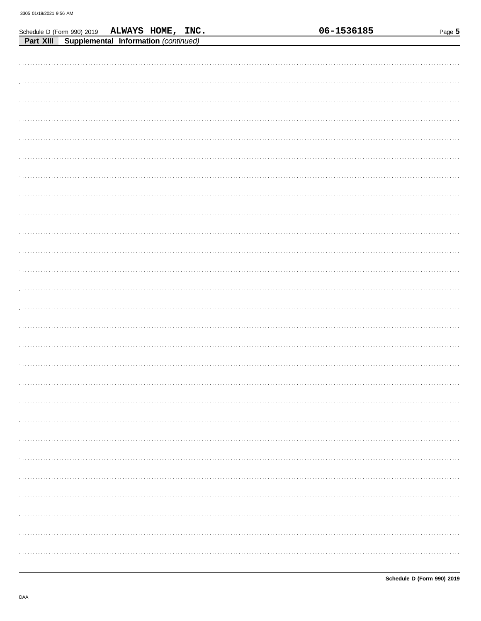|           | Schedule D (Form 990) 2019 | ALWAYS HOME, INC.                    |  |  | 06-1536185 | Page 5 |
|-----------|----------------------------|--------------------------------------|--|--|------------|--------|
| Part XIII |                            | Supplemental Information (continued) |  |  |            |        |
|           |                            |                                      |  |  |            |        |
|           |                            |                                      |  |  |            |        |
|           |                            |                                      |  |  |            |        |
|           |                            |                                      |  |  |            |        |
|           |                            |                                      |  |  |            |        |
|           |                            |                                      |  |  |            |        |
|           |                            |                                      |  |  |            |        |
|           |                            |                                      |  |  |            |        |
|           |                            |                                      |  |  |            |        |
|           |                            |                                      |  |  |            |        |
|           |                            |                                      |  |  |            |        |
|           |                            |                                      |  |  |            |        |
|           |                            |                                      |  |  |            |        |
|           |                            |                                      |  |  |            |        |
|           |                            |                                      |  |  |            |        |
|           |                            |                                      |  |  |            |        |
|           |                            |                                      |  |  |            |        |
|           |                            |                                      |  |  |            |        |
|           |                            |                                      |  |  |            |        |
|           |                            |                                      |  |  |            |        |
|           |                            |                                      |  |  |            |        |
|           |                            |                                      |  |  |            |        |
|           |                            |                                      |  |  |            |        |
|           |                            |                                      |  |  |            |        |
|           |                            |                                      |  |  |            |        |
|           |                            |                                      |  |  |            |        |
|           |                            |                                      |  |  |            |        |
|           |                            |                                      |  |  |            |        |
|           |                            |                                      |  |  |            |        |
|           |                            |                                      |  |  |            |        |
|           |                            |                                      |  |  |            |        |
|           |                            |                                      |  |  |            |        |
|           |                            |                                      |  |  |            |        |
|           |                            |                                      |  |  |            |        |
|           |                            |                                      |  |  |            |        |
|           |                            |                                      |  |  |            |        |
|           |                            |                                      |  |  |            |        |
|           |                            |                                      |  |  |            |        |
|           |                            |                                      |  |  |            |        |
|           |                            |                                      |  |  |            |        |
|           |                            |                                      |  |  |            |        |
|           |                            |                                      |  |  |            |        |
|           |                            |                                      |  |  |            |        |
|           |                            |                                      |  |  |            |        |
|           |                            |                                      |  |  |            |        |
|           |                            |                                      |  |  |            |        |
|           |                            |                                      |  |  |            |        |
|           |                            |                                      |  |  |            |        |
|           |                            |                                      |  |  |            |        |
|           |                            |                                      |  |  |            |        |
|           |                            |                                      |  |  |            |        |
|           |                            |                                      |  |  |            |        |
|           |                            |                                      |  |  |            |        |
|           |                            |                                      |  |  |            |        |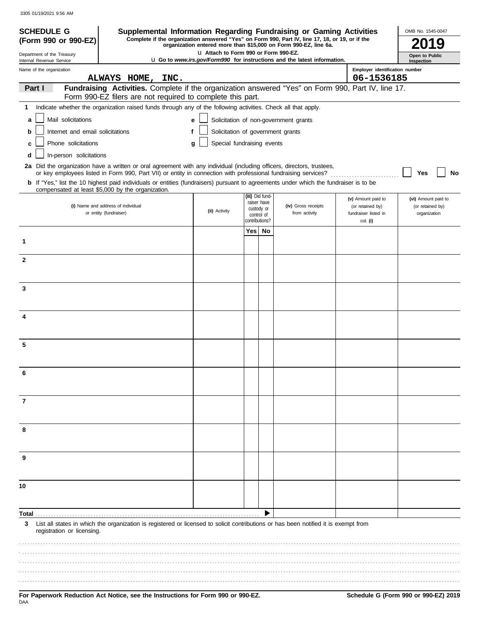| <b>SCHEDULE G</b>                                      | Supplemental Information Regarding Fundraising or Gaming Activities                                                                                                                                                                      |                                        |                                                            |                                                                                                                                                                     |                                                                | OMB No. 1545-0047                                       |
|--------------------------------------------------------|------------------------------------------------------------------------------------------------------------------------------------------------------------------------------------------------------------------------------------------|----------------------------------------|------------------------------------------------------------|---------------------------------------------------------------------------------------------------------------------------------------------------------------------|----------------------------------------------------------------|---------------------------------------------------------|
| (Form 990 or 990-EZ)                                   |                                                                                                                                                                                                                                          |                                        |                                                            | Complete if the organization answered "Yes" on Form 990, Part IV, line 17, 18, or 19, or if the<br>organization entered more than \$15,000 on Form 990-EZ, line 6a. |                                                                |                                                         |
| Department of the Treasury<br>Internal Revenue Service |                                                                                                                                                                                                                                          | L1 Attach to Form 990 or Form 990-EZ.  |                                                            | <b>u</b> Go to www.irs.gov/Form990 for instructions and the latest information.                                                                                     |                                                                | Open to Public                                          |
| Name of the organization                               | ALWAYS HOME, INC.                                                                                                                                                                                                                        |                                        |                                                            |                                                                                                                                                                     | Employer identification number<br>06-1536185                   | Inspection                                              |
| Part I                                                 | Fundraising Activities. Complete if the organization answered "Yes" on Form 990, Part IV, line 17.                                                                                                                                       |                                        |                                                            |                                                                                                                                                                     |                                                                |                                                         |
|                                                        | Form 990-EZ filers are not required to complete this part.                                                                                                                                                                               |                                        |                                                            |                                                                                                                                                                     |                                                                |                                                         |
| 1.                                                     | Indicate whether the organization raised funds through any of the following activities. Check all that apply.                                                                                                                            |                                        |                                                            |                                                                                                                                                                     |                                                                |                                                         |
| Mail solicitations<br>a                                |                                                                                                                                                                                                                                          | e                                      |                                                            | Solicitation of non-government grants                                                                                                                               |                                                                |                                                         |
| Internet and email solicitations<br>b                  |                                                                                                                                                                                                                                          | Solicitation of government grants<br>f |                                                            |                                                                                                                                                                     |                                                                |                                                         |
| Phone solicitations<br>c                               |                                                                                                                                                                                                                                          | Special fundraising events<br>g        |                                                            |                                                                                                                                                                     |                                                                |                                                         |
| In-person solicitations<br>d                           |                                                                                                                                                                                                                                          |                                        |                                                            |                                                                                                                                                                     |                                                                |                                                         |
|                                                        | 2a Did the organization have a written or oral agreement with any individual (including officers, directors, trustees,<br>or key employees listed in Form 990, Part VII) or entity in connection with professional fundraising services? |                                        |                                                            |                                                                                                                                                                     |                                                                | Yes<br>No                                               |
|                                                        | b If "Yes," list the 10 highest paid individuals or entities (fundraisers) pursuant to agreements under which the fundraiser is to be<br>compensated at least \$5,000 by the organization.                                               |                                        |                                                            |                                                                                                                                                                     |                                                                |                                                         |
|                                                        | (i) Name and address of individual<br>or entity (fundraiser)                                                                                                                                                                             | (ii) Activity                          | (iii) Did fund-<br>raiser have<br>custody or<br>control of | (iv) Gross receipts<br>from activity                                                                                                                                | (v) Amount paid to<br>(or retained by)<br>fundraiser listed in | (vi) Amount paid to<br>(or retained by)<br>organization |
|                                                        |                                                                                                                                                                                                                                          |                                        | contributions?                                             |                                                                                                                                                                     | col. (i)                                                       |                                                         |
| 1                                                      |                                                                                                                                                                                                                                          |                                        | Yes   No                                                   |                                                                                                                                                                     |                                                                |                                                         |
|                                                        |                                                                                                                                                                                                                                          |                                        |                                                            |                                                                                                                                                                     |                                                                |                                                         |
| $\mathbf{2}$                                           |                                                                                                                                                                                                                                          |                                        |                                                            |                                                                                                                                                                     |                                                                |                                                         |
| 3                                                      |                                                                                                                                                                                                                                          |                                        |                                                            |                                                                                                                                                                     |                                                                |                                                         |
|                                                        |                                                                                                                                                                                                                                          |                                        |                                                            |                                                                                                                                                                     |                                                                |                                                         |
| 4                                                      |                                                                                                                                                                                                                                          |                                        |                                                            |                                                                                                                                                                     |                                                                |                                                         |
| 5                                                      |                                                                                                                                                                                                                                          |                                        |                                                            |                                                                                                                                                                     |                                                                |                                                         |
| 6                                                      |                                                                                                                                                                                                                                          |                                        |                                                            |                                                                                                                                                                     |                                                                |                                                         |
|                                                        |                                                                                                                                                                                                                                          |                                        |                                                            |                                                                                                                                                                     |                                                                |                                                         |
| 7                                                      |                                                                                                                                                                                                                                          |                                        |                                                            |                                                                                                                                                                     |                                                                |                                                         |
| 8                                                      |                                                                                                                                                                                                                                          |                                        |                                                            |                                                                                                                                                                     |                                                                |                                                         |
| 9                                                      |                                                                                                                                                                                                                                          |                                        |                                                            |                                                                                                                                                                     |                                                                |                                                         |
| 10                                                     |                                                                                                                                                                                                                                          |                                        |                                                            |                                                                                                                                                                     |                                                                |                                                         |
|                                                        |                                                                                                                                                                                                                                          |                                        |                                                            |                                                                                                                                                                     |                                                                |                                                         |
| Total.                                                 |                                                                                                                                                                                                                                          |                                        |                                                            |                                                                                                                                                                     |                                                                |                                                         |
| 3<br>registration or licensing.                        | List all states in which the organization is registered or licensed to solicit contributions or has been notified it is exempt from                                                                                                      |                                        |                                                            |                                                                                                                                                                     |                                                                |                                                         |
|                                                        |                                                                                                                                                                                                                                          |                                        |                                                            |                                                                                                                                                                     |                                                                |                                                         |
|                                                        |                                                                                                                                                                                                                                          |                                        |                                                            |                                                                                                                                                                     |                                                                |                                                         |
|                                                        |                                                                                                                                                                                                                                          |                                        |                                                            |                                                                                                                                                                     |                                                                |                                                         |
|                                                        |                                                                                                                                                                                                                                          |                                        |                                                            |                                                                                                                                                                     |                                                                |                                                         |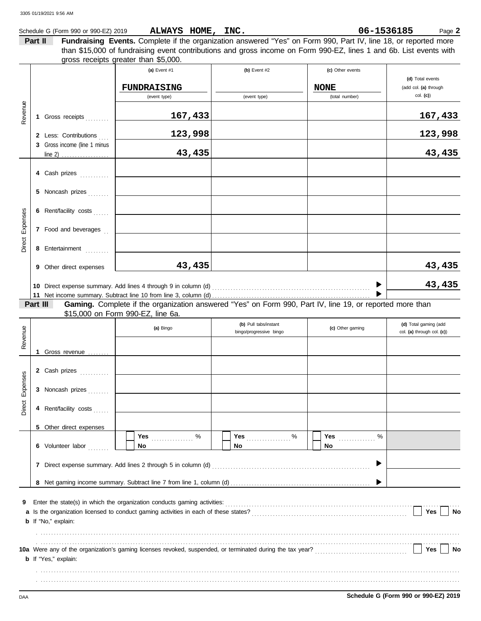|                 |                            |                              | Schedule G (Form 990 or 990-EZ) 2019 ALWAYS HOME, INC.                                                                                                                                                                        |                         | 06-1536185                                                                                                                                                                                                                                                                                                                                                                                                                                     | Page 2                     |
|-----------------|----------------------------|------------------------------|-------------------------------------------------------------------------------------------------------------------------------------------------------------------------------------------------------------------------------|-------------------------|------------------------------------------------------------------------------------------------------------------------------------------------------------------------------------------------------------------------------------------------------------------------------------------------------------------------------------------------------------------------------------------------------------------------------------------------|----------------------------|
|                 | Part II                    |                              | Fundraising Events. Complete if the organization answered "Yes" on Form 990, Part IV, line 18, or reported more                                                                                                               |                         |                                                                                                                                                                                                                                                                                                                                                                                                                                                |                            |
|                 |                            |                              | than \$15,000 of fundraising event contributions and gross income on Form 990-EZ, lines 1 and 6b. List events with                                                                                                            |                         |                                                                                                                                                                                                                                                                                                                                                                                                                                                |                            |
|                 |                            |                              | gross receipts greater than \$5,000.                                                                                                                                                                                          |                         |                                                                                                                                                                                                                                                                                                                                                                                                                                                |                            |
|                 |                            |                              | (a) Event #1                                                                                                                                                                                                                  | (b) Event $#2$          | (c) Other events                                                                                                                                                                                                                                                                                                                                                                                                                               | (d) Total events           |
|                 |                            |                              | <b>FUNDRAISING</b>                                                                                                                                                                                                            |                         | <b>NONE</b>                                                                                                                                                                                                                                                                                                                                                                                                                                    | (add col. (a) through      |
|                 |                            |                              | (event type)                                                                                                                                                                                                                  | (event type)            | (total number)                                                                                                                                                                                                                                                                                                                                                                                                                                 | col. (c)                   |
|                 |                            |                              |                                                                                                                                                                                                                               |                         |                                                                                                                                                                                                                                                                                                                                                                                                                                                |                            |
| Revenue         |                            | 1 Gross receipts             | 167,433                                                                                                                                                                                                                       |                         |                                                                                                                                                                                                                                                                                                                                                                                                                                                | 167,433                    |
|                 |                            |                              |                                                                                                                                                                                                                               |                         |                                                                                                                                                                                                                                                                                                                                                                                                                                                |                            |
|                 |                            | 2 Less: Contributions        | 123,998                                                                                                                                                                                                                       |                         |                                                                                                                                                                                                                                                                                                                                                                                                                                                | 123,998                    |
|                 |                            | 3 Gross income (line 1 minus |                                                                                                                                                                                                                               |                         |                                                                                                                                                                                                                                                                                                                                                                                                                                                |                            |
|                 |                            |                              | 43,435                                                                                                                                                                                                                        |                         |                                                                                                                                                                                                                                                                                                                                                                                                                                                | 43,435                     |
|                 |                            |                              |                                                                                                                                                                                                                               |                         |                                                                                                                                                                                                                                                                                                                                                                                                                                                |                            |
|                 |                            |                              |                                                                                                                                                                                                                               |                         |                                                                                                                                                                                                                                                                                                                                                                                                                                                |                            |
|                 |                            | 5 Noncash prizes             |                                                                                                                                                                                                                               |                         |                                                                                                                                                                                                                                                                                                                                                                                                                                                |                            |
|                 |                            |                              |                                                                                                                                                                                                                               |                         |                                                                                                                                                                                                                                                                                                                                                                                                                                                |                            |
|                 |                            | 6 Rent/facility costs        |                                                                                                                                                                                                                               |                         |                                                                                                                                                                                                                                                                                                                                                                                                                                                |                            |
| Direct Expenses |                            |                              |                                                                                                                                                                                                                               |                         |                                                                                                                                                                                                                                                                                                                                                                                                                                                |                            |
|                 |                            | 7 Food and beverages         |                                                                                                                                                                                                                               |                         |                                                                                                                                                                                                                                                                                                                                                                                                                                                |                            |
|                 |                            |                              |                                                                                                                                                                                                                               |                         |                                                                                                                                                                                                                                                                                                                                                                                                                                                |                            |
|                 |                            | 8 Entertainment              |                                                                                                                                                                                                                               |                         |                                                                                                                                                                                                                                                                                                                                                                                                                                                |                            |
|                 |                            | 9 Other direct expenses      | 43,435                                                                                                                                                                                                                        |                         |                                                                                                                                                                                                                                                                                                                                                                                                                                                | 43,435                     |
|                 |                            |                              |                                                                                                                                                                                                                               |                         |                                                                                                                                                                                                                                                                                                                                                                                                                                                |                            |
|                 |                            |                              |                                                                                                                                                                                                                               |                         |                                                                                                                                                                                                                                                                                                                                                                                                                                                | 43,435                     |
|                 |                            |                              |                                                                                                                                                                                                                               |                         |                                                                                                                                                                                                                                                                                                                                                                                                                                                |                            |
|                 |                            |                              |                                                                                                                                                                                                                               |                         |                                                                                                                                                                                                                                                                                                                                                                                                                                                |                            |
|                 | Part III                   |                              | Gaming. Complete if the organization answered "Yes" on Form 990, Part IV, line 19, or reported more than                                                                                                                      |                         |                                                                                                                                                                                                                                                                                                                                                                                                                                                |                            |
|                 |                            |                              | \$15,000 on Form 990-EZ, line 6a.                                                                                                                                                                                             |                         |                                                                                                                                                                                                                                                                                                                                                                                                                                                |                            |
|                 |                            |                              | (a) Bingo                                                                                                                                                                                                                     | (b) Pull tabs/instant   | (c) Other gaming                                                                                                                                                                                                                                                                                                                                                                                                                               | (d) Total gaming (add      |
|                 |                            |                              |                                                                                                                                                                                                                               | bingo/progressive bingo |                                                                                                                                                                                                                                                                                                                                                                                                                                                | col. (a) through col. (c)) |
| Revenue         |                            |                              |                                                                                                                                                                                                                               |                         |                                                                                                                                                                                                                                                                                                                                                                                                                                                |                            |
|                 |                            | 1 Gross revenue              |                                                                                                                                                                                                                               |                         |                                                                                                                                                                                                                                                                                                                                                                                                                                                |                            |
|                 |                            |                              |                                                                                                                                                                                                                               |                         |                                                                                                                                                                                                                                                                                                                                                                                                                                                |                            |
| රි              |                            |                              |                                                                                                                                                                                                                               |                         |                                                                                                                                                                                                                                                                                                                                                                                                                                                |                            |
|                 |                            | 3 Noncash prizes             |                                                                                                                                                                                                                               |                         |                                                                                                                                                                                                                                                                                                                                                                                                                                                |                            |
| Expense         |                            |                              |                                                                                                                                                                                                                               |                         |                                                                                                                                                                                                                                                                                                                                                                                                                                                |                            |
| Direct          |                            | 4 Rent/facility costs        |                                                                                                                                                                                                                               |                         |                                                                                                                                                                                                                                                                                                                                                                                                                                                |                            |
|                 |                            |                              |                                                                                                                                                                                                                               |                         |                                                                                                                                                                                                                                                                                                                                                                                                                                                |                            |
|                 |                            | 5 Other direct expenses      |                                                                                                                                                                                                                               |                         |                                                                                                                                                                                                                                                                                                                                                                                                                                                |                            |
|                 |                            |                              | Yes $\ldots$ %                                                                                                                                                                                                                | Yes $%$                 | Yes $\begin{array}{ccc} \mathbf{Yes} & \mathbf{y} & \mathbf{y} & \mathbf{y} \\ \mathbf{yes} & \mathbf{yes} & \mathbf{yes} & \mathbf{yes} & \mathbf{yes} \\ \mathbf{yes} & \mathbf{yes} & \mathbf{yes} & \mathbf{yes} & \mathbf{yes} \\ \mathbf{yes} & \mathbf{yes} & \mathbf{yes} & \mathbf{yes} & \mathbf{yes} \\ \mathbf{yes} & \mathbf{yes} & \mathbf{yes} & \mathbf{yes} & \mathbf{yes} \\ \mathbf{yes} & \mathbf{yes} & \mathbf{$<br>$\%$ |                            |
|                 |                            | 6 Volunteer labor            | No.                                                                                                                                                                                                                           | No.                     | No.                                                                                                                                                                                                                                                                                                                                                                                                                                            |                            |
|                 |                            |                              |                                                                                                                                                                                                                               |                         |                                                                                                                                                                                                                                                                                                                                                                                                                                                |                            |
|                 |                            |                              |                                                                                                                                                                                                                               |                         |                                                                                                                                                                                                                                                                                                                                                                                                                                                |                            |
|                 |                            |                              |                                                                                                                                                                                                                               |                         |                                                                                                                                                                                                                                                                                                                                                                                                                                                |                            |
|                 |                            |                              |                                                                                                                                                                                                                               |                         |                                                                                                                                                                                                                                                                                                                                                                                                                                                |                            |
| 9               |                            |                              |                                                                                                                                                                                                                               |                         |                                                                                                                                                                                                                                                                                                                                                                                                                                                |                            |
|                 |                            |                              |                                                                                                                                                                                                                               |                         |                                                                                                                                                                                                                                                                                                                                                                                                                                                | Yes<br>No                  |
|                 | <b>b</b> If "No," explain: |                              |                                                                                                                                                                                                                               |                         |                                                                                                                                                                                                                                                                                                                                                                                                                                                |                            |
|                 |                            |                              |                                                                                                                                                                                                                               |                         |                                                                                                                                                                                                                                                                                                                                                                                                                                                |                            |
|                 |                            |                              | 10a Were any of the organization's gaming licenses revoked, suspended, or terminated during the tax year?<br>10a Were any of the organization's gaming licenses revoked, suspended, or terminated during the tax year?<br>10. |                         |                                                                                                                                                                                                                                                                                                                                                                                                                                                | Yes<br>No                  |

. . . . . . . . . . . . . . . . . . . . . . . . . . . . . . . . . . . . . . . . . . . . . . . . . . . . . . . . . . . . . . . . . . . . . . . . . . . . . . . . . . . . . . . . . . . . . . . . . . . . . . . . . . . . . . . . . . . . . . . . . . . . . . . . . . . . . . . . . . . . . . . . . . . . . . . . . . . . . . . . . . . . . . . . . . . . . . . . . . . . . . . . . . . . . . . . . . . . . . . . . . . . . . . . . . . . . . . . . . . . . . . . . . . . . . . . . . . . . . . . . . . . . . . . . . . . . . . . . . . . . . . . . . . . . . . . . . . . . . . . . . . . . . . . . . . . . . . . . . . . . . . . . . . . . . . . . . . . . . . .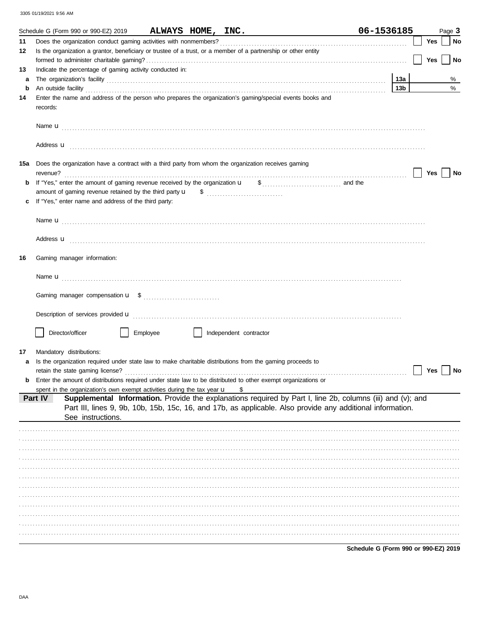|    | Schedule G (Form 990 or 990-EZ) 2019<br>ALWAYS HOME, <u>INC. __________________</u>                                                                                                                                                  | 06-1536185 |            | Page 3 |
|----|--------------------------------------------------------------------------------------------------------------------------------------------------------------------------------------------------------------------------------------|------------|------------|--------|
| 11 |                                                                                                                                                                                                                                      |            | Yes        | No     |
| 12 | Is the organization a grantor, beneficiary or trustee of a trust, or a member of a partnership or other entity                                                                                                                       |            |            |        |
|    |                                                                                                                                                                                                                                      |            | <b>Yes</b> | No     |
| 13 | Indicate the percentage of gaming activity conducted in:                                                                                                                                                                             |            |            |        |
| a  |                                                                                                                                                                                                                                      | 13а        |            | %      |
| b  | An outside facility <b>contained a set of the contract of the contract of the contract of the contract of the contract of the contract of the contract of the contract of the contract of the contract of the contract of the co</b> | 13b        |            | %      |
| 14 | Enter the name and address of the person who prepares the organization's gaming/special events books and<br>records:                                                                                                                 |            |            |        |
|    |                                                                                                                                                                                                                                      |            |            |        |
|    | Address <b>u</b>                                                                                                                                                                                                                     |            |            |        |
|    | 15a Does the organization have a contract with a third party from whom the organization receives gaming<br>revenue?                                                                                                                  |            | Yes        | No     |
|    |                                                                                                                                                                                                                                      |            |            |        |
|    |                                                                                                                                                                                                                                      |            |            |        |
|    | If "Yes," enter name and address of the third party:                                                                                                                                                                                 |            |            |        |
|    |                                                                                                                                                                                                                                      |            |            |        |
|    |                                                                                                                                                                                                                                      |            |            |        |
|    |                                                                                                                                                                                                                                      |            |            |        |
|    | Address <b>u</b>                                                                                                                                                                                                                     |            |            |        |
| 16 | Gaming manager information:                                                                                                                                                                                                          |            |            |        |
|    |                                                                                                                                                                                                                                      |            |            |        |
|    |                                                                                                                                                                                                                                      |            |            |        |
|    |                                                                                                                                                                                                                                      |            |            |        |
|    |                                                                                                                                                                                                                                      |            |            |        |
|    | Description of services provided <b>u</b> electron contains a constant of the service of the services of the services of the services of the services of the services of the services of the services of the services of the servic  |            |            |        |
|    |                                                                                                                                                                                                                                      |            |            |        |
|    | Director/officer<br>Employee<br>Independent contractor                                                                                                                                                                               |            |            |        |
|    |                                                                                                                                                                                                                                      |            |            |        |
| 17 | Mandatory distributions:                                                                                                                                                                                                             |            |            |        |
| a  | Is the organization required under state law to make charitable distributions from the gaming proceeds to                                                                                                                            |            |            |        |
|    | retain the state gaming license?                                                                                                                                                                                                     |            | <b>Yes</b> | No     |
|    | Enter the amount of distributions required under state law to be distributed to other exempt organizations or                                                                                                                        |            |            |        |
|    | spent in the organization's own exempt activities during the tax year u                                                                                                                                                              |            |            |        |
|    | Supplemental Information. Provide the explanations required by Part I, line 2b, columns (iii) and (v); and<br>Part IV<br>Part III, lines 9, 9b, 10b, 15b, 15c, 16, and 17b, as applicable. Also provide any additional information.  |            |            |        |
|    | See instructions.                                                                                                                                                                                                                    |            |            |        |
|    |                                                                                                                                                                                                                                      |            |            |        |
|    |                                                                                                                                                                                                                                      |            |            |        |
|    |                                                                                                                                                                                                                                      |            |            |        |
|    |                                                                                                                                                                                                                                      |            |            |        |
|    |                                                                                                                                                                                                                                      |            |            |        |
|    |                                                                                                                                                                                                                                      |            |            |        |
|    |                                                                                                                                                                                                                                      |            |            |        |
|    |                                                                                                                                                                                                                                      |            |            |        |
|    |                                                                                                                                                                                                                                      |            |            |        |
|    |                                                                                                                                                                                                                                      |            |            |        |
|    |                                                                                                                                                                                                                                      |            |            |        |
|    |                                                                                                                                                                                                                                      |            |            |        |
|    |                                                                                                                                                                                                                                      |            |            |        |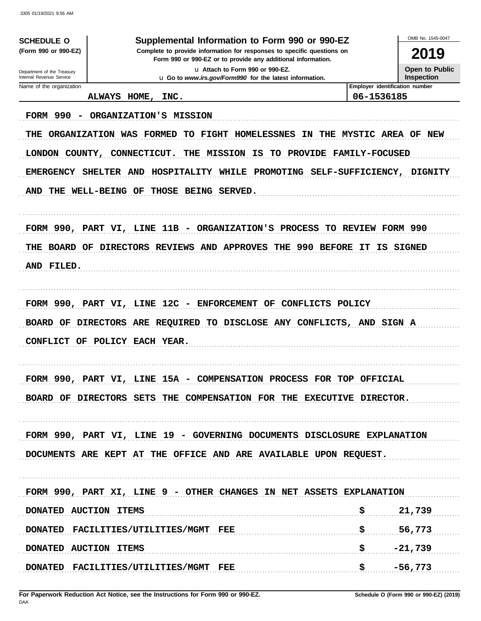| <b>SCHEDULE O</b><br>(Form 990 or 990-EZ)<br>Department of the Treasury<br>Internal Revenue Service | Supplemental Information to Form 990 or 990-EZ<br>Complete to provide information for responses to specific questions on<br>Form 990 or 990-EZ or to provide any additional information.<br>La Attach to Form 990 or 990-EZ.<br><b>u</b> Go to www.irs.gov/Form990 for the latest information.                            |            | OMB No. 1545-0047<br>2019<br>Open to Public<br><b>Inspection</b> |
|-----------------------------------------------------------------------------------------------------|---------------------------------------------------------------------------------------------------------------------------------------------------------------------------------------------------------------------------------------------------------------------------------------------------------------------------|------------|------------------------------------------------------------------|
| Name of the organization                                                                            | ALWAYS HOME,<br>INC.                                                                                                                                                                                                                                                                                                      | 06-1536185 | Employer identification number                                   |
|                                                                                                     | FORM 990 - ORGANIZATION'S MISSION<br>THE ORGANIZATION WAS FORMED<br>TO FIGHT HOMELESSNES IN THE MYSTIC AREA OF NEW<br>LONDON COUNTY, CONNECTICUT.<br>THE MISSION IS TO PROVIDE FAMILY-FOCUSED<br>EMERGENCY SHELTER AND HOSPITALITY WHILE PROMOTING SELF-SUFFICIENCY, DIGNITY<br>AND THE WELL-BEING OF THOSE BEING SERVED. |            |                                                                  |
| AND FILED.                                                                                          | FORM 990, PART VI, LINE 11B - ORGANIZATION'S PROCESS TO REVIEW FORM 990<br>THE BOARD OF DIRECTORS REVIEWS AND APPROVES THE 990 BEFORE IT IS SIGNED<br>FORM 990, PART VI, LINE 12C - ENFORCEMENT OF CONFLICTS POLICY<br>BOARD OF DIRECTORS ARE REQUIRED TO DISCLOSE ANY CONFLICTS, AND SIGN A                              |            |                                                                  |
|                                                                                                     | CONFLICT OF POLICY EACH YEAR.<br>FORM 990, PART VI, LINE 15A - COMPENSATION PROCESS FOR TOP OFFICIAL<br>BOARD OF DIRECTORS SETS THE COMPENSATION FOR THE EXECUTIVE DIRECTOR.                                                                                                                                              |            |                                                                  |
|                                                                                                     | FORM 990, PART VI, LINE 19 - GOVERNING DOCUMENTS DISCLOSURE EXPLANATION<br>DOCUMENTS ARE KEPT AT THE OFFICE AND ARE AVAILABLE UPON REQUEST.                                                                                                                                                                               |            |                                                                  |
|                                                                                                     | FORM 990, PART XI, LINE 9 - OTHER CHANGES IN NET ASSETS EXPLANATION                                                                                                                                                                                                                                                       |            |                                                                  |
|                                                                                                     | DONATED AUCTION ITEMS                                                                                                                                                                                                                                                                                                     |            | $\frac{\$}{21,739}$                                              |
|                                                                                                     | $\frac{1}{56}$ , 773<br>DONATED FACILITIES/UTILITIES/MGMT FEE                                                                                                                                                                                                                                                             |            |                                                                  |
|                                                                                                     | DONATED AUCTION ITEMS                                                                                                                                                                                                                                                                                                     |            | $\frac{1}{2}$ -21,739                                            |
|                                                                                                     | DONATED FACILITIES/UTILITIES/MGMT FEE                                                                                                                                                                                                                                                                                     |            | $$ -56,773$                                                      |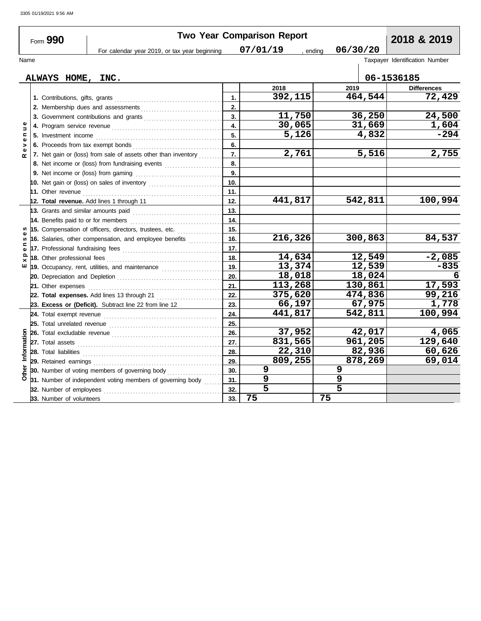|              | Form 990                            |                                                                                                                                               |     | <b>Two Year Comparison Report</b> |          | 2018 & 2019                    |
|--------------|-------------------------------------|-----------------------------------------------------------------------------------------------------------------------------------------------|-----|-----------------------------------|----------|--------------------------------|
|              |                                     | For calendar year 2019, or tax year beginning                                                                                                 |     | 07/01/19<br>, ending              | 06/30/20 |                                |
| Name         |                                     |                                                                                                                                               |     |                                   |          | Taxpayer Identification Number |
|              |                                     |                                                                                                                                               |     |                                   |          |                                |
|              | ALWAYS HOME, INC.                   |                                                                                                                                               |     |                                   |          | 06-1536185                     |
|              |                                     |                                                                                                                                               |     | 2018                              | 2019     | <b>Differences</b>             |
|              |                                     |                                                                                                                                               | 1.  | 392,115                           | 464,544  | 72,429                         |
|              |                                     |                                                                                                                                               | 2.  |                                   |          |                                |
|              |                                     | 3. Government contributions and grants                                                                                                        | 3.  | 11,750                            | 36,250   | 24,500                         |
| Ξ            |                                     |                                                                                                                                               | 4.  | 30,065                            | 31,669   | 1,604                          |
| $\mathbf{C}$ |                                     |                                                                                                                                               | 5.  | 5,126                             | 4,832    | $-294$                         |
| >            |                                     |                                                                                                                                               | 6.  |                                   |          |                                |
| œ            |                                     | 7. Net gain or (loss) from sale of assets other than inventory                                                                                | 7.  | 2,761                             | 5,516    | 2,755                          |
|              |                                     |                                                                                                                                               | 8.  |                                   |          |                                |
|              |                                     | 9. Net income or (loss) from gaming                                                                                                           | 9.  |                                   |          |                                |
|              |                                     | 10. Net gain or (loss) on sales of inventory                                                                                                  | 10. |                                   |          |                                |
|              |                                     |                                                                                                                                               | 11. |                                   |          |                                |
|              |                                     | 12. Total revenue. Add lines 1 through 11                                                                                                     | 12. | 441,817                           | 542,811  | 100,994                        |
|              |                                     |                                                                                                                                               | 13. |                                   |          |                                |
|              | 14. Benefits paid to or for members |                                                                                                                                               | 14. |                                   |          |                                |
|              |                                     | 15. Compensation of officers, directors, trustees, etc.                                                                                       | 15. |                                   |          |                                |
| s            |                                     | 16. Salaries, other compensation, and employee benefits                                                                                       | 16. | 216,326                           | 300,863  | 84,537                         |
| ⋍            |                                     |                                                                                                                                               | 17. |                                   |          |                                |
| $\Omega$     |                                     |                                                                                                                                               | 18. | 14,634                            | 12,549   | $-2,085$                       |
| ш            |                                     | 19. Occupancy, rent, utilities, and maintenance <i>minimininininin</i>                                                                        | 19. | 13,374                            | 12,539   | $-835$                         |
|              |                                     |                                                                                                                                               | 20. | 18,018                            | 18,024   |                                |
|              | 21. Other expenses                  |                                                                                                                                               | 21. | 113,268                           | 130,861  | 17,593                         |
|              |                                     | 22. Total expenses. Add lines 13 through 21                                                                                                   | 22. | 375,620                           | 474,836  | 99,216                         |
|              |                                     | 23. Excess or (Deficit). Subtract line 22 from line 12                                                                                        | 23. | 66,197                            | 67,975   | 1,778                          |
|              |                                     |                                                                                                                                               | 24. | 441,817                           | 542,811  | 100,994                        |
|              |                                     |                                                                                                                                               | 25. |                                   |          |                                |
|              |                                     |                                                                                                                                               | 26. | 37,952                            | 42,017   | 4,065                          |
|              |                                     |                                                                                                                                               | 27. | 831,565                           | 961,205  | 129,640                        |
| Information  | 28. Total liabilities               |                                                                                                                                               | 28. | 22,310                            | 82,936   | 60,626                         |
|              |                                     |                                                                                                                                               | 29. | 809,255                           | 878,269  | 69,014                         |
|              |                                     |                                                                                                                                               | 30. | 9                                 | 9        |                                |
|              |                                     |                                                                                                                                               | 31. | 9                                 | 9        |                                |
|              |                                     | <b>a 30.</b> Number of voting members or your common of properties of $\frac{1}{21}$ . Number of independent voting members of governing body | 32. | $\overline{5}$                    | 5        |                                |
|              | 33. Number of volunteers            |                                                                                                                                               | 33. | 75                                | 75       |                                |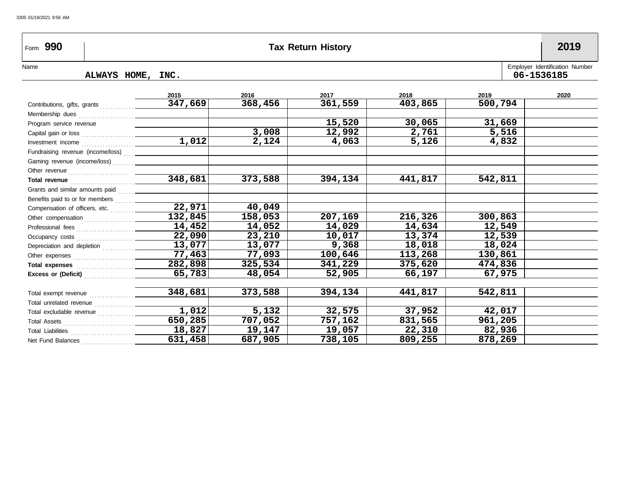| Form 990                                                                                                                                                                                                                            |                   |                      |         | <b>Tax Return History</b> |         |         | 2019                           |
|-------------------------------------------------------------------------------------------------------------------------------------------------------------------------------------------------------------------------------------|-------------------|----------------------|---------|---------------------------|---------|---------|--------------------------------|
| Name                                                                                                                                                                                                                                |                   |                      |         |                           |         |         | Employer Identification Number |
|                                                                                                                                                                                                                                     | ALWAYS HOME, INC. |                      |         |                           |         |         | 06-1536185                     |
|                                                                                                                                                                                                                                     |                   | 2015                 | 2016    | 2017                      | 2018    | 2019    | 2020                           |
| Contributions, gifts, grants                                                                                                                                                                                                        |                   | 347,669              | 368,456 | 361,559                   | 403,865 | 500,794 |                                |
|                                                                                                                                                                                                                                     |                   |                      |         |                           |         |         |                                |
| Program service revenue                                                                                                                                                                                                             |                   |                      |         | 15,520                    | 30,065  | 31,669  |                                |
|                                                                                                                                                                                                                                     |                   |                      | 3,008   | 12,992                    | 2,761   | 5,516   |                                |
|                                                                                                                                                                                                                                     |                   | $\overline{1,012}$   | 2,124   | 4,063                     | 5,126   | 4,832   |                                |
| Fundraising revenue (income/loss)  _________________                                                                                                                                                                                |                   |                      |         |                           |         |         |                                |
|                                                                                                                                                                                                                                     |                   |                      |         |                           |         |         |                                |
|                                                                                                                                                                                                                                     |                   |                      |         |                           |         |         |                                |
| Total revenue <i>manualization</i> and the contract of the contract of the contract of the contract of the contract of the contract of the contract of the contract of the contract of the contract of the contract of the contract |                   | $\overline{348,681}$ | 373,588 | 394,134                   | 441,817 | 542,811 |                                |
|                                                                                                                                                                                                                                     |                   |                      |         |                           |         |         |                                |
|                                                                                                                                                                                                                                     |                   |                      |         |                           |         |         |                                |
| Compensation of officers, etc.                                                                                                                                                                                                      |                   | $\overline{22,971}$  | 40,049  |                           |         |         |                                |
|                                                                                                                                                                                                                                     |                   | 132,845              | 158,053 | 207,169                   | 216,326 | 300,863 |                                |
|                                                                                                                                                                                                                                     |                   | 14,452               | 14,052  | 14,029                    | 14,634  | 12,549  |                                |
|                                                                                                                                                                                                                                     |                   | 22,090               | 23,210  | 10,017                    | 13,374  | 12,539  |                                |
| Depreciation and depletion                                                                                                                                                                                                          |                   | 13,077               | 13,077  | 9,368                     | 18,018  | 18,024  |                                |
|                                                                                                                                                                                                                                     |                   | 77,463               | 77,093  | 100,646                   | 113,268 | 130,861 |                                |
| Total expenses Material Contract of Total expenses                                                                                                                                                                                  |                   | 282,898              | 325,534 | 341,229                   | 375,620 | 474,836 |                                |
| Excess or (Deficit)                                                                                                                                                                                                                 |                   | 65,783               | 48,054  | 52,905                    | 66,197  | 67,975  |                                |
|                                                                                                                                                                                                                                     |                   |                      |         |                           |         |         |                                |
|                                                                                                                                                                                                                                     |                   | 348,681              | 373,588 | 394,134                   | 441,817 | 542,811 |                                |
|                                                                                                                                                                                                                                     |                   |                      |         |                           |         |         |                                |
|                                                                                                                                                                                                                                     |                   | 1,012                | 5,132   | 32,575                    | 37,952  | 42,017  |                                |
|                                                                                                                                                                                                                                     |                   | 650, 285             | 707,052 | 757,162                   | 831,565 | 961,205 |                                |
|                                                                                                                                                                                                                                     |                   | 18,827               | 19,147  | 19,057                    | 22,310  | 82,936  |                                |
|                                                                                                                                                                                                                                     |                   | $\overline{631,458}$ | 687,905 | 738,105                   | 809,255 | 878,269 |                                |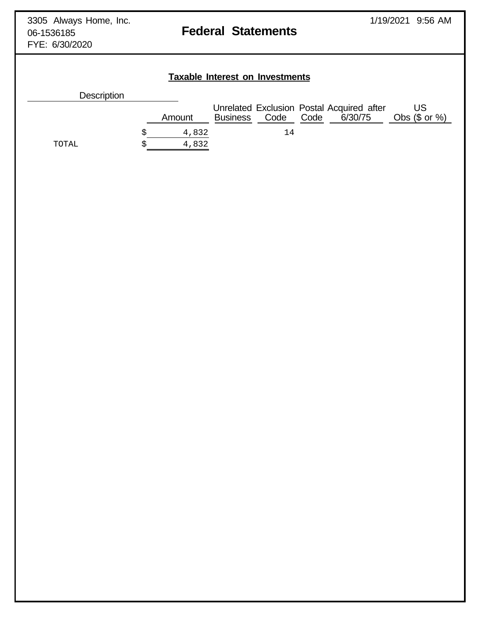# 06-1536185 **Federal Statements**

## **Taxable Interest on Investments**

## **Description** Unrelated Exclusion Postal Acquired after US<br>Business Code Code 6/30/75 Obs (\$ or %) Amount Business Code Code  $\frac{14}{14}$ , 832 TOTAL  $\qquad \qquad$   $\qquad \qquad$   $\qquad \qquad$  4,832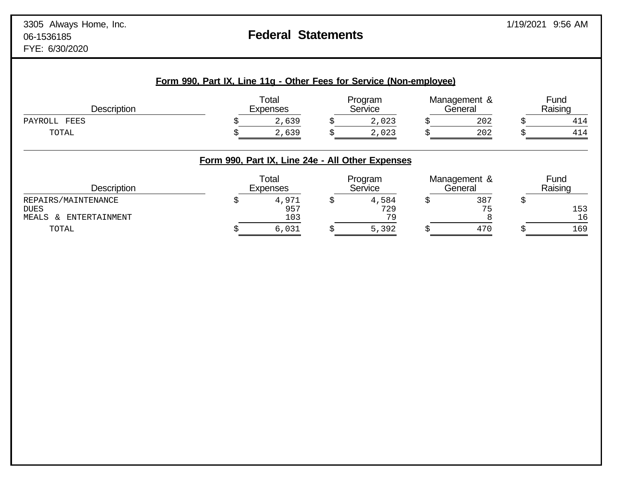| <b>Description</b>                                                       | Total<br><b>Expenses</b>                         |   | Program<br>Service | Management &<br>General |   | Fund<br>Raising |
|--------------------------------------------------------------------------|--------------------------------------------------|---|--------------------|-------------------------|---|-----------------|
| PAYROLL FEES                                                             | 2,639                                            |   | 2,023              | 202                     |   | 414             |
| TOTAL                                                                    | 2,639                                            |   | 2,023              | 202                     |   | 414             |
|                                                                          | Form 990, Part IX, Line 24e - All Other Expenses |   |                    |                         |   |                 |
|                                                                          | Total                                            |   | Program            | Management &<br>General |   | Fund            |
| <b>Description</b>                                                       | \$<br><b>Expenses</b><br>4,971                   | S | Service<br>4,584   | \$<br>387               | S | Raising         |
|                                                                          | 957                                              |   | 729                | 75                      |   | 153             |
| REPAIRS/MAINTENANCE<br><b>DUES</b><br>ENTERTAINMENT<br>MEALS<br>$\kappa$ | 103                                              |   | 79                 |                         |   | 16              |